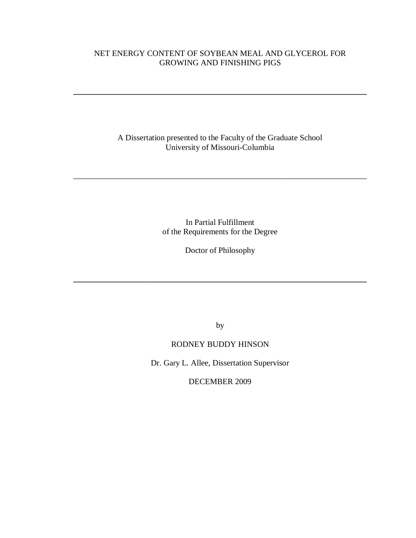## NET ENERGY CONTENT OF SOYBEAN MEAL AND GLYCEROL FOR GROWING AND FINISHING PIGS

**\_\_\_\_\_\_\_\_\_\_\_\_\_\_\_\_\_\_\_\_\_\_\_\_\_\_\_\_\_\_\_\_\_\_\_\_\_\_\_\_\_\_\_\_\_\_\_\_\_\_\_\_\_\_\_\_\_\_\_\_\_\_\_\_\_\_\_\_\_\_\_\_**

A Dissertation presented to the Faculty of the Graduate School University of Missouri-Columbia

\_\_\_\_\_\_\_\_\_\_\_\_\_\_\_\_\_\_\_\_\_\_\_\_\_\_\_\_\_\_\_\_\_\_\_\_\_\_\_\_\_\_\_\_\_\_\_\_\_\_\_\_\_\_\_\_\_\_\_\_\_\_\_\_\_\_\_\_\_\_\_\_

In Partial Fulfillment of the Requirements for the Degree

Doctor of Philosophy

**\_\_\_\_\_\_\_\_\_\_\_\_\_\_\_\_\_\_\_\_\_\_\_\_\_\_\_\_\_\_\_\_\_\_\_\_\_\_\_\_\_\_\_\_\_\_\_\_\_\_\_\_\_\_\_\_\_\_\_\_\_\_\_\_\_\_\_\_\_\_\_\_**

by

## RODNEY BUDDY HINSON

Dr. Gary L. Allee, Dissertation Supervisor

DECEMBER 2009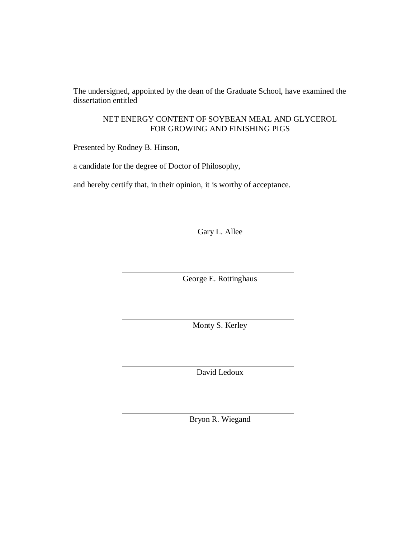The undersigned, appointed by the dean of the Graduate School, have examined the dissertation entitled

### NET ENERGY CONTENT OF SOYBEAN MEAL AND GLYCEROL FOR GROWING AND FINISHING PIGS

Presented by Rodney B. Hinson,

a candidate for the degree of Doctor of Philosophy,

and hereby certify that, in their opinion, it is worthy of acceptance.

Gary L. Allee

George E. Rottinghaus

Monty S. Kerley

David Ledoux

Bryon R. Wiegand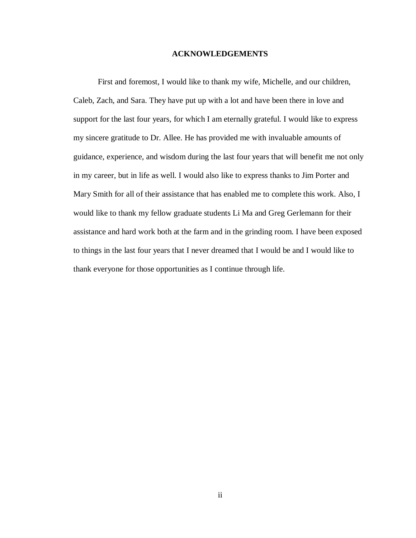#### **ACKNOWLEDGEMENTS**

First and foremost, I would like to thank my wife, Michelle, and our children, Caleb, Zach, and Sara. They have put up with a lot and have been there in love and support for the last four years, for which I am eternally grateful. I would like to express my sincere gratitude to Dr. Allee. He has provided me with invaluable amounts of guidance, experience, and wisdom during the last four years that will benefit me not only in my career, but in life as well. I would also like to express thanks to Jim Porter and Mary Smith for all of their assistance that has enabled me to complete this work. Also, I would like to thank my fellow graduate students Li Ma and Greg Gerlemann for their assistance and hard work both at the farm and in the grinding room. I have been exposed to things in the last four years that I never dreamed that I would be and I would like to thank everyone for those opportunities as I continue through life.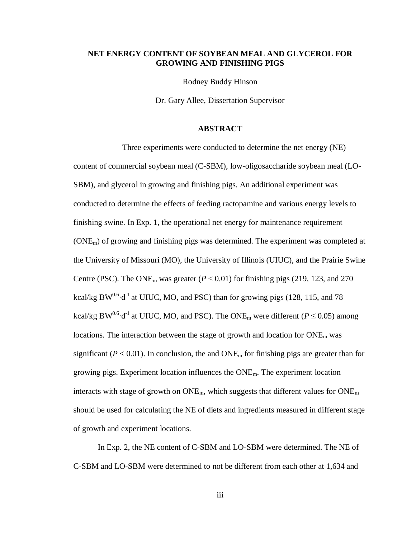#### **NET ENERGY CONTENT OF SOYBEAN MEAL AND GLYCEROL FOR GROWING AND FINISHING PIGS**

Rodney Buddy Hinson

Dr. Gary Allee, Dissertation Supervisor

#### **ABSTRACT**

Three experiments were conducted to determine the net energy (NE) content of commercial soybean meal (C-SBM), low-oligosaccharide soybean meal (LO-SBM), and glycerol in growing and finishing pigs. An additional experiment was conducted to determine the effects of feeding ractopamine and various energy levels to finishing swine. In Exp. 1, the operational net energy for maintenance requirement  $(ONE<sub>m</sub>)$  of growing and finishing pigs was determined. The experiment was completed at the University of Missouri (MO), the University of Illinois (UIUC), and the Prairie Swine Centre (PSC). The ONE<sub>m</sub> was greater ( $P < 0.01$ ) for finishing pigs (219, 123, and 270 kcal/kg  $BW^{0.6} \cdot d^{-1}$  at UIUC, MO, and PSC) than for growing pigs (128, 115, and 78 kcal/kg BW<sup>0.6</sup> $\cdot$ d<sup>-1</sup> at UIUC, MO, and PSC). The ONE<sub>m</sub> were different (*P*  $\leq$  0.05) among locations. The interaction between the stage of growth and location for  $\text{ONE}_{m}$  was significant ( $P < 0.01$ ). In conclusion, the and  $\text{ONE}_{\text{m}}$  for finishing pigs are greater than for growing pigs. Experiment location influences the ONEm. The experiment location interacts with stage of growth on  $ONE_m$ , which suggests that different values for  $ONE_m$ should be used for calculating the NE of diets and ingredients measured in different stage of growth and experiment locations.

In Exp. 2, the NE content of C-SBM and LO-SBM were determined. The NE of C-SBM and LO-SBM were determined to not be different from each other at 1,634 and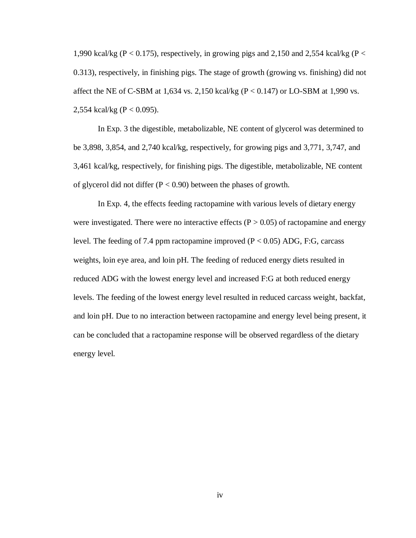1,990 kcal/kg ( $P < 0.175$ ), respectively, in growing pigs and 2,150 and 2,554 kcal/kg ( $P <$ 0.313), respectively, in finishing pigs. The stage of growth (growing vs. finishing) did not affect the NE of C-SBM at 1,634 vs. 2,150 kcal/kg ( $P < 0.147$ ) or LO-SBM at 1,990 vs. 2,554 kcal/kg ( $P < 0.095$ ).

In Exp. 3 the digestible, metabolizable, NE content of glycerol was determined to be 3,898, 3,854, and 2,740 kcal/kg, respectively, for growing pigs and 3,771, 3,747, and 3,461 kcal/kg, respectively, for finishing pigs. The digestible, metabolizable, NE content of glycerol did not differ  $(P < 0.90)$  between the phases of growth.

In Exp. 4, the effects feeding ractopamine with various levels of dietary energy were investigated. There were no interactive effects ( $P > 0.05$ ) of ractopamine and energy level. The feeding of 7.4 ppm ractopamine improved ( $P < 0.05$ ) ADG, F:G, carcass weights, loin eye area, and loin pH. The feeding of reduced energy diets resulted in reduced ADG with the lowest energy level and increased F:G at both reduced energy levels. The feeding of the lowest energy level resulted in reduced carcass weight, backfat, and loin pH. Due to no interaction between ractopamine and energy level being present, it can be concluded that a ractopamine response will be observed regardless of the dietary energy level.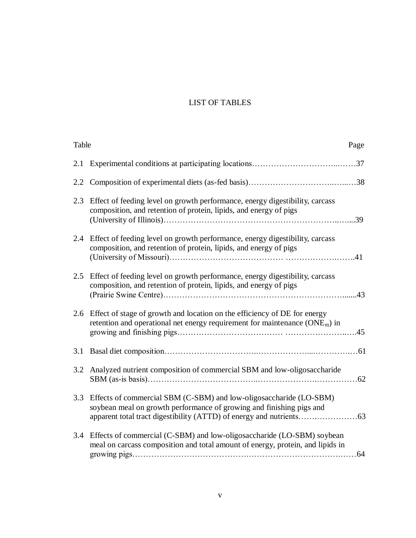## LIST OF TABLES

| Table |                                                                                                                                                               | Page |
|-------|---------------------------------------------------------------------------------------------------------------------------------------------------------------|------|
| 2.1   |                                                                                                                                                               |      |
| 2.2   |                                                                                                                                                               |      |
| 2.3   | Effect of feeding level on growth performance, energy digestibility, carcass<br>composition, and retention of protein, lipids, and energy of pigs             | .39  |
| 2.4   | Effect of feeding level on growth performance, energy digestibility, carcass<br>composition, and retention of protein, lipids, and energy of pigs             |      |
| 2.5   | Effect of feeding level on growth performance, energy digestibility, carcass<br>composition, and retention of protein, lipids, and energy of pigs             | 43   |
|       | 2.6 Effect of stage of growth and location on the efficiency of DE for energy<br>retention and operational net energy requirement for maintenance $(ONEm)$ in |      |
| 3.1   |                                                                                                                                                               |      |
| 3.2   | Analyzed nutrient composition of commercial SBM and low-oligosaccharide                                                                                       |      |
| 3.3   | Effects of commercial SBM (C-SBM) and low-oligosaccharide (LO-SBM)<br>soybean meal on growth performance of growing and finishing pigs and                    |      |
| 3.4   | Effects of commercial (C-SBM) and low-oligosaccharide (LO-SBM) soybean<br>meal on carcass composition and total amount of energy, protein, and lipids in      |      |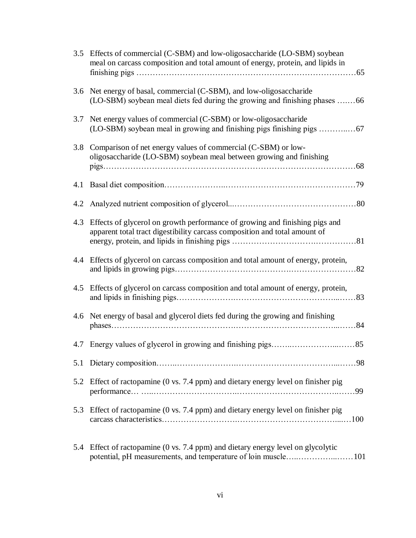|     | 3.5 Effects of commercial (C-SBM) and low-oligosaccharide (LO-SBM) soybean<br>meal on carcass composition and total amount of energy, protein, and lipids in |
|-----|--------------------------------------------------------------------------------------------------------------------------------------------------------------|
|     | 3.6 Net energy of basal, commercial (C-SBM), and low-oligosaccharide<br>(LO-SBM) soybean meal diets fed during the growing and finishing phases 66           |
| 3.7 | Net energy values of commercial (C-SBM) or low-oligosaccharide                                                                                               |
|     | 3.8 Comparison of net energy values of commercial (C-SBM) or low-<br>oligosaccharide (LO-SBM) soybean meal between growing and finishing                     |
|     |                                                                                                                                                              |
| 4.2 |                                                                                                                                                              |
| 4.3 | Effects of glycerol on growth performance of growing and finishing pigs and<br>apparent total tract digestibility carcass composition and total amount of    |
|     | 4.4 Effects of glycerol on carcass composition and total amount of energy, protein,                                                                          |
|     | 4.5 Effects of glycerol on carcass composition and total amount of energy, protein,                                                                          |
|     | 4.6 Net energy of basal and glycerol diets fed during the growing and finishing                                                                              |
|     |                                                                                                                                                              |
| 5.1 |                                                                                                                                                              |
| 5.2 | Effect of ractopamine (0 vs. 7.4 ppm) and dietary energy level on finisher pig                                                                               |
| 5.3 | Effect of ractopamine $(0 \text{ vs. } 7.4 \text{ ppm})$ and dietary energy level on finisher pig                                                            |
| 5.4 | Effect of ractopamine (0 vs. 7.4 ppm) and dietary energy level on glycolytic<br>potential, pH measurements, and temperature of loin muscle101                |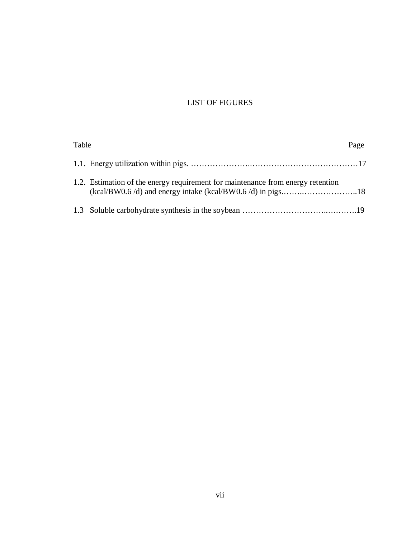## LIST OF FIGURES

| Table |                                                                                 | Page |
|-------|---------------------------------------------------------------------------------|------|
|       |                                                                                 |      |
|       | 1.2. Estimation of the energy requirement for maintenance from energy retention |      |
|       |                                                                                 |      |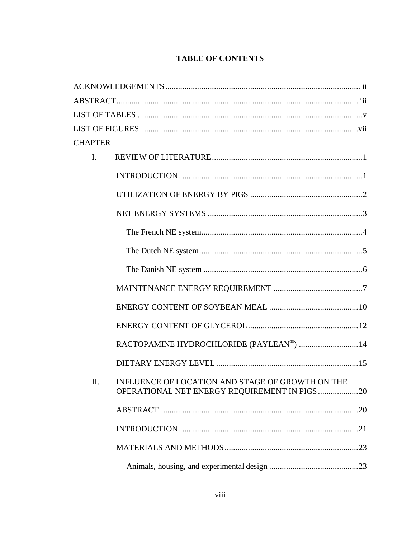## **TABLE OF CONTENTS**

| <b>CHAPTER</b> |                                                                                                  |  |  |  |
|----------------|--------------------------------------------------------------------------------------------------|--|--|--|
| $\mathbf{I}$ . |                                                                                                  |  |  |  |
|                |                                                                                                  |  |  |  |
|                |                                                                                                  |  |  |  |
|                |                                                                                                  |  |  |  |
|                |                                                                                                  |  |  |  |
|                |                                                                                                  |  |  |  |
|                |                                                                                                  |  |  |  |
|                |                                                                                                  |  |  |  |
|                |                                                                                                  |  |  |  |
|                |                                                                                                  |  |  |  |
|                | RACTOPAMINE HYDROCHLORIDE (PAYLEAN®)  14                                                         |  |  |  |
|                |                                                                                                  |  |  |  |
| П.             | INFLUENCE OF LOCATION AND STAGE OF GROWTH ON THE<br>OPERATIONAL NET ENERGY REQUIREMENT IN PIGS20 |  |  |  |
|                |                                                                                                  |  |  |  |
|                |                                                                                                  |  |  |  |
|                |                                                                                                  |  |  |  |
|                |                                                                                                  |  |  |  |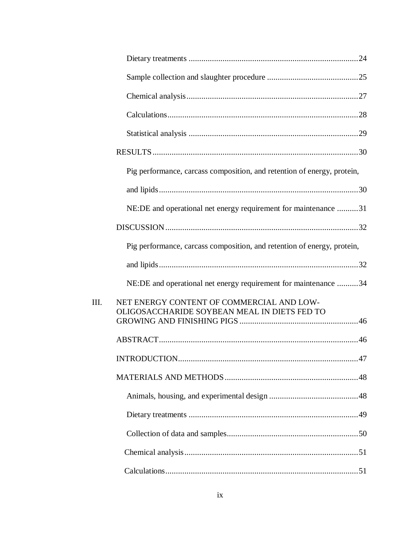| Pig performance, carcass composition, and retention of energy, protein,                   |
|-------------------------------------------------------------------------------------------|
|                                                                                           |
| NE:DE and operational net energy requirement for maintenance 31                           |
|                                                                                           |
| Pig performance, carcass composition, and retention of energy, protein,                   |
|                                                                                           |
| NE:DE and operational net energy requirement for maintenance 34                           |
| NET ENERGY CONTENT OF COMMERCIAL AND LOW-<br>OLIGOSACCHARIDE SOYBEAN MEAL IN DIETS FED TO |
|                                                                                           |
|                                                                                           |
|                                                                                           |
|                                                                                           |
|                                                                                           |
|                                                                                           |
|                                                                                           |
|                                                                                           |
|                                                                                           |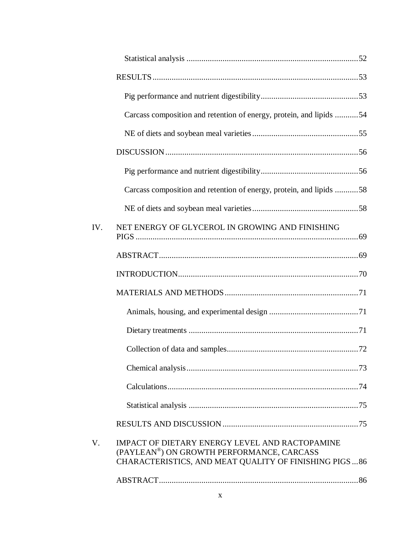| IV.         | NET ENERGY OF GLYCEROL IN GROWING AND FINISHING                                                    |                                                                                                                                                                                                       |
|-------------|----------------------------------------------------------------------------------------------------|-------------------------------------------------------------------------------------------------------------------------------------------------------------------------------------------------------|
|             |                                                                                                    |                                                                                                                                                                                                       |
|             |                                                                                                    |                                                                                                                                                                                                       |
|             |                                                                                                    |                                                                                                                                                                                                       |
|             |                                                                                                    |                                                                                                                                                                                                       |
|             |                                                                                                    |                                                                                                                                                                                                       |
|             |                                                                                                    |                                                                                                                                                                                                       |
|             |                                                                                                    |                                                                                                                                                                                                       |
|             |                                                                                                    |                                                                                                                                                                                                       |
|             |                                                                                                    |                                                                                                                                                                                                       |
|             |                                                                                                    |                                                                                                                                                                                                       |
| $V_{\cdot}$ | <b>IMPACT OF DIETARY ENERGY LEVEL AND RACTOPAMINE</b><br>(PAYLEAN®) ON GROWTH PERFORMANCE, CARCASS |                                                                                                                                                                                                       |
|             |                                                                                                    |                                                                                                                                                                                                       |
|             |                                                                                                    | Carcass composition and retention of energy, protein, and lipids 54<br>Carcass composition and retention of energy, protein, and lipids 58<br>CHARACTERISTICS, AND MEAT QUALITY OF FINISHING PIGS  86 |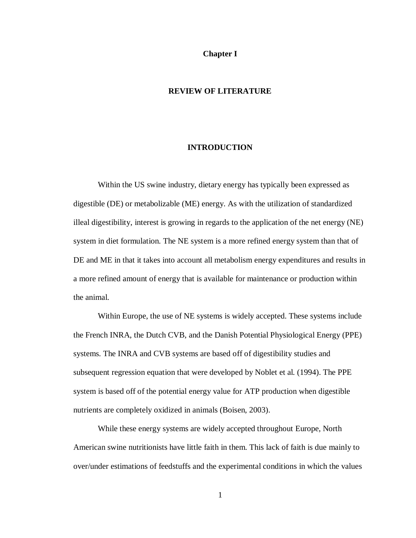#### **Chapter I**

#### **REVIEW OF LITERATURE**

#### **INTRODUCTION**

Within the US swine industry, dietary energy has typically been expressed as digestible (DE) or metabolizable (ME) energy. As with the utilization of standardized illeal digestibility, interest is growing in regards to the application of the net energy (NE) system in diet formulation. The NE system is a more refined energy system than that of DE and ME in that it takes into account all metabolism energy expenditures and results in a more refined amount of energy that is available for maintenance or production within the animal.

Within Europe, the use of NE systems is widely accepted. These systems include the French INRA, the Dutch CVB, and the Danish Potential Physiological Energy (PPE) systems. The INRA and CVB systems are based off of digestibility studies and subsequent regression equation that were developed by Noblet et al. (1994). The PPE system is based off of the potential energy value for ATP production when digestible nutrients are completely oxidized in animals (Boisen, 2003).

While these energy systems are widely accepted throughout Europe, North American swine nutritionists have little faith in them. This lack of faith is due mainly to over/under estimations of feedstuffs and the experimental conditions in which the values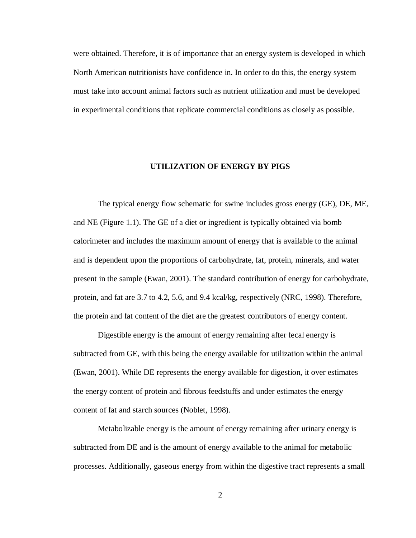were obtained. Therefore, it is of importance that an energy system is developed in which North American nutritionists have confidence in. In order to do this, the energy system must take into account animal factors such as nutrient utilization and must be developed in experimental conditions that replicate commercial conditions as closely as possible.

#### **UTILIZATION OF ENERGY BY PIGS**

The typical energy flow schematic for swine includes gross energy (GE), DE, ME, and NE (Figure 1.1). The GE of a diet or ingredient is typically obtained via bomb calorimeter and includes the maximum amount of energy that is available to the animal and is dependent upon the proportions of carbohydrate, fat, protein, minerals, and water present in the sample (Ewan, 2001). The standard contribution of energy for carbohydrate, protein, and fat are 3.7 to 4.2, 5.6, and 9.4 kcal/kg, respectively (NRC, 1998). Therefore, the protein and fat content of the diet are the greatest contributors of energy content.

Digestible energy is the amount of energy remaining after fecal energy is subtracted from GE, with this being the energy available for utilization within the animal (Ewan, 2001). While DE represents the energy available for digestion, it over estimates the energy content of protein and fibrous feedstuffs and under estimates the energy content of fat and starch sources (Noblet, 1998).

Metabolizable energy is the amount of energy remaining after urinary energy is subtracted from DE and is the amount of energy available to the animal for metabolic processes. Additionally, gaseous energy from within the digestive tract represents a small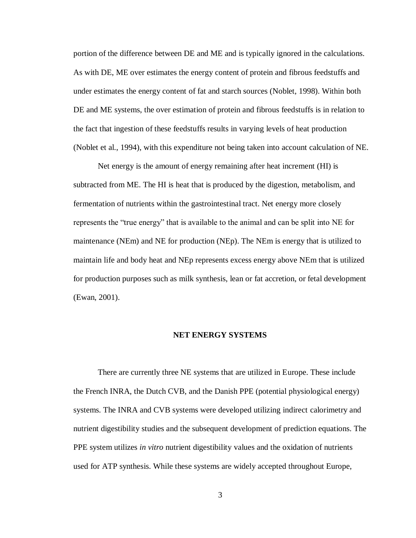portion of the difference between DE and ME and is typically ignored in the calculations. As with DE, ME over estimates the energy content of protein and fibrous feedstuffs and under estimates the energy content of fat and starch sources (Noblet, 1998). Within both DE and ME systems, the over estimation of protein and fibrous feedstuffs is in relation to the fact that ingestion of these feedstuffs results in varying levels of heat production (Noblet et al., 1994), with this expenditure not being taken into account calculation of NE.

Net energy is the amount of energy remaining after heat increment (HI) is subtracted from ME. The HI is heat that is produced by the digestion, metabolism, and fermentation of nutrients within the gastrointestinal tract. Net energy more closely represents the "true energy" that is available to the animal and can be split into NE for maintenance (NEm) and NE for production (NEp). The NEm is energy that is utilized to maintain life and body heat and NEp represents excess energy above NEm that is utilized for production purposes such as milk synthesis, lean or fat accretion, or fetal development (Ewan, 2001).

#### **NET ENERGY SYSTEMS**

There are currently three NE systems that are utilized in Europe. These include the French INRA, the Dutch CVB, and the Danish PPE (potential physiological energy) systems. The INRA and CVB systems were developed utilizing indirect calorimetry and nutrient digestibility studies and the subsequent development of prediction equations. The PPE system utilizes *in vitro* nutrient digestibility values and the oxidation of nutrients used for ATP synthesis. While these systems are widely accepted throughout Europe,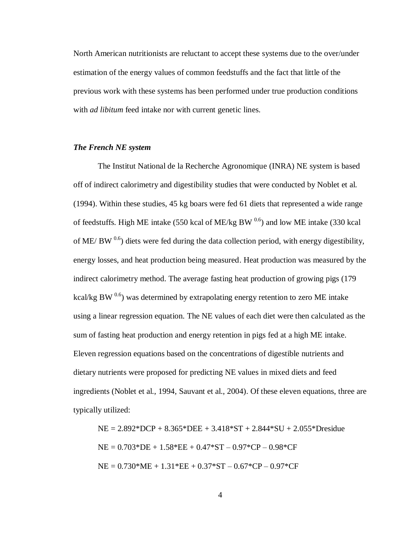North American nutritionists are reluctant to accept these systems due to the over/under estimation of the energy values of common feedstuffs and the fact that little of the previous work with these systems has been performed under true production conditions with *ad libitum* feed intake nor with current genetic lines.

#### *The French NE system*

The Institut National de la Recherche Agronomique (INRA) NE system is based off of indirect calorimetry and digestibility studies that were conducted by Noblet et al. (1994). Within these studies, 45 kg boars were fed 61 diets that represented a wide range of feedstuffs. High ME intake (550 kcal of ME/kg BW  $0.6$ ) and low ME intake (330 kcal of ME/ BW  $^{0.6}$ ) diets were fed during the data collection period, with energy digestibility, energy losses, and heat production being measured. Heat production was measured by the indirect calorimetry method. The average fasting heat production of growing pigs (179 kcal/kg BW  $^{0.6}$ ) was determined by extrapolating energy retention to zero ME intake using a linear regression equation. The NE values of each diet were then calculated as the sum of fasting heat production and energy retention in pigs fed at a high ME intake. Eleven regression equations based on the concentrations of digestible nutrients and dietary nutrients were proposed for predicting NE values in mixed diets and feed ingredients (Noblet et al., 1994, Sauvant et al., 2004). Of these eleven equations, three are typically utilized:

 $NE = 2.892*DCP + 8.365*DEE + 3.418*ST + 2.844*SU + 2.055*Dresidue$  $NE = 0.703*DE + 1.58*EE + 0.47*ST - 0.97*CP - 0.98*CF$  $NE = 0.730*ME + 1.31*EE + 0.37*ST - 0.67*CP - 0.97*CF$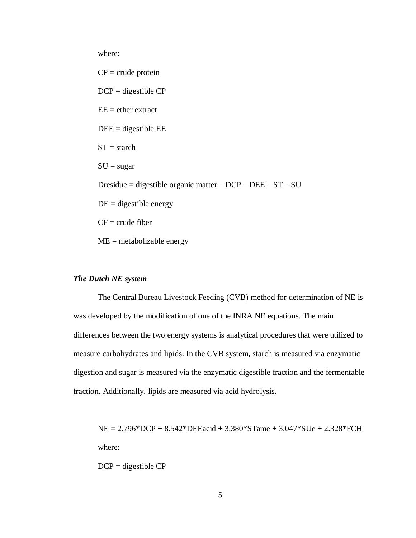where:

 $CP = \text{crude protein}$  $DCP =$  digestible  $CP$  $EE =$  ether extract  $DEE =$  digestible  $EE$  $ST = \text{starch}$  $SU = sugar$ Dresidue = digestible organic matter – DCP – DEE – ST – SU  $DE =$  digestible energy  $CF = crude fiber$  $ME =$  metabolizable energy

#### *The Dutch NE system*

The Central Bureau Livestock Feeding (CVB) method for determination of NE is was developed by the modification of one of the INRA NE equations. The main differences between the two energy systems is analytical procedures that were utilized to measure carbohydrates and lipids. In the CVB system, starch is measured via enzymatic digestion and sugar is measured via the enzymatic digestible fraction and the fermentable fraction. Additionally, lipids are measured via acid hydrolysis.

NE = 2.796\*DCP + 8.542\*DEEacid + 3.380\*STame + 3.047\*SUe + 2.328\*FCH where:

 $DCP =$  digestible  $CP$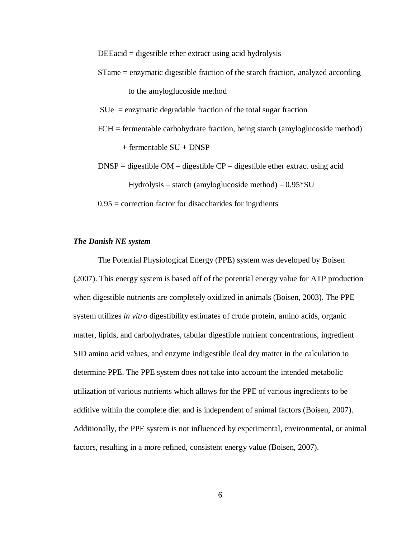$DEEacid =$  digestible ether extract using acid hydrolysis

STame = enzymatic digestible fraction of the starch fraction, analyzed according

to the amyloglucoside method

 $S$ Ue = enzymatic degradable fraction of the total sugar fraction

- FCH = fermentable carbohydrate fraction, being starch (amyloglucoside method) + fermentable SU + DNSP
- $DNSP =$  digestible  $OM -$  digestible  $CP -$  digestible ether extract using acid Hydrolysis – starch (amyloglucoside method) – 0.95\*SU

 $0.95$  = correction factor for disaccharides for ingridents

#### *The Danish NE system*

The Potential Physiological Energy (PPE) system was developed by Boisen (2007). This energy system is based off of the potential energy value for ATP production when digestible nutrients are completely oxidized in animals (Boisen, 2003). The PPE system utilizes *in vitro* digestibility estimates of crude protein, amino acids, organic matter, lipids, and carbohydrates, tabular digestible nutrient concentrations, ingredient SID amino acid values, and enzyme indigestible ileal dry matter in the calculation to determine PPE. The PPE system does not take into account the intended metabolic utilization of various nutrients which allows for the PPE of various ingredients to be additive within the complete diet and is independent of animal factors (Boisen, 2007). Additionally, the PPE system is not influenced by experimental, environmental, or animal factors, resulting in a more refined, consistent energy value (Boisen, 2007).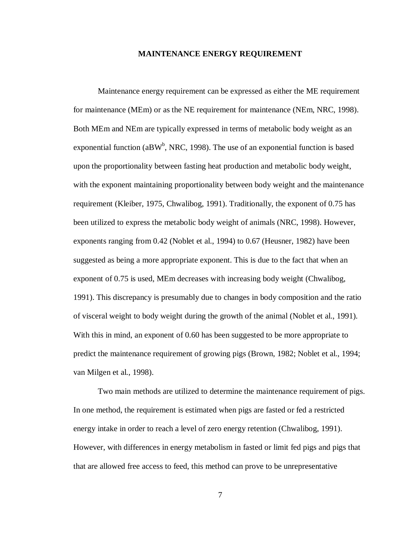#### **MAINTENANCE ENERGY REQUIREMENT**

Maintenance energy requirement can be expressed as either the ME requirement for maintenance (MEm) or as the NE requirement for maintenance (NEm, NRC, 1998). Both MEm and NEm are typically expressed in terms of metabolic body weight as an exponential function (aBW<sup>b</sup>, NRC, 1998). The use of an exponential function is based upon the proportionality between fasting heat production and metabolic body weight, with the exponent maintaining proportionality between body weight and the maintenance requirement (Kleiber, 1975, Chwalibog, 1991). Traditionally, the exponent of 0.75 has been utilized to express the metabolic body weight of animals (NRC, 1998). However, exponents ranging from 0.42 (Noblet et al., 1994) to 0.67 (Heusner, 1982) have been suggested as being a more appropriate exponent. This is due to the fact that when an exponent of 0.75 is used, MEm decreases with increasing body weight (Chwalibog, 1991). This discrepancy is presumably due to changes in body composition and the ratio of visceral weight to body weight during the growth of the animal (Noblet et al., 1991). With this in mind, an exponent of 0.60 has been suggested to be more appropriate to predict the maintenance requirement of growing pigs (Brown, 1982; Noblet et al., 1994; van Milgen et al., 1998).

Two main methods are utilized to determine the maintenance requirement of pigs. In one method, the requirement is estimated when pigs are fasted or fed a restricted energy intake in order to reach a level of zero energy retention (Chwalibog, 1991). However, with differences in energy metabolism in fasted or limit fed pigs and pigs that that are allowed free access to feed, this method can prove to be unrepresentative

7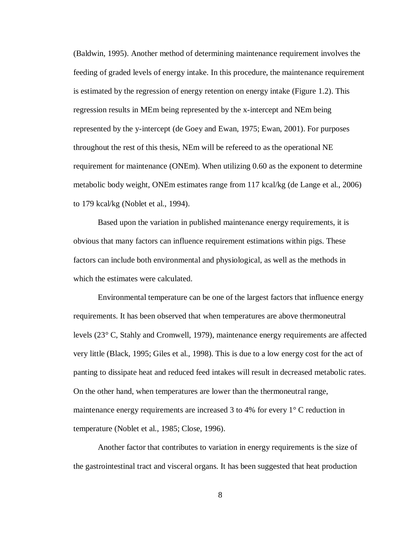(Baldwin, 1995). Another method of determining maintenance requirement involves the feeding of graded levels of energy intake. In this procedure, the maintenance requirement is estimated by the regression of energy retention on energy intake (Figure 1.2). This regression results in MEm being represented by the x-intercept and NEm being represented by the y-intercept (de Goey and Ewan, 1975; Ewan, 2001). For purposes throughout the rest of this thesis, NEm will be refereed to as the operational NE requirement for maintenance (ONEm). When utilizing 0.60 as the exponent to determine metabolic body weight, ONEm estimates range from 117 kcal/kg (de Lange et al., 2006) to 179 kcal/kg (Noblet et al., 1994).

Based upon the variation in published maintenance energy requirements, it is obvious that many factors can influence requirement estimations within pigs. These factors can include both environmental and physiological, as well as the methods in which the estimates were calculated.

Environmental temperature can be one of the largest factors that influence energy requirements. It has been observed that when temperatures are above thermoneutral levels (23° C, Stahly and Cromwell, 1979), maintenance energy requirements are affected very little (Black, 1995; Giles et al., 1998). This is due to a low energy cost for the act of panting to dissipate heat and reduced feed intakes will result in decreased metabolic rates. On the other hand, when temperatures are lower than the thermoneutral range, maintenance energy requirements are increased 3 to 4% for every 1° C reduction in temperature (Noblet et al., 1985; Close, 1996).

Another factor that contributes to variation in energy requirements is the size of the gastrointestinal tract and visceral organs. It has been suggested that heat production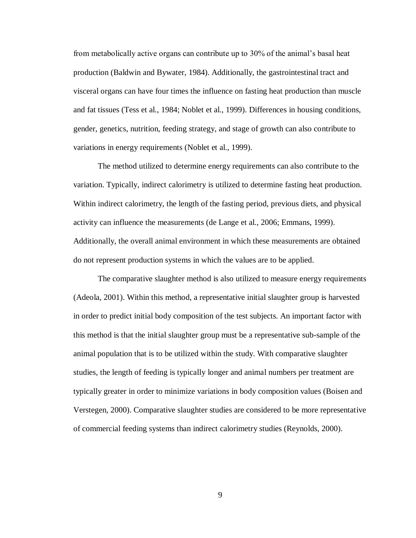from metabolically active organs can contribute up to 30% of the animal's basal heat production (Baldwin and Bywater, 1984). Additionally, the gastrointestinal tract and visceral organs can have four times the influence on fasting heat production than muscle and fat tissues (Tess et al., 1984; Noblet et al., 1999). Differences in housing conditions, gender, genetics, nutrition, feeding strategy, and stage of growth can also contribute to variations in energy requirements (Noblet et al., 1999).

The method utilized to determine energy requirements can also contribute to the variation. Typically, indirect calorimetry is utilized to determine fasting heat production. Within indirect calorimetry, the length of the fasting period, previous diets, and physical activity can influence the measurements (de Lange et al., 2006; Emmans, 1999). Additionally, the overall animal environment in which these measurements are obtained do not represent production systems in which the values are to be applied.

The comparative slaughter method is also utilized to measure energy requirements (Adeola, 2001). Within this method, a representative initial slaughter group is harvested in order to predict initial body composition of the test subjects. An important factor with this method is that the initial slaughter group must be a representative sub-sample of the animal population that is to be utilized within the study. With comparative slaughter studies, the length of feeding is typically longer and animal numbers per treatment are typically greater in order to minimize variations in body composition values (Boisen and Verstegen, 2000). Comparative slaughter studies are considered to be more representative of commercial feeding systems than indirect calorimetry studies (Reynolds, 2000).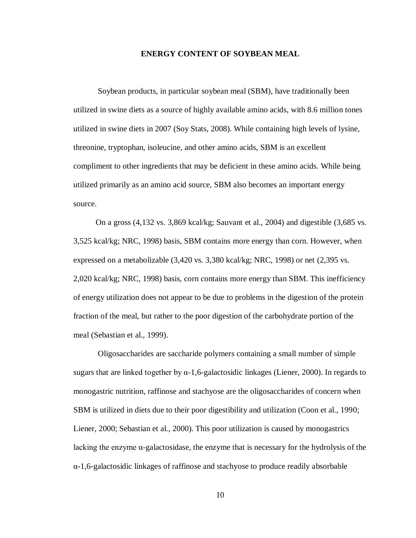#### **ENERGY CONTENT OF SOYBEAN MEAL**

Soybean products, in particular soybean meal (SBM), have traditionally been utilized in swine diets as a source of highly available amino acids, with 8.6 million tones utilized in swine diets in 2007 (Soy Stats, 2008). While containing high levels of lysine, threonine, tryptophan, isoleucine, and other amino acids, SBM is an excellent compliment to other ingredients that may be deficient in these amino acids. While being utilized primarily as an amino acid source, SBM also becomes an important energy source.

On a gross (4,132 vs. 3,869 kcal/kg; Sauvant et al., 2004) and digestible (3,685 vs. 3,525 kcal/kg; NRC, 1998) basis, SBM contains more energy than corn. However, when expressed on a metabolizable (3,420 vs. 3,380 kcal/kg; NRC, 1998) or net (2,395 vs. 2,020 kcal/kg; NRC, 1998) basis, corn contains more energy than SBM. This inefficiency of energy utilization does not appear to be due to problems in the digestion of the protein fraction of the meal, but rather to the poor digestion of the carbohydrate portion of the meal (Sebastian et al., 1999).

Oligosaccharides are saccharide polymers containing a small number of simple sugars that are linked together by  $\alpha$ -1,6-galactosidic linkages (Liener, 2000). In regards to monogastric nutrition, raffinose and stachyose are the oligosaccharides of concern when SBM is utilized in diets due to their poor digestibility and utilization (Coon et al., 1990; Liener, 2000; Sebastian et al., 2000). This poor utilization is caused by monogastrics lacking the enzyme  $\alpha$ -galactosidase, the enzyme that is necessary for the hydrolysis of the α-1,6-galactosidic linkages of raffinose and stachyose to produce readily absorbable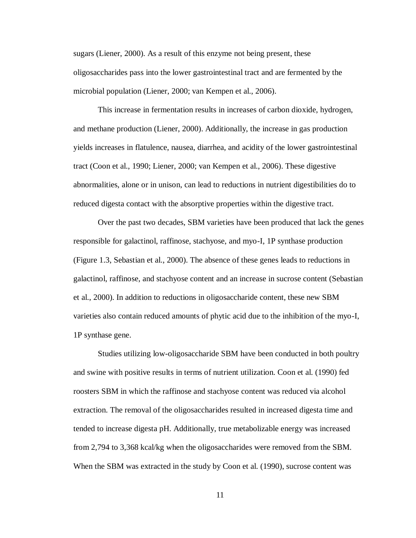sugars (Liener, 2000). As a result of this enzyme not being present, these oligosaccharides pass into the lower gastrointestinal tract and are fermented by the microbial population (Liener, 2000; van Kempen et al., 2006).

This increase in fermentation results in increases of carbon dioxide, hydrogen, and methane production (Liener, 2000). Additionally, the increase in gas production yields increases in flatulence, nausea, diarrhea, and acidity of the lower gastrointestinal tract (Coon et al., 1990; Liener, 2000; van Kempen et al., 2006). These digestive abnormalities, alone or in unison, can lead to reductions in nutrient digestibilities do to reduced digesta contact with the absorptive properties within the digestive tract.

Over the past two decades, SBM varieties have been produced that lack the genes responsible for galactinol, raffinose, stachyose, and myo-I, 1P synthase production (Figure 1.3, Sebastian et al., 2000). The absence of these genes leads to reductions in galactinol, raffinose, and stachyose content and an increase in sucrose content (Sebastian et al., 2000). In addition to reductions in oligosaccharide content, these new SBM varieties also contain reduced amounts of phytic acid due to the inhibition of the myo-I, 1P synthase gene.

Studies utilizing low-oligosaccharide SBM have been conducted in both poultry and swine with positive results in terms of nutrient utilization. Coon et al. (1990) fed roosters SBM in which the raffinose and stachyose content was reduced via alcohol extraction. The removal of the oligosaccharides resulted in increased digesta time and tended to increase digesta pH. Additionally, true metabolizable energy was increased from 2,794 to 3,368 kcal/kg when the oligosaccharides were removed from the SBM. When the SBM was extracted in the study by Coon et al. (1990), sucrose content was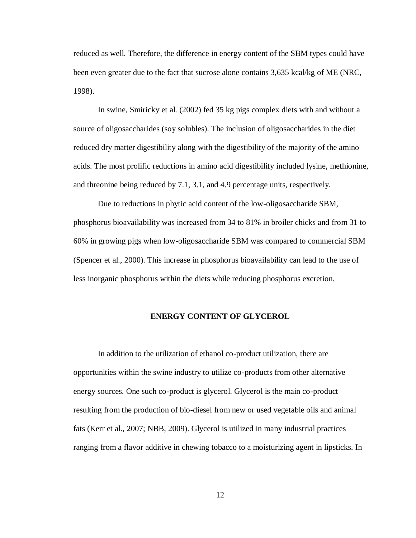reduced as well. Therefore, the difference in energy content of the SBM types could have been even greater due to the fact that sucrose alone contains 3,635 kcal/kg of ME (NRC, 1998).

In swine, Smiricky et al. (2002) fed 35 kg pigs complex diets with and without a source of oligosaccharides (soy solubles). The inclusion of oligosaccharides in the diet reduced dry matter digestibility along with the digestibility of the majority of the amino acids. The most prolific reductions in amino acid digestibility included lysine, methionine, and threonine being reduced by 7.1, 3.1, and 4.9 percentage units, respectively.

Due to reductions in phytic acid content of the low-oligosaccharide SBM, phosphorus bioavailability was increased from 34 to 81% in broiler chicks and from 31 to 60% in growing pigs when low-oligosaccharide SBM was compared to commercial SBM (Spencer et al., 2000). This increase in phosphorus bioavailability can lead to the use of less inorganic phosphorus within the diets while reducing phosphorus excretion.

#### **ENERGY CONTENT OF GLYCEROL**

In addition to the utilization of ethanol co-product utilization, there are opportunities within the swine industry to utilize co-products from other alternative energy sources. One such co-product is glycerol. Glycerol is the main co-product resulting from the production of bio-diesel from new or used vegetable oils and animal fats (Kerr et al., 2007; NBB, 2009). Glycerol is utilized in many industrial practices ranging from a flavor additive in chewing tobacco to a moisturizing agent in lipsticks. In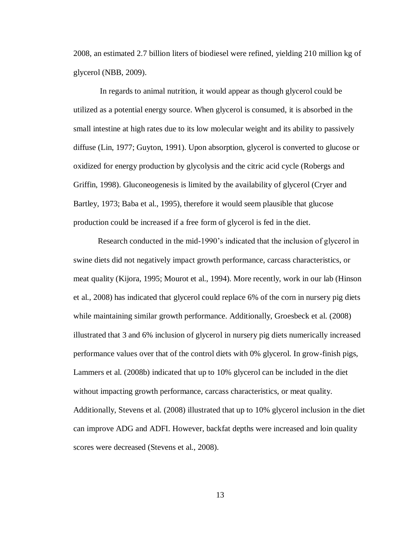2008, an estimated 2.7 billion liters of biodiesel were refined, yielding 210 million kg of glycerol (NBB, 2009).

In regards to animal nutrition, it would appear as though glycerol could be utilized as a potential energy source. When glycerol is consumed, it is absorbed in the small intestine at high rates due to its low molecular weight and its ability to passively diffuse (Lin, 1977; Guyton, 1991). Upon absorption, glycerol is converted to glucose or oxidized for energy production by glycolysis and the citric acid cycle (Robergs and Griffin, 1998). Gluconeogenesis is limited by the availability of glycerol (Cryer and Bartley, 1973; Baba et al., 1995), therefore it would seem plausible that glucose production could be increased if a free form of glycerol is fed in the diet.

Research conducted in the mid-1990's indicated that the inclusion of glycerol in swine diets did not negatively impact growth performance, carcass characteristics, or meat quality (Kijora, 1995; Mourot et al., 1994). More recently, work in our lab (Hinson et al., 2008) has indicated that glycerol could replace 6% of the corn in nursery pig diets while maintaining similar growth performance. Additionally, Groesbeck et al. (2008) illustrated that 3 and 6% inclusion of glycerol in nursery pig diets numerically increased performance values over that of the control diets with 0% glycerol. In grow-finish pigs, Lammers et al. (2008b) indicated that up to 10% glycerol can be included in the diet without impacting growth performance, carcass characteristics, or meat quality. Additionally, Stevens et al. (2008) illustrated that up to 10% glycerol inclusion in the diet can improve ADG and ADFI. However, backfat depths were increased and loin quality scores were decreased (Stevens et al., 2008).

13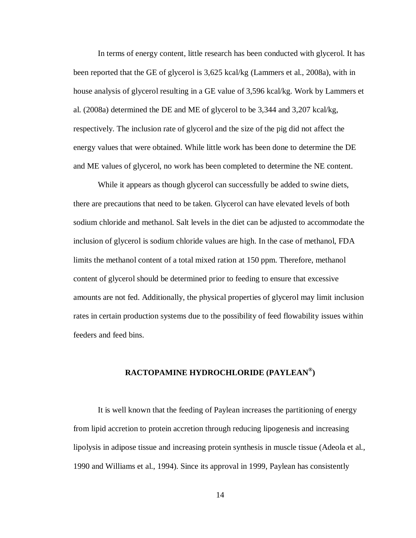In terms of energy content, little research has been conducted with glycerol. It has been reported that the GE of glycerol is 3,625 kcal/kg (Lammers et al., 2008a), with in house analysis of glycerol resulting in a GE value of 3,596 kcal/kg. Work by Lammers et al. (2008a) determined the DE and ME of glycerol to be 3,344 and 3,207 kcal/kg, respectively. The inclusion rate of glycerol and the size of the pig did not affect the energy values that were obtained. While little work has been done to determine the DE and ME values of glycerol, no work has been completed to determine the NE content.

While it appears as though glycerol can successfully be added to swine diets, there are precautions that need to be taken. Glycerol can have elevated levels of both sodium chloride and methanol. Salt levels in the diet can be adjusted to accommodate the inclusion of glycerol is sodium chloride values are high. In the case of methanol, FDA limits the methanol content of a total mixed ration at 150 ppm. Therefore, methanol content of glycerol should be determined prior to feeding to ensure that excessive amounts are not fed. Additionally, the physical properties of glycerol may limit inclusion rates in certain production systems due to the possibility of feed flowability issues within feeders and feed bins.

## **RACTOPAMINE HYDROCHLORIDE (PAYLEAN® )**

It is well known that the feeding of Paylean increases the partitioning of energy from lipid accretion to protein accretion through reducing lipogenesis and increasing lipolysis in adipose tissue and increasing protein synthesis in muscle tissue (Adeola et al., 1990 and Williams et al., 1994). Since its approval in 1999, Paylean has consistently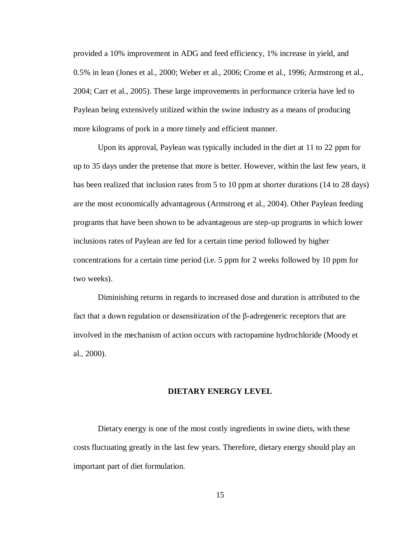provided a 10% improvement in ADG and feed efficiency, 1% increase in yield, and 0.5% in lean (Jones et al., 2000; Weber et al., 2006; Crome et al., 1996; Armstrong et al., 2004; Carr et al., 2005). These large improvements in performance criteria have led to Paylean being extensively utilized within the swine industry as a means of producing more kilograms of pork in a more timely and efficient manner.

Upon its approval, Paylean was typically included in the diet at 11 to 22 ppm for up to 35 days under the pretense that more is better. However, within the last few years, it has been realized that inclusion rates from 5 to 10 ppm at shorter durations (14 to 28 days) are the most economically advantageous (Armstrong et al., 2004). Other Paylean feeding programs that have been shown to be advantageous are step-up programs in which lower inclusions rates of Paylean are fed for a certain time period followed by higher concentrations for a certain time period (i.e. 5 ppm for 2 weeks followed by 10 ppm for two weeks).

Diminishing returns in regards to increased dose and duration is attributed to the fact that a down regulation or desensitization of the β-adregeneric receptors that are involved in the mechanism of action occurs with ractopamine hydrochloride (Moody et al., 2000).

#### **DIETARY ENERGY LEVEL**

Dietary energy is one of the most costly ingredients in swine diets, with these costs fluctuating greatly in the last few years. Therefore, dietary energy should play an important part of diet formulation.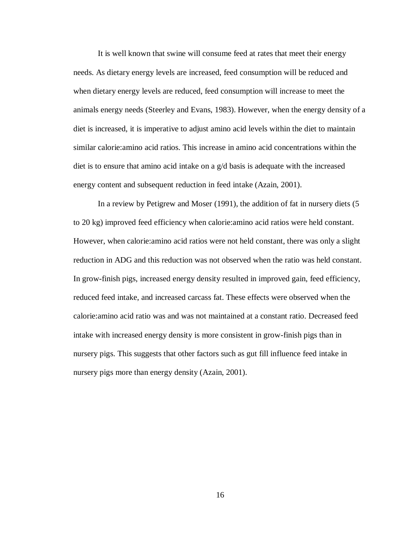It is well known that swine will consume feed at rates that meet their energy needs. As dietary energy levels are increased, feed consumption will be reduced and when dietary energy levels are reduced, feed consumption will increase to meet the animals energy needs (Steerley and Evans, 1983). However, when the energy density of a diet is increased, it is imperative to adjust amino acid levels within the diet to maintain similar calorie:amino acid ratios. This increase in amino acid concentrations within the diet is to ensure that amino acid intake on a g/d basis is adequate with the increased energy content and subsequent reduction in feed intake (Azain, 2001).

In a review by Petigrew and Moser (1991), the addition of fat in nursery diets (5 to 20 kg) improved feed efficiency when calorie:amino acid ratios were held constant. However, when calorie:amino acid ratios were not held constant, there was only a slight reduction in ADG and this reduction was not observed when the ratio was held constant. In grow-finish pigs, increased energy density resulted in improved gain, feed efficiency, reduced feed intake, and increased carcass fat. These effects were observed when the calorie:amino acid ratio was and was not maintained at a constant ratio. Decreased feed intake with increased energy density is more consistent in grow-finish pigs than in nursery pigs. This suggests that other factors such as gut fill influence feed intake in nursery pigs more than energy density (Azain, 2001).

16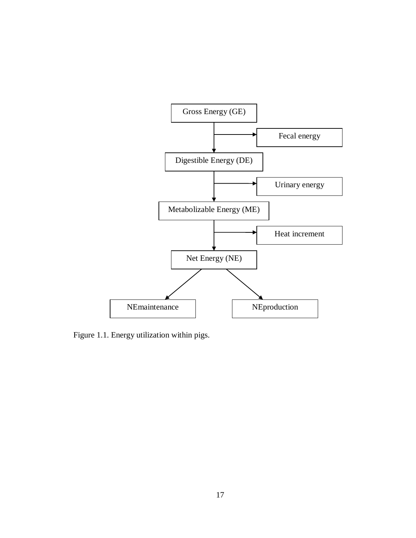

Figure 1.1. Energy utilization within pigs.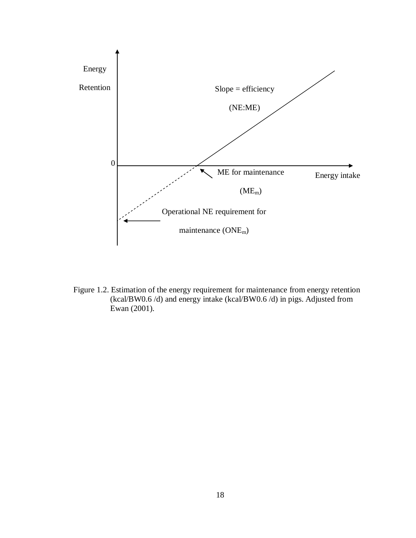

Figure 1.2. Estimation of the energy requirement for maintenance from energy retention (kcal/BW0.6 /d) and energy intake (kcal/BW0.6 /d) in pigs. Adjusted from Ewan (2001).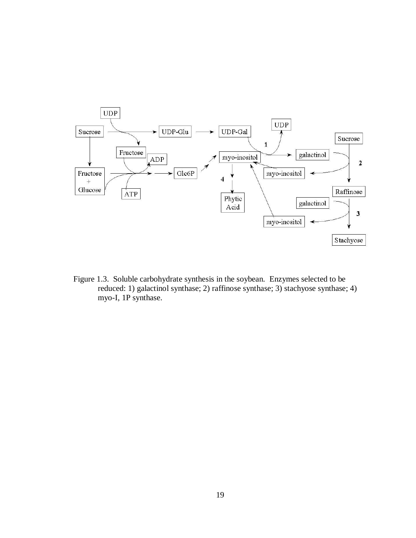

Figure 1.3. Soluble carbohydrate synthesis in the soybean. Enzymes selected to be reduced: 1) galactinol synthase; 2) raffinose synthase; 3) stachyose synthase; 4) myo-I, 1P synthase.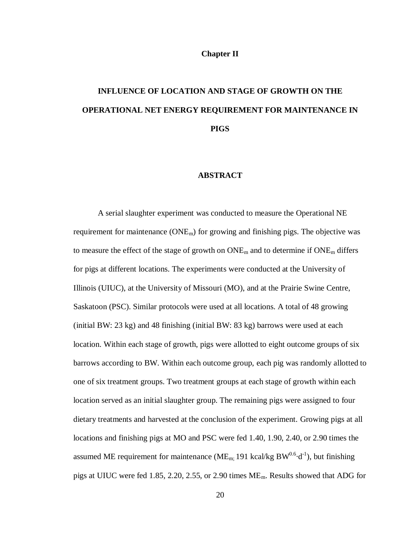#### **Chapter II**

# **INFLUENCE OF LOCATION AND STAGE OF GROWTH ON THE OPERATIONAL NET ENERGY REQUIREMENT FOR MAINTENANCE IN PIGS**

#### **ABSTRACT**

A serial slaughter experiment was conducted to measure the Operational NE requirement for maintenance  $(ONE<sub>m</sub>)$  for growing and finishing pigs. The objective was to measure the effect of the stage of growth on  $ONE_m$  and to determine if  $ONE_m$  differs for pigs at different locations. The experiments were conducted at the University of Illinois (UIUC), at the University of Missouri (MO), and at the Prairie Swine Centre, Saskatoon (PSC). Similar protocols were used at all locations. A total of 48 growing (initial BW:  $23 \text{ kg}$ ) and 48 finishing (initial BW:  $83 \text{ kg}$ ) barrows were used at each location. Within each stage of growth, pigs were allotted to eight outcome groups of six barrows according to BW. Within each outcome group, each pig was randomly allotted to one of six treatment groups. Two treatment groups at each stage of growth within each location served as an initial slaughter group. The remaining pigs were assigned to four dietary treatments and harvested at the conclusion of the experiment. Growing pigs at all locations and finishing pigs at MO and PSC were fed 1.40, 1.90, 2.40, or 2.90 times the assumed ME requirement for maintenance (ME<sub>m;</sub> 191 kcal/kg BW<sup>0.6</sup> $\cdot$ d<sup>-1</sup>), but finishing pigs at UIUC were fed 1.85, 2.20, 2.55, or 2.90 times  $ME_m$ . Results showed that ADG for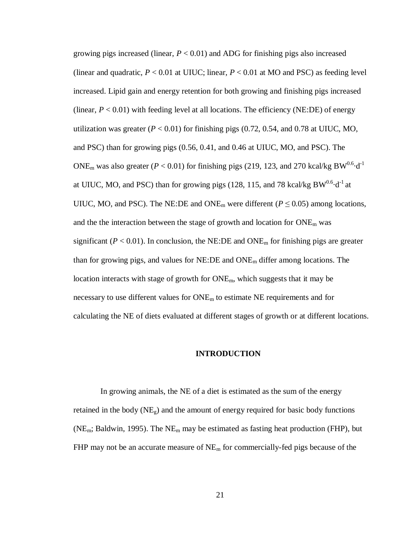growing pigs increased (linear,  $P < 0.01$ ) and ADG for finishing pigs also increased (linear and quadratic,  $P < 0.01$  at UIUC; linear,  $P < 0.01$  at MO and PSC) as feeding level increased. Lipid gain and energy retention for both growing and finishing pigs increased (linear,  $P < 0.01$ ) with feeding level at all locations. The efficiency (NE:DE) of energy utilization was greater  $(P < 0.01)$  for finishing pigs  $(0.72, 0.54, \text{ and } 0.78 \text{ at UIUC}, \text{MO},$ and PSC) than for growing pigs (0.56, 0.41, and 0.46 at UIUC, MO, and PSC). The ONE<sub>m</sub> was also greater ( $P < 0.01$ ) for finishing pigs (219, 123, and 270 kcal/kg BW<sup>0.6</sup>·d<sup>-1</sup> at UIUC, MO, and PSC) than for growing pigs (128, 115, and 78 kcal/kg  $BW^{0.6} \cdot d^{-1}$  at UIUC, MO, and PSC). The NE:DE and ONE<sub>m</sub> were different ( $P \le 0.05$ ) among locations, and the the interaction between the stage of growth and location for  $ONE<sub>m</sub>$  was significant ( $P < 0.01$ ). In conclusion, the NE:DE and ONE<sub>m</sub> for finishing pigs are greater than for growing pigs, and values for NE:DE and ONE<sup>m</sup> differ among locations. The location interacts with stage of growth for ONEm, which suggests that it may be necessary to use different values for  $\text{ONE}_{m}$  to estimate NE requirements and for calculating the NE of diets evaluated at different stages of growth or at different locations.

#### **INTRODUCTION**

In growing animals, the NE of a diet is estimated as the sum of the energy retained in the body  $(NE_g)$  and the amount of energy required for basic body functions ( $NE<sub>m</sub>$ ; Baldwin, 1995). The  $NE<sub>m</sub>$  may be estimated as fasting heat production (FHP), but FHP may not be an accurate measure of  $NE<sub>m</sub>$  for commercially-fed pigs because of the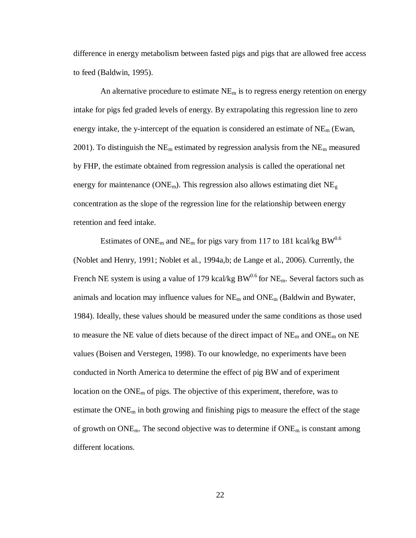difference in energy metabolism between fasted pigs and pigs that are allowed free access to feed (Baldwin, 1995).

An alternative procedure to estimate  $NE<sub>m</sub>$  is to regress energy retention on energy intake for pigs fed graded levels of energy. By extrapolating this regression line to zero energy intake, the y-intercept of the equation is considered an estimate of  $NE<sub>m</sub>$  (Ewan, 2001). To distinguish the NE<sub>m</sub> estimated by regression analysis from the NE<sub>m</sub> measured by FHP, the estimate obtained from regression analysis is called the operational net energy for maintenance ( $\text{ONE}_{\text{m}}$ ). This regression also allows estimating diet  $\text{NE}_{g}$ concentration as the slope of the regression line for the relationship between energy retention and feed intake.

Estimates of ONE<sub>m</sub> and NE<sub>m</sub> for pigs vary from 117 to 181 kcal/kg BW<sup>0.6</sup> (Noblet and Henry, 1991; Noblet et al., 1994a,b; de Lange et al., 2006). Currently, the French NE system is using a value of 179 kcal/kg  $BW^{0.6}$  for NE<sub>m</sub>. Several factors such as animals and location may influence values for  $NE<sub>m</sub>$  and  $ONE<sub>m</sub>$  (Baldwin and Bywater, 1984). Ideally, these values should be measured under the same conditions as those used to measure the NE value of diets because of the direct impact of  $NE<sub>m</sub>$  and  $ONE<sub>m</sub>$  on NE values (Boisen and Verstegen, 1998). To our knowledge, no experiments have been conducted in North America to determine the effect of pig BW and of experiment location on the  $\text{ONE}_{\text{m}}$  of pigs. The objective of this experiment, therefore, was to estimate the  $\text{ONE}_{\text{m}}$  in both growing and finishing pigs to measure the effect of the stage of growth on  $\text{ONE}_{\text{m}}$ . The second objective was to determine if  $\text{ONE}_{\text{m}}$  is constant among different locations.

22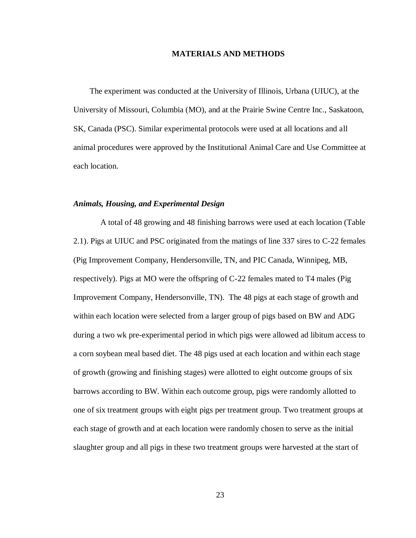#### **MATERIALS AND METHODS**

The experiment was conducted at the University of Illinois, Urbana (UIUC), at the University of Missouri, Columbia (MO), and at the Prairie Swine Centre Inc., Saskatoon, SK, Canada (PSC). Similar experimental protocols were used at all locations and all animal procedures were approved by the Institutional Animal Care and Use Committee at each location.

#### *Animals, Housing, and Experimental Design*

A total of 48 growing and 48 finishing barrows were used at each location (Table 2.1). Pigs at UIUC and PSC originated from the matings of line 337 sires to C-22 females (Pig Improvement Company, Hendersonville, TN, and PIC Canada, Winnipeg, MB, respectively). Pigs at MO were the offspring of C-22 females mated to T4 males (Pig Improvement Company, Hendersonville, TN). The 48 pigs at each stage of growth and within each location were selected from a larger group of pigs based on BW and ADG during a two wk pre-experimental period in which pigs were allowed ad libitum access to a corn soybean meal based diet. The 48 pigs used at each location and within each stage of growth (growing and finishing stages) were allotted to eight outcome groups of six barrows according to BW. Within each outcome group, pigs were randomly allotted to one of six treatment groups with eight pigs per treatment group. Two treatment groups at each stage of growth and at each location were randomly chosen to serve as the initial slaughter group and all pigs in these two treatment groups were harvested at the start of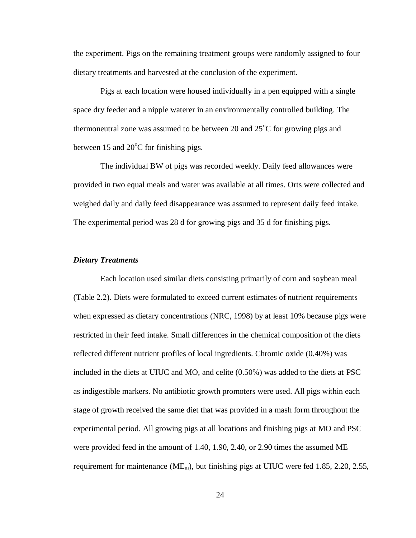the experiment. Pigs on the remaining treatment groups were randomly assigned to four dietary treatments and harvested at the conclusion of the experiment.

Pigs at each location were housed individually in a pen equipped with a single space dry feeder and a nipple waterer in an environmentally controlled building. The thermoneutral zone was assumed to be between 20 and  $25^{\circ}$ C for growing pigs and between 15 and  $20^{\circ}$ C for finishing pigs.

The individual BW of pigs was recorded weekly. Daily feed allowances were provided in two equal meals and water was available at all times. Orts were collected and weighed daily and daily feed disappearance was assumed to represent daily feed intake. The experimental period was 28 d for growing pigs and 35 d for finishing pigs.

#### *Dietary Treatments*

Each location used similar diets consisting primarily of corn and soybean meal (Table 2.2). Diets were formulated to exceed current estimates of nutrient requirements when expressed as dietary concentrations (NRC, 1998) by at least 10% because pigs were restricted in their feed intake. Small differences in the chemical composition of the diets reflected different nutrient profiles of local ingredients. Chromic oxide (0.40%) was included in the diets at UIUC and MO, and celite (0.50%) was added to the diets at PSC as indigestible markers. No antibiotic growth promoters were used. All pigs within each stage of growth received the same diet that was provided in a mash form throughout the experimental period. All growing pigs at all locations and finishing pigs at MO and PSC were provided feed in the amount of 1.40, 1.90, 2.40, or 2.90 times the assumed ME requirement for maintenance ( $ME<sub>m</sub>$ ), but finishing pigs at UIUC were fed 1.85, 2.20, 2.55,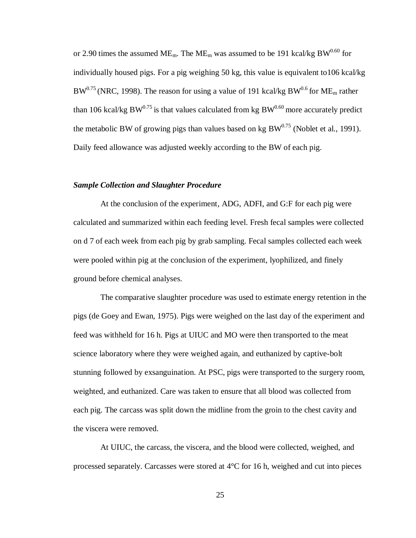or 2.90 times the assumed ME<sub>m</sub>. The ME<sub>m</sub> was assumed to be 191 kcal/kg BW<sup>0.60</sup> for individually housed pigs. For a pig weighing 50 kg, this value is equivalent to106 kcal/kg  $BW^{0.75}$  (NRC, 1998). The reason for using a value of 191 kcal/kg BW<sup>0.6</sup> for ME<sub>m</sub> rather than 106 kcal/kg BW $^{0.75}$  is that values calculated from kg BW $^{0.60}$  more accurately predict the metabolic BW of growing pigs than values based on kg  $BW^{0.75}$  (Noblet et al., 1991). Daily feed allowance was adjusted weekly according to the BW of each pig.

#### *Sample Collection and Slaughter Procedure*

At the conclusion of the experiment, ADG, ADFI, and G:F for each pig were calculated and summarized within each feeding level. Fresh fecal samples were collected on d 7 of each week from each pig by grab sampling. Fecal samples collected each week were pooled within pig at the conclusion of the experiment, lyophilized, and finely ground before chemical analyses.

The comparative slaughter procedure was used to estimate energy retention in the pigs (de Goey and Ewan, 1975). Pigs were weighed on the last day of the experiment and feed was withheld for 16 h. Pigs at UIUC and MO were then transported to the meat science laboratory where they were weighed again, and euthanized by captive-bolt stunning followed by exsanguination. At PSC, pigs were transported to the surgery room, weighted, and euthanized. Care was taken to ensure that all blood was collected from each pig. The carcass was split down the midline from the groin to the chest cavity and the viscera were removed.

At UIUC, the carcass, the viscera, and the blood were collected, weighed, and processed separately. Carcasses were stored at 4°C for 16 h, weighed and cut into pieces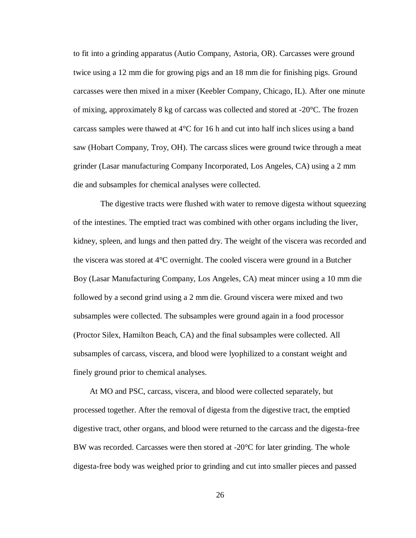to fit into a grinding apparatus (Autio Company, Astoria, OR). Carcasses were ground twice using a 12 mm die for growing pigs and an 18 mm die for finishing pigs. Ground carcasses were then mixed in a mixer (Keebler Company, Chicago, IL). After one minute of mixing, approximately 8 kg of carcass was collected and stored at -20°C. The frozen carcass samples were thawed at  $4^{\circ}$ C for 16 h and cut into half inch slices using a band saw (Hobart Company, Troy, OH). The carcass slices were ground twice through a meat grinder (Lasar manufacturing Company Incorporated, Los Angeles, CA) using a 2 mm die and subsamples for chemical analyses were collected.

The digestive tracts were flushed with water to remove digesta without squeezing of the intestines. The emptied tract was combined with other organs including the liver, kidney, spleen, and lungs and then patted dry. The weight of the viscera was recorded and the viscera was stored at 4°C overnight. The cooled viscera were ground in a Butcher Boy (Lasar Manufacturing Company, Los Angeles, CA) meat mincer using a 10 mm die followed by a second grind using a 2 mm die. Ground viscera were mixed and two subsamples were collected. The subsamples were ground again in a food processor (Proctor Silex, Hamilton Beach, CA) and the final subsamples were collected. All subsamples of carcass, viscera, and blood were lyophilized to a constant weight and finely ground prior to chemical analyses.

At MO and PSC, carcass, viscera, and blood were collected separately, but processed together. After the removal of digesta from the digestive tract, the emptied digestive tract, other organs, and blood were returned to the carcass and the digesta-free BW was recorded. Carcasses were then stored at  $-20^{\circ}$ C for later grinding. The whole digesta-free body was weighed prior to grinding and cut into smaller pieces and passed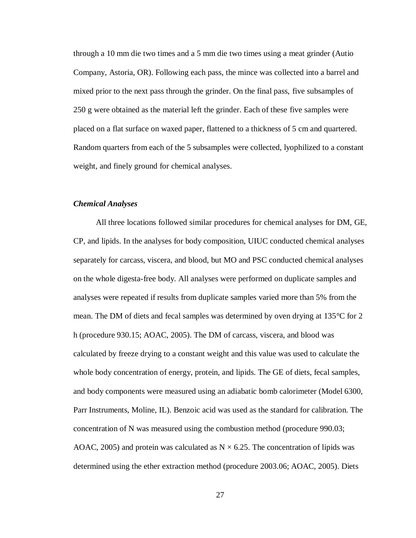through a 10 mm die two times and a 5 mm die two times using a meat grinder (Autio Company, Astoria, OR). Following each pass, the mince was collected into a barrel and mixed prior to the next pass through the grinder. On the final pass, five subsamples of 250 g were obtained as the material left the grinder. Each of these five samples were placed on a flat surface on waxed paper, flattened to a thickness of 5 cm and quartered. Random quarters from each of the 5 subsamples were collected, lyophilized to a constant weight, and finely ground for chemical analyses.

## *Chemical Analyses*

All three locations followed similar procedures for chemical analyses for DM, GE, CP, and lipids. In the analyses for body composition, UIUC conducted chemical analyses separately for carcass, viscera, and blood, but MO and PSC conducted chemical analyses on the whole digesta-free body. All analyses were performed on duplicate samples and analyses were repeated if results from duplicate samples varied more than 5% from the mean. The DM of diets and fecal samples was determined by oven drying at 135°C for 2 h (procedure 930.15; AOAC, 2005). The DM of carcass, viscera, and blood was calculated by freeze drying to a constant weight and this value was used to calculate the whole body concentration of energy, protein, and lipids. The GE of diets, fecal samples, and body components were measured using an adiabatic bomb calorimeter (Model 6300, Parr Instruments, Moline, IL). Benzoic acid was used as the standard for calibration. The concentration of N was measured using the combustion method (procedure 990.03; AOAC, 2005) and protein was calculated as  $N \times 6.25$ . The concentration of lipids was determined using the ether extraction method (procedure 2003.06; AOAC, 2005). Diets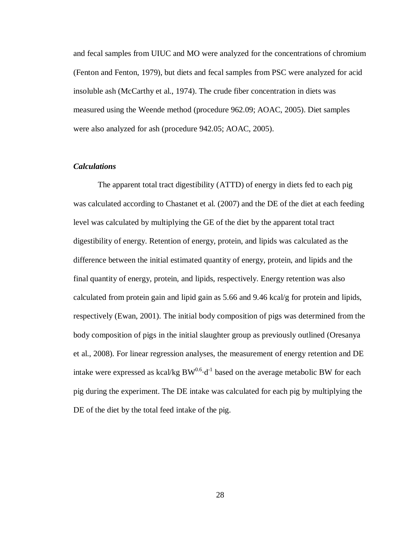and fecal samples from UIUC and MO were analyzed for the concentrations of chromium (Fenton and Fenton, 1979), but diets and fecal samples from PSC were analyzed for acid insoluble ash (McCarthy et al., 1974). The crude fiber concentration in diets was measured using the Weende method (procedure 962.09; AOAC, 2005). Diet samples were also analyzed for ash (procedure 942.05; AOAC, 2005).

## *Calculations*

The apparent total tract digestibility (ATTD) of energy in diets fed to each pig was calculated according to Chastanet et al. (2007) and the DE of the diet at each feeding level was calculated by multiplying the GE of the diet by the apparent total tract digestibility of energy. Retention of energy, protein, and lipids was calculated as the difference between the initial estimated quantity of energy, protein, and lipids and the final quantity of energy, protein, and lipids, respectively. Energy retention was also calculated from protein gain and lipid gain as 5.66 and 9.46 kcal/g for protein and lipids, respectively (Ewan, 2001). The initial body composition of pigs was determined from the body composition of pigs in the initial slaughter group as previously outlined (Oresanya et al., 2008). For linear regression analyses, the measurement of energy retention and DE intake were expressed as kcal/kg  $BW^{0.6}d^{-1}$  based on the average metabolic BW for each pig during the experiment. The DE intake was calculated for each pig by multiplying the DE of the diet by the total feed intake of the pig.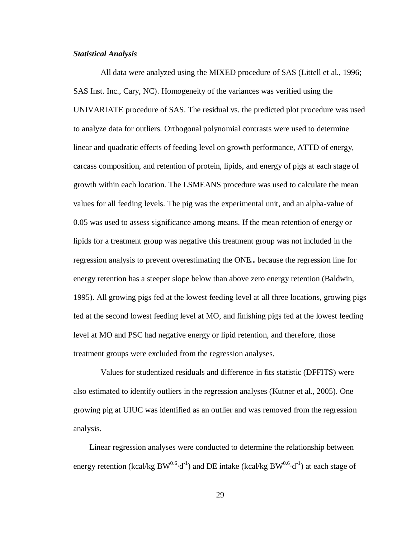## *Statistical Analysis*

All data were analyzed using the MIXED procedure of SAS (Littell et al., 1996; SAS Inst. Inc., Cary, NC). Homogeneity of the variances was verified using the UNIVARIATE procedure of SAS. The residual vs. the predicted plot procedure was used to analyze data for outliers. Orthogonal polynomial contrasts were used to determine linear and quadratic effects of feeding level on growth performance, ATTD of energy, carcass composition, and retention of protein, lipids, and energy of pigs at each stage of growth within each location. The LSMEANS procedure was used to calculate the mean values for all feeding levels. The pig was the experimental unit, and an alpha-value of 0.05 was used to assess significance among means. If the mean retention of energy or lipids for a treatment group was negative this treatment group was not included in the regression analysis to prevent overestimating the  $ONE<sub>m</sub>$  because the regression line for energy retention has a steeper slope below than above zero energy retention (Baldwin, 1995). All growing pigs fed at the lowest feeding level at all three locations, growing pigs fed at the second lowest feeding level at MO, and finishing pigs fed at the lowest feeding level at MO and PSC had negative energy or lipid retention, and therefore, those treatment groups were excluded from the regression analyses.

Values for studentized residuals and difference in fits statistic (DFFITS) were also estimated to identify outliers in the regression analyses (Kutner et al., 2005). One growing pig at UIUC was identified as an outlier and was removed from the regression analysis.

Linear regression analyses were conducted to determine the relationship between energy retention (kcal/kg BW<sup>0.6</sup>·d<sup>-1</sup>) and DE intake (kcal/kg BW<sup>0.6</sup>·d<sup>-1</sup>) at each stage of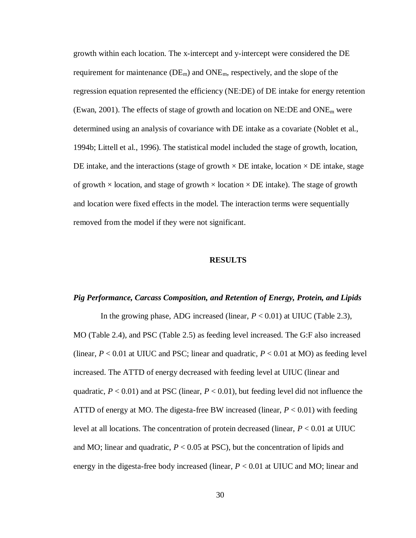growth within each location. The x-intercept and y-intercept were considered the DE requirement for maintenance  $(DE_m)$  and  $ONE_m$ , respectively, and the slope of the regression equation represented the efficiency (NE:DE) of DE intake for energy retention (Ewan, 2001). The effects of stage of growth and location on  $NE:DE$  and  $ONE<sub>m</sub>$  were determined using an analysis of covariance with DE intake as a covariate (Noblet et al., 1994b; Littell et al., 1996). The statistical model included the stage of growth, location, DE intake, and the interactions (stage of growth  $\times$  DE intake, location  $\times$  DE intake, stage of growth  $\times$  location, and stage of growth  $\times$  location  $\times$  DE intake). The stage of growth and location were fixed effects in the model. The interaction terms were sequentially removed from the model if they were not significant.

#### **RESULTS**

# *Pig Performance, Carcass Composition, and Retention of Energy, Protein, and Lipids*

In the growing phase, ADG increased (linear,  $P < 0.01$ ) at UIUC (Table 2.3), MO (Table 2.4), and PSC (Table 2.5) as feeding level increased. The G:F also increased (linear,  $P < 0.01$  at UIUC and PSC; linear and quadratic,  $P < 0.01$  at MO) as feeding level increased. The ATTD of energy decreased with feeding level at UIUC (linear and quadratic,  $P < 0.01$ ) and at PSC (linear,  $P < 0.01$ ), but feeding level did not influence the ATTD of energy at MO. The digesta-free BW increased (linear,  $P < 0.01$ ) with feeding level at all locations. The concentration of protein decreased (linear, *P* < 0.01 at UIUC and MO; linear and quadratic,  $P < 0.05$  at PSC), but the concentration of lipids and energy in the digesta-free body increased (linear, *P* < 0.01 at UIUC and MO; linear and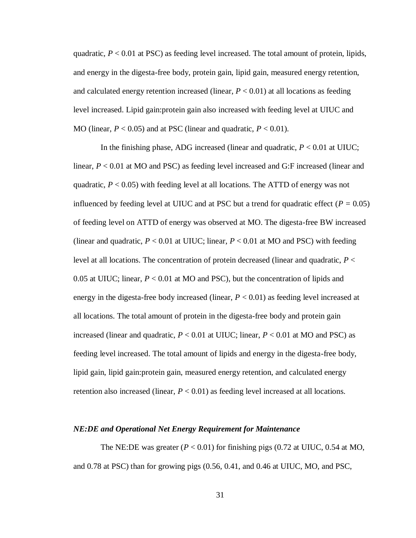quadratic,  $P < 0.01$  at PSC) as feeding level increased. The total amount of protein, lipids, and energy in the digesta-free body, protein gain, lipid gain, measured energy retention, and calculated energy retention increased (linear,  $P < 0.01$ ) at all locations as feeding level increased. Lipid gain:protein gain also increased with feeding level at UIUC and MO (linear,  $P < 0.05$ ) and at PSC (linear and quadratic,  $P < 0.01$ ).

In the finishing phase, ADG increased (linear and quadratic,  $P < 0.01$  at UIUC; linear,  $P < 0.01$  at MO and PSC) as feeding level increased and G:F increased (linear and quadratic,  $P < 0.05$ ) with feeding level at all locations. The ATTD of energy was not influenced by feeding level at UIUC and at PSC but a trend for quadratic effect ( $P = 0.05$ ) of feeding level on ATTD of energy was observed at MO. The digesta-free BW increased (linear and quadratic,  $P < 0.01$  at UIUC; linear,  $P < 0.01$  at MO and PSC) with feeding level at all locations. The concentration of protein decreased (linear and quadratic, *P* < 0.05 at UIUC; linear, *P* < 0.01 at MO and PSC), but the concentration of lipids and energy in the digesta-free body increased (linear, *P* < 0.01) as feeding level increased at all locations. The total amount of protein in the digesta-free body and protein gain increased (linear and quadratic,  $P < 0.01$  at UIUC; linear,  $P < 0.01$  at MO and PSC) as feeding level increased. The total amount of lipids and energy in the digesta-free body, lipid gain, lipid gain:protein gain, measured energy retention, and calculated energy retention also increased (linear,  $P < 0.01$ ) as feeding level increased at all locations.

#### *NE:DE and Operational Net Energy Requirement for Maintenance*

The NE:DE was greater  $(P < 0.01)$  for finishing pigs  $(0.72 \text{ at UIUC}, 0.54 \text{ at MO},$ and 0.78 at PSC) than for growing pigs (0.56, 0.41, and 0.46 at UIUC, MO, and PSC,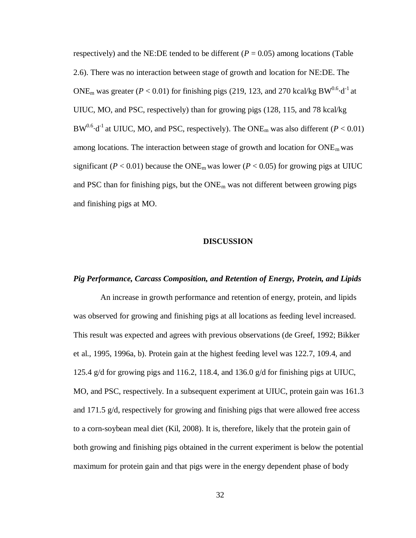respectively) and the NE:DE tended to be different  $(P = 0.05)$  among locations (Table 2.6). There was no interaction between stage of growth and location for NE:DE. The ONE<sub>m</sub> was greater ( $P < 0.01$ ) for finishing pigs (219, 123, and 270 kcal/kg BW<sup>0.6</sup> $\cdot$ d<sup>-1</sup> at UIUC, MO, and PSC, respectively) than for growing pigs (128, 115, and 78 kcal/kg  $BW^{0.6} \cdot d^{-1}$  at UIUC, MO, and PSC, respectively). The ONE<sub>m</sub> was also different ( $P < 0.01$ ) among locations. The interaction between stage of growth and location for  $ONE<sub>m</sub>$  was significant ( $P < 0.01$ ) because the ONE<sub>m</sub> was lower ( $P < 0.05$ ) for growing pigs at UIUC and PSC than for finishing pigs, but the  $ONE<sub>m</sub>$  was not different between growing pigs and finishing pigs at MO.

#### **DISCUSSION**

## *Pig Performance, Carcass Composition, and Retention of Energy, Protein, and Lipids*

An increase in growth performance and retention of energy, protein, and lipids was observed for growing and finishing pigs at all locations as feeding level increased. This result was expected and agrees with previous observations (de Greef, 1992; Bikker et al., 1995, 1996a, b). Protein gain at the highest feeding level was 122.7, 109.4, and 125.4 g/d for growing pigs and 116.2, 118.4, and 136.0 g/d for finishing pigs at UIUC, MO, and PSC, respectively. In a subsequent experiment at UIUC, protein gain was 161.3 and 171.5 g/d, respectively for growing and finishing pigs that were allowed free access to a corn-soybean meal diet (Kil, 2008). It is, therefore, likely that the protein gain of both growing and finishing pigs obtained in the current experiment is below the potential maximum for protein gain and that pigs were in the energy dependent phase of body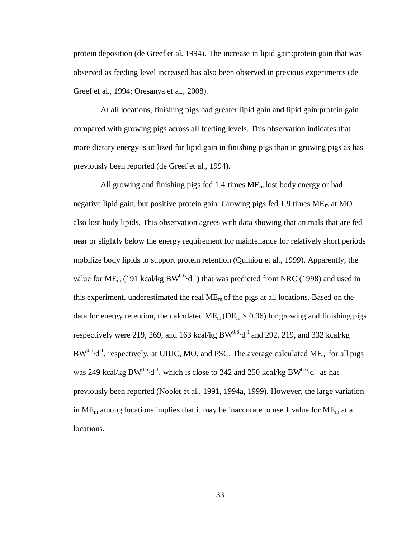protein deposition (de Greef et al. 1994). The increase in lipid gain:protein gain that was observed as feeding level increased has also been observed in previous experiments (de Greef et al., 1994; Oresanya et al., 2008).

At all locations, finishing pigs had greater lipid gain and lipid gain:protein gain compared with growing pigs across all feeding levels. This observation indicates that more dietary energy is utilized for lipid gain in finishing pigs than in growing pigs as has previously been reported (de Greef et al., 1994).

All growing and finishing pigs fed 1.4 times  $ME<sub>m</sub>$  lost body energy or had negative lipid gain, but positive protein gain. Growing pigs fed 1.9 times  $ME<sub>m</sub>$  at MO also lost body lipids. This observation agrees with data showing that animals that are fed near or slightly below the energy requirement for maintenance for relatively short periods mobilize body lipids to support protein retention (Quiniou et al., 1999). Apparently, the value for ME<sub>m</sub> (191 kcal/kg BW<sup>0.6</sup> $\cdot$ d<sup>-1</sup>) that was predicted from NRC (1998) and used in this experiment, underestimated the real  $ME<sub>m</sub>$  of the pigs at all locations. Based on the data for energy retention, the calculated  $ME<sub>m</sub>$  ( $DE<sub>m</sub> \times 0.96$ ) for growing and finishing pigs respectively were 219, 269, and 163 kcal/kg  $BW^{0.6} \cdot d^{-1}$  and 292, 219, and 332 kcal/kg  $BW^{0.6}\cdot d^{-1}$ , respectively, at UIUC, MO, and PSC. The average calculated ME<sub>m</sub> for all pigs was 249 kcal/kg  $BW^{0.6} \cdot d^{-1}$ , which is close to 242 and 250 kcal/kg  $BW^{0.6} \cdot d^{-1}$  as has previously been reported (Noblet et al., 1991, 1994a, 1999). However, the large variation in  $ME<sub>m</sub>$  among locations implies that it may be inaccurate to use 1 value for  $ME<sub>m</sub>$  at all locations.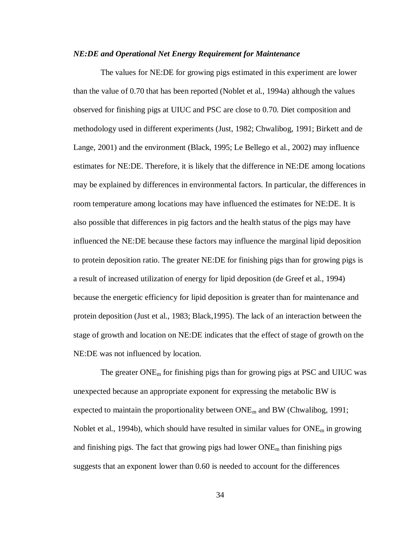## *NE:DE and Operational Net Energy Requirement for Maintenance*

The values for NE:DE for growing pigs estimated in this experiment are lower than the value of 0.70 that has been reported (Noblet et al., 1994a) although the values observed for finishing pigs at UIUC and PSC are close to 0.70. Diet composition and methodology used in different experiments (Just, 1982; Chwalibog, 1991; Birkett and de Lange, 2001) and the environment (Black, 1995; Le Bellego et al., 2002) may influence estimates for NE:DE. Therefore, it is likely that the difference in NE:DE among locations may be explained by differences in environmental factors. In particular, the differences in room temperature among locations may have influenced the estimates for NE:DE. It is also possible that differences in pig factors and the health status of the pigs may have influenced the NE:DE because these factors may influence the marginal lipid deposition to protein deposition ratio. The greater NE:DE for finishing pigs than for growing pigs is a result of increased utilization of energy for lipid deposition (de Greef et al., 1994) because the energetic efficiency for lipid deposition is greater than for maintenance and protein deposition (Just et al., 1983; Black,1995). The lack of an interaction between the stage of growth and location on NE:DE indicates that the effect of stage of growth on the NE:DE was not influenced by location.

The greater  $\text{ONE}_{\text{m}}$  for finishing pigs than for growing pigs at PSC and UIUC was unexpected because an appropriate exponent for expressing the metabolic BW is expected to maintain the proportionality between  $\text{ONE}_{m}$  and BW (Chwalibog, 1991; Noblet et al., 1994b), which should have resulted in similar values for  $\text{ONE}_{\text{m}}$  in growing and finishing pigs. The fact that growing pigs had lower  $\text{ONE}_{\text{m}}$  than finishing pigs suggests that an exponent lower than 0.60 is needed to account for the differences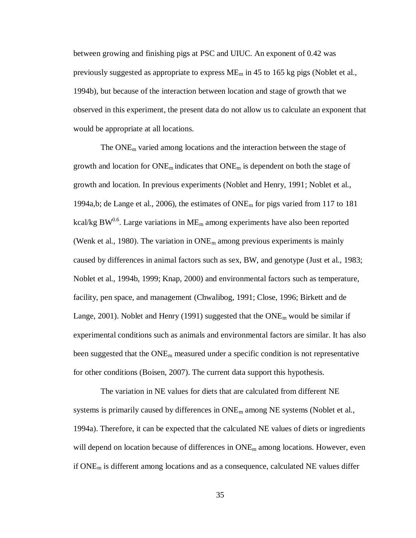between growing and finishing pigs at PSC and UIUC. An exponent of 0.42 was previously suggested as appropriate to express  $ME_m$  in 45 to 165 kg pigs (Noblet et al., 1994b), but because of the interaction between location and stage of growth that we observed in this experiment, the present data do not allow us to calculate an exponent that would be appropriate at all locations.

The  $ONE<sub>m</sub>$  varied among locations and the interaction between the stage of growth and location for  $\text{ONE}_{\text{m}}$  indicates that  $\text{ONE}_{\text{m}}$  is dependent on both the stage of growth and location. In previous experiments (Noblet and Henry, 1991; Noblet et al., 1994a,b; de Lange et al., 2006), the estimates of ONE<sup>m</sup> for pigs varied from 117 to 181 kcal/kg BW<sup>0.6</sup>. Large variations in ME<sub>m</sub> among experiments have also been reported (Wenk et al., 1980). The variation in  $\overline{ONE}_m$  among previous experiments is mainly caused by differences in animal factors such as sex, BW, and genotype (Just et al., 1983; Noblet et al., 1994b, 1999; Knap, 2000) and environmental factors such as temperature, facility, pen space, and management (Chwalibog, 1991; Close, 1996; Birkett and de Lange, 2001). Noblet and Henry (1991) suggested that the  $ONE<sub>m</sub>$  would be similar if experimental conditions such as animals and environmental factors are similar. It has also been suggested that the  $ONE<sub>m</sub>$  measured under a specific condition is not representative for other conditions (Boisen, 2007). The current data support this hypothesis.

The variation in NE values for diets that are calculated from different NE systems is primarily caused by differences in  $ONE<sub>m</sub>$  among NE systems (Noblet et al., 1994a). Therefore, it can be expected that the calculated NE values of diets or ingredients will depend on location because of differences in  $ONE<sub>m</sub>$  among locations. However, even if ONE<sup>m</sup> is different among locations and as a consequence, calculated NE values differ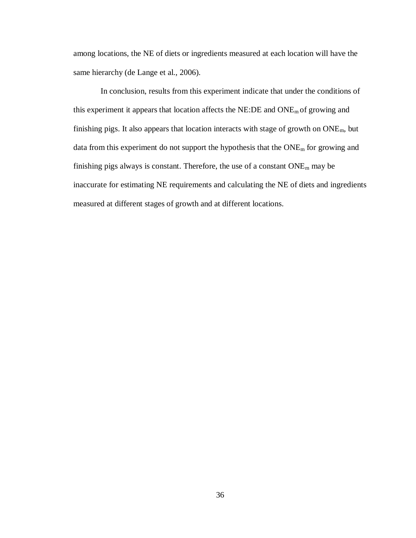among locations, the NE of diets or ingredients measured at each location will have the same hierarchy (de Lange et al., 2006).

In conclusion, results from this experiment indicate that under the conditions of this experiment it appears that location affects the NE:DE and ONEm of growing and finishing pigs. It also appears that location interacts with stage of growth on ONEm, but data from this experiment do not support the hypothesis that the ONE<sub>m</sub> for growing and finishing pigs always is constant. Therefore, the use of a constant ONE<sup>m</sup> may be inaccurate for estimating NE requirements and calculating the NE of diets and ingredients measured at different stages of growth and at different locations.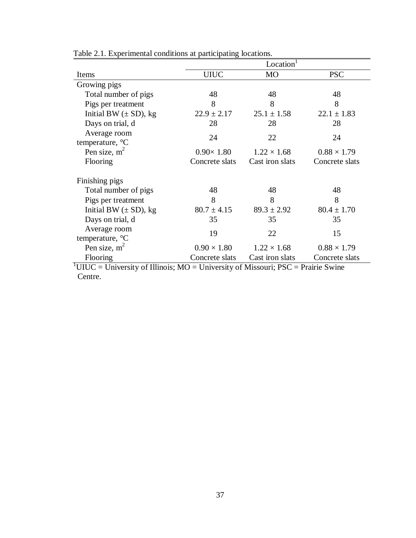|                                                                                                  | Location <sup>1</sup> |                    |                    |  |  |  |  |  |  |
|--------------------------------------------------------------------------------------------------|-----------------------|--------------------|--------------------|--|--|--|--|--|--|
| Items                                                                                            | <b>UIUC</b>           | <b>MO</b>          | <b>PSC</b>         |  |  |  |  |  |  |
| Growing pigs                                                                                     |                       |                    |                    |  |  |  |  |  |  |
| Total number of pigs                                                                             | 48                    | 48                 | 48                 |  |  |  |  |  |  |
| Pigs per treatment                                                                               | 8                     | 8                  | 8                  |  |  |  |  |  |  |
| Initial BW $(\pm SD)$ , kg                                                                       | $22.9 \pm 2.17$       | $25.1 \pm 1.58$    | $22.1 \pm 1.83$    |  |  |  |  |  |  |
| Days on trial, d                                                                                 | 28                    | 28                 | 28                 |  |  |  |  |  |  |
| Average room                                                                                     | 24                    | 22                 | 24                 |  |  |  |  |  |  |
| temperature, °C                                                                                  |                       |                    |                    |  |  |  |  |  |  |
| Pen size, $m2$                                                                                   | $0.90\times 1.80$     | $1.22 \times 1.68$ | $0.88 \times 1.79$ |  |  |  |  |  |  |
| Flooring                                                                                         | Concrete slats        | Cast iron slats    | Concrete slats     |  |  |  |  |  |  |
| Finishing pigs                                                                                   |                       |                    |                    |  |  |  |  |  |  |
| Total number of pigs                                                                             | 48                    | 48                 | 48                 |  |  |  |  |  |  |
| Pigs per treatment                                                                               | 8                     | 8                  | 8                  |  |  |  |  |  |  |
| Initial BW $(\pm SD)$ , kg                                                                       | $80.7 \pm 4.15$       | $89.3 \pm 2.92$    | $80.4 \pm 1.70$    |  |  |  |  |  |  |
| Days on trial, d                                                                                 | 35                    | 35                 | 35                 |  |  |  |  |  |  |
| Average room                                                                                     | 19                    | 22                 | 15                 |  |  |  |  |  |  |
| temperature, °C                                                                                  |                       |                    |                    |  |  |  |  |  |  |
| Pen size, $m^2$                                                                                  | $0.90 \times 1.80$    | $1.22 \times 1.68$ | $0.88 \times 1.79$ |  |  |  |  |  |  |
| Flooring                                                                                         | Concrete slats        | Cast iron slats    | Concrete slats     |  |  |  |  |  |  |
| $\text{UUUC} = \text{University of Illinois}$ ; MO = University of Missouri; PSC = Prairie Swine |                       |                    |                    |  |  |  |  |  |  |
| Centre.                                                                                          |                       |                    |                    |  |  |  |  |  |  |

Table 2.1. Experimental conditions at participating locations.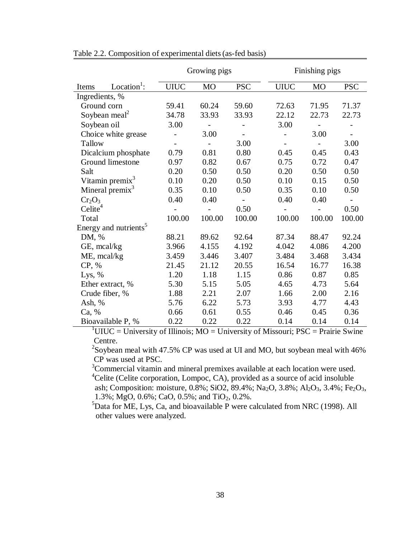|                                |                                   |             | Growing pigs             |                |                          | Finishing pigs           |                          |  |  |  |  |  |
|--------------------------------|-----------------------------------|-------------|--------------------------|----------------|--------------------------|--------------------------|--------------------------|--|--|--|--|--|
| Items                          | Location <sup>1</sup> :           | <b>UIUC</b> | <b>MO</b>                | <b>PSC</b>     | <b>UIUC</b>              | MO                       | <b>PSC</b>               |  |  |  |  |  |
| Ingredients, %                 |                                   |             |                          |                |                          |                          |                          |  |  |  |  |  |
| Ground corn                    |                                   | 59.41       | 60.24                    | 59.60          | 72.63                    | 71.95                    | 71.37                    |  |  |  |  |  |
|                                | Soybean meal <sup>2</sup>         | 34.78       | 33.93                    | 33.93          | 22.12                    | 22.73                    | 22.73                    |  |  |  |  |  |
| Soybean oil                    |                                   | 3.00        | $\overline{\phantom{a}}$ |                | 3.00                     | $\overline{\phantom{a}}$ |                          |  |  |  |  |  |
|                                | Choice white grease               |             | 3.00                     |                |                          | 3.00                     | $\overline{\phantom{a}}$ |  |  |  |  |  |
| Tallow                         |                                   |             |                          | 3.00           |                          |                          | 3.00                     |  |  |  |  |  |
|                                | Dicalcium phosphate               | 0.79        | 0.81                     | 0.80           | 0.45                     | 0.45                     | 0.43                     |  |  |  |  |  |
|                                | Ground limestone                  | 0.97        | 0.82                     | 0.67           | 0.75                     | 0.72                     | 0.47                     |  |  |  |  |  |
| Salt                           |                                   | 0.20        | 0.50                     | 0.50           | 0.20                     | 0.50                     | 0.50                     |  |  |  |  |  |
|                                | Vitamin premix <sup>3</sup>       | 0.10        | 0.20                     | 0.50           | 0.10                     | 0.15                     | 0.50                     |  |  |  |  |  |
|                                | Mineral premix <sup>3</sup>       | 0.35        | 0.10                     | 0.50           | 0.35                     | 0.10                     | 0.50                     |  |  |  |  |  |
| Cr <sub>2</sub> O <sub>3</sub> |                                   | 0.40        | 0.40                     | $\blacksquare$ | 0.40                     | 0.40                     |                          |  |  |  |  |  |
| Celite <sup>4</sup>            |                                   |             | $\overline{\phantom{0}}$ | 0.50           | $\overline{\phantom{0}}$ |                          | 0.50                     |  |  |  |  |  |
| Total                          |                                   | 100.00      | 100.00                   | 100.00         | 100.00                   | 100.00                   | 100.00                   |  |  |  |  |  |
|                                | Energy and nutrients <sup>5</sup> |             |                          |                |                          |                          |                          |  |  |  |  |  |
| DM, %                          |                                   | 88.21       | 89.62                    | 92.64          | 87.34                    | 88.47                    | 92.24                    |  |  |  |  |  |
| GE, mcal/kg                    |                                   | 3.966       | 4.155                    | 4.192          | 4.042                    | 4.086                    | 4.200                    |  |  |  |  |  |
| ME, mcal/kg                    |                                   | 3.459       | 3.446                    | 3.407          | 3.484                    | 3.468                    | 3.434                    |  |  |  |  |  |
| CP, %                          |                                   | 21.45       | 21.12                    | 20.55          | 16.54                    | 16.77                    | 16.38                    |  |  |  |  |  |
| Lys, $%$                       |                                   | 1.20        | 1.18                     | 1.15           | 0.86                     | 0.87                     | 0.85                     |  |  |  |  |  |
|                                | Ether extract, %                  | 5.30        | 5.15                     | 5.05           | 4.65                     | 4.73                     | 5.64                     |  |  |  |  |  |
|                                | Crude fiber, %                    | 1.88        | 2.21                     | 2.07           | 1.66                     | 2.00                     | 2.16                     |  |  |  |  |  |
| Ash, $%$                       |                                   | 5.76        | 6.22                     | 5.73           | 3.93                     | 4.77                     | 4.43                     |  |  |  |  |  |
| Ca, %                          |                                   | 0.66        | 0.61                     | 0.55           | 0.46                     | 0.45                     | 0.36                     |  |  |  |  |  |
|                                | Bioavailable P, %                 | 0.22        | 0.22                     | 0.22           | 0.14                     | 0.14                     | 0.14                     |  |  |  |  |  |

Table 2.2. Composition of experimental diets(as-fed basis)

 $1$ UIUC = University of Illinois; MO = University of Missouri; PSC = Prairie Swine Centre.

<sup>2</sup>Soybean meal with 47.5% CP was used at UI and MO, but soybean meal with 46% CP was used at PSC.

<sup>3</sup>Commercial vitamin and mineral premixes available at each location were used.

 ${}^{4}$ Celite (Celite corporation, Lompoc, CA), provided as a source of acid insoluble ash; Composition: moisture, 0.8%; SiO2, 89.4%; Na<sub>2</sub>O, 3.8%; Al<sub>2</sub>O<sub>3</sub>, 3.4%; Fe<sub>2</sub>O<sub>3</sub>, 1.3%; MgO, 0.6%; CaO, 0.5%; and TiO2, 0.2%.

 $5$ Data for ME, Lys, Ca, and bioavailable P were calculated from NRC (1998). All other values were analyzed.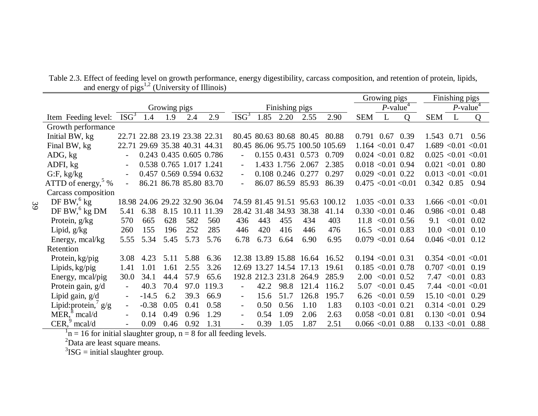|                                   |                          |                               |      |                         |       |                          |                |                         |                         |                                 | Growing pigs |                         |                | Finishing pigs            |                         |      |
|-----------------------------------|--------------------------|-------------------------------|------|-------------------------|-------|--------------------------|----------------|-------------------------|-------------------------|---------------------------------|--------------|-------------------------|----------------|---------------------------|-------------------------|------|
|                                   | Growing pigs             |                               |      |                         |       |                          | Finishing pigs |                         |                         |                                 |              | $P$ -value <sup>4</sup> |                |                           | $P$ -value <sup>4</sup> |      |
| Item Feeding level:               | ISG <sup>3</sup>         | 1.4                           | 1.9  | 2.4                     | 2.9   | ISG <sup>3</sup>         | 1.85           | 2.20                    | 2.55                    | 2.90                            | <b>SEM</b>   | L                       | $\overline{O}$ | <b>SEM</b>                | L                       | Q    |
| Growth performance                |                          |                               |      |                         |       |                          |                |                         |                         |                                 |              |                         |                |                           |                         |      |
| Initial BW, kg                    |                          | 22.71 22.88 23.19 23.38 22.31 |      |                         |       |                          |                |                         | 80.45 80.63 80.68 80.45 | 80.88                           |              | 0.791 0.67              | 0.39           | 1.543 0.71 0.56           |                         |      |
| Final BW, kg                      |                          | 22.71 29.69 35.38 40.31 44.31 |      |                         |       |                          |                |                         |                         | 80.45 86.06 95.75 100.50 105.69 |              | $1.164 \le 0.01$ 0.47   |                | $1.689$ < 0.01 < 0.01     |                         |      |
| ADG, kg                           | $\overline{a}$           |                               |      | 0.243 0.435 0.605 0.786 |       |                          |                |                         | 0.155 0.431 0.573       | 0.709                           |              | $0.024 < 0.01$ 0.82     |                | $0.025$ < $0.01$ < $0.01$ |                         |      |
| ADFI, kg                          |                          |                               |      | 0.538 0.765 1.017 1.241 |       |                          |                | 1.433 1.756 2.067       |                         | 2.385                           |              | $0.018 < 0.01$ 0.94     |                | $0.021$ < $0.01$ 0.80     |                         |      |
| $G$ :F, kg/kg                     |                          |                               |      | 0.457 0.569 0.594 0.632 |       |                          |                | 0.108 0.246 0.277       |                         | 0.297                           |              | $0.029$ < 0.01 0.22     |                | $0.013$ < $0.01$ < $0.01$ |                         |      |
| ATTD of energy, $5\%$             |                          |                               |      | 86.21 86.78 85.80 83.70 |       |                          |                |                         | 86.07 86.59 85.93       | 86.39                           |              | 0.475 < 0.01 < 0.01     |                | 0.342 0.85                |                         | 0.94 |
| Carcass composition               |                          |                               |      |                         |       |                          |                |                         |                         |                                 |              |                         |                |                           |                         |      |
| DF BW, $6$ kg                     |                          | 18.98 24.06 29.22 32.90 36.04 |      |                         |       |                          |                |                         | 74.59 81.45 91.51 95.63 | 100.12                          |              | $1.035 \le 0.01$ 0.33   |                | $1.666 \le 0.01 \le 0.01$ |                         |      |
| DF BW, <sup>6</sup> kg DM         | 5.41                     | 6.38                          |      | 8.15 10.11 11.39        |       |                          |                | 28.42 31.48 34.93       | 38.38                   | 41.14                           |              | $0.330 < 0.01$ 0.46     |                | $0.986 \le 0.01$ 0.48     |                         |      |
| Protein, g/kg                     | 570                      | 665                           | 628  | 582                     | 560   | 436                      | 443            | 455                     | 434                     | 403                             |              | $11.8$ < 0.01 0.56      |                | 9.1                       | $< 0.01$ 0.02           |      |
| Lipid, $g/kg$                     | 260                      | 155                           | 196  | 252                     | 285   | 446                      | 420            | 416                     | 446                     | 476                             |              | $16.5 \le 0.01 \ 0.83$  |                |                           | $10.0 \le 0.01 \ 0.10$  |      |
| Energy, mcal/kg                   | 5.55                     | 5.34                          | 5.45 | 5.73                    | 5.76  | 6.78                     | 6.73           | 6.64                    | 6.90                    | 6.95                            |              | $0.079$ < 0.01 0.64     |                | $0.046$ < $0.01$ 0.12     |                         |      |
| Retention                         |                          |                               |      |                         |       |                          |                |                         |                         |                                 |              |                         |                |                           |                         |      |
| Protein, kg/pig                   | 3.08                     | 4.23                          | 5.11 | 5.88                    | 6.36  |                          |                |                         | 12.38 13.89 15.88 16.64 | 16.52                           |              | $0.194 \le 0.01 \ 0.31$ |                | $0.354 \le 0.01 \le 0.01$ |                         |      |
| Lipids, kg/pig                    | 1.41                     | 1.01                          | 1.61 | 2.55                    | 3.26  |                          |                | 12.69 13.27 14.54 17.13 |                         | 19.61                           |              | $0.185 \le 0.01$ 0.78   |                | $0.707$ < $0.01$ 0.19     |                         |      |
| Energy, meal/pig                  | 30.0                     | 34.1                          | 44.4 | 57.9                    | 65.6  |                          |                | 192.8 212.3 231.8       | 264.9                   | 285.9                           |              | $2.00 \le 0.01 \ 0.52$  |                |                           | $7.47 < 0.01$ 0.83      |      |
| Protein gain, g/d                 | $\overline{\phantom{0}}$ | 40.3                          | 70.4 | 97.0                    | 119.3 |                          | 42.2           | 98.8                    | 121.4                   | 116.2                           | 5.07         | $< 0.01$ 0.45           |                |                           | 7.44 $< 0.01 < 0.01$    |      |
| Lipid gain, g/d                   | $\overline{\phantom{0}}$ | $-14.5$                       | 6.2  | 39.3                    | 66.9  | $\overline{\phantom{0}}$ | 15.6           | 51.7                    | 126.8                   | 195.7                           |              | $6.26$ < 0.01 0.59      |                | $15.10 \le 0.01$ 0.29     |                         |      |
| Lipid: protein, $\frac{7}{9}$ g/g | $\overline{\phantom{0}}$ | $-0.38$                       | 0.05 | 0.41                    | 0.58  | $\overline{\phantom{0}}$ | 0.50           | 0.56                    | 1.10                    | 1.83                            |              | $0.103$ < $0.01$ 0.21   |                | 0.314 < 0.01              |                         | 0.29 |
| $MER18$ mcal/d                    |                          | 0.14                          | 0.49 | 0.96                    | 1.29  | $\overline{\phantom{0}}$ | 0.54           | 1.09                    | 2.06                    | 2.63                            |              | $0.058 < 0.01$ 0.81     |                | 0.130 < 0.01              |                         | 0.94 |
| $CER29$ mcal/d                    |                          | 0.09                          | 0.46 | 0.92                    | 1.31  |                          | 0.39           | 1.05                    | 1.87                    | 2.51                            |              | $0.066 \le 0.01$ 0.88   |                | $0.133 \leq 0.01$ 0.88    |                         |      |

Table 2.3. Effect of feeding level on growth performance, energy digestibility, carcass composition, and retention of protein, lipids, and energy of  $pigs<sup>1,2</sup>$  (University of Illinois)

 $n = 16$  for initial slaughter group,  $n = 8$  for all feeding levels.

 ${}^{2}$ Data are least square means.<br> ${}^{3}$ ISG = initial slaughter group.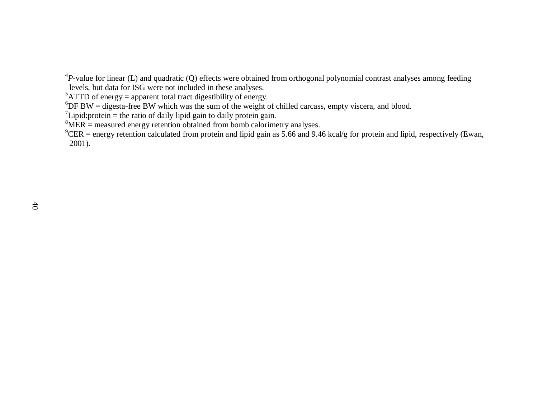${}^{4}P$ -value for linear (L) and quadratic (Q) effects were obtained from orthogonal polynomial contrast analyses among feeding

levels, but data for ISG were not included in these analyses.

 ${}^{5}$ ATTD of energy = apparent total tract digestibility of energy.

 $6$ DF BW = digesta-free BW which was the sum of the weight of chilled carcass, empty viscera, and blood.

 $\mu$ <sup>7</sup>Lipid: protein = the ratio of daily lipid gain to daily protein gain.

 $8$ MER = measured energy retention obtained from bomb calorimetry analyses.

 $^9$ CER = energy retention calculated from protein and lipid gain as 5.66 and 9.46 kcal/g for protein and lipid, respectively (Ewan, 2001).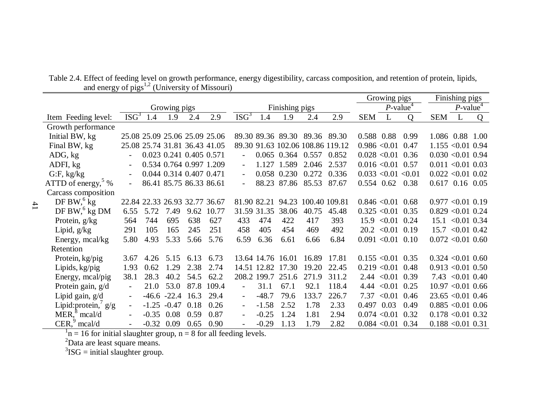|                                      |                          |         |                |                               |            |                  |             |                   |                                  |       | Growing pigs            |                        |              | Finishing pigs        |                         |   |
|--------------------------------------|--------------------------|---------|----------------|-------------------------------|------------|------------------|-------------|-------------------|----------------------------------|-------|-------------------------|------------------------|--------------|-----------------------|-------------------------|---|
|                                      | Growing pigs             |         |                |                               |            |                  |             | Finishing pigs    |                                  |       | $P$ -value <sup>4</sup> |                        |              |                       | $P$ -value <sup>4</sup> |   |
| Item Feeding level:                  | ISG <sup>3</sup>         | 1.4     | 1.9            | 2.4                           | 2.9        | ISG <sup>3</sup> | 1.4         | 1.9               | 2.4                              | 2.9   | <b>SEM</b>              | L                      | $\mathbf{O}$ | <b>SEM</b>            | $\mathbf{L}$            | Q |
| Growth performance                   |                          |         |                |                               |            |                  |             |                   |                                  |       |                         |                        |              |                       |                         |   |
| Initial BW, kg                       |                          |         |                | 25.08 25.09 25.06 25.09 25.06 |            |                  |             |                   | 89.30 89.36 89.30 89.36 89.30    |       |                         | 0.588 0.88             | 0.99         | 1.086 0.88 1.00       |                         |   |
| Final BW, kg                         |                          |         |                | 25.08 25.74 31.81 36.43 41.05 |            |                  |             |                   | 89.30 91.63 102.06 108.86 119.12 |       |                         | $0.986 \le 0.01$ 0.47  |              | $1.155 \le 0.01$ 0.94 |                         |   |
| ADG, kg                              |                          |         |                | 0.023 0.241 0.405 0.571       |            |                  |             |                   | 0.065 0.364 0.557 0.852          |       |                         | $0.028 < 0.01$ 0.36    |              | $0.030 < 0.01$ 0.94   |                         |   |
| ADFI, kg                             |                          |         |                | 0.534 0.764 0.997 1.209       |            |                  |             | 1.127 1.589       | 2.046                            | 2.537 |                         | $0.016 < 0.01$ 0.57    |              | $0.011 < 0.01$ 0.03   |                         |   |
| $G$ :F, kg/kg                        |                          |         |                | 0.044 0.314 0.407 0.471       |            |                  |             | 0.058 0.230       | 0.272                            | 0.336 |                         | 0.033 < 0.01 < 0.01    |              | $0.022 < 0.01$ 0.02   |                         |   |
| ATTD of energy, $\frac{5}{9}$ %      |                          |         |                | 86.41 85.75 86.33 86.61       |            |                  |             | 88.23 87.86       | 85.53                            | 87.67 |                         | $0.554$ 0.62           | 0.38         | $0.617$ 0.16 0.05     |                         |   |
| Carcass composition                  |                          |         |                |                               |            |                  |             |                   |                                  |       |                         |                        |              |                       |                         |   |
| DF BW, $6$ kg                        |                          |         |                | 22.84 22.33 26.93 32.77 36.67 |            |                  |             | 81.90 82.21 94.23 | 100.40 109.81                    |       |                         | $0.846 \le 0.01$ 0.68  |              | $0.977 < 0.01$ 0.19   |                         |   |
| DF BW, $^6$ kg DM                    | 6.55                     | 5.72    | 7.49           |                               | 9.62 10.77 |                  |             | 31.59 31.35 38.06 | 40.75                            | 45.48 |                         | $0.325 \le 0.01$ 0.35  |              | $0.829$ < 0.01 0.24   |                         |   |
| Protein, $g/kg$                      | 564                      | 744     | 695            | 638                           | 627        | 433              | 474         | 422               | 417                              | 393   | 15.9                    | $< 0.01$ 0.24          |              |                       | $15.1 \le 0.01$ 0.34    |   |
| Lipid, $g/kg$                        | 291                      | 105     | 165            | 245                           | 251        | 458              | 405         | 454               | 469                              | 492   |                         | $20.2 \le 0.01 \ 0.19$ |              |                       | $15.7 \le 0.01$ 0.42    |   |
| Energy, meal/kg                      | 5.80                     | 4.93    | 5.33           | 5.66                          | 5.76       | 6.59             | 6.36        | 6.61              | 6.66                             | 6.84  |                         | $0.091 < 0.01$ 0.10    |              | $0.072 \le 0.01$ 0.60 |                         |   |
| Retention                            |                          |         |                |                               |            |                  |             |                   |                                  |       |                         |                        |              |                       |                         |   |
| Protein, kg/pig                      | 3.67                     | 4.26    | 5.15           | 6.13                          | 6.73       |                  |             | 13.64 14.76 16.01 | 16.89                            | 17.81 |                         | $0.155 \le 0.01$ 0.35  |              | $0.324 \le 0.01$ 0.60 |                         |   |
| Lipids, kg/pig                       | 1.93                     | 0.62    | 1.29           | 2.38                          | 2.74       |                  |             | 14.51 12.82 17.30 | 19.20                            | 22.45 |                         | $0.219 < 0.01$ 0.48    |              | $0.913$ < $0.01$ 0.50 |                         |   |
| Energy, meal/pig                     | 38.1                     | 28.3    | 40.2           | 54.5                          | 62.2       |                  | 208.2 199.7 | 251.6             | 271.9                            | 311.2 |                         | $2.44 \leq 0.01$ 0.39  |              |                       | $7.43 \leq 0.01$ 0.40   |   |
| Protein gain, g/d                    | $\overline{\phantom{a}}$ | 21.0    | 53.0           |                               | 87.8 109.4 | $\blacksquare$   | 31.1        | 67.1              | 92.1                             | 118.4 |                         | $4.44 \leq 0.01$ 0.25  |              | $10.97 \le 0.01$ 0.66 |                         |   |
| Lipid gain, g/d                      | $\overline{\phantom{0}}$ |         | $-46.6 - 22.4$ | 16.3                          | 29.4       |                  | $-48.7$     | 79.6              | 133.7                            | 226.7 | 7.37                    | $< 0.01$ 0.46          |              | $23.65 \le 0.01$ 0.46 |                         |   |
| Lipid:protein, $g/g$                 | $\overline{\phantom{a}}$ | $-1.25$ | $-0.47$        | 0.18                          | 0.26       |                  | $-1.58$     | 2.52              | 1.78                             | 2.33  | 0.497                   | 0.03                   | 0.49         | $0.885 \le 0.01$ 0.06 |                         |   |
| MER <sub>1</sub> <sup>8</sup> mcal/d | $\overline{\phantom{0}}$ | $-0.35$ | 0.08           | 0.59                          | 0.87       |                  | $-0.25$     | 1.24              | 1.81                             | 2.94  |                         | 0.074 < 0.01           | 0.32         | $0.178$ < 0.01 0.32   |                         |   |
| $CER29$ mcal/d                       | $\overline{\phantom{a}}$ |         | $-0.32$ 0.09   | 0.65                          | 0.90       |                  | $-0.29$     | 1.13              | 1.79                             | 2.82  |                         | $0.084 \le 0.01$ 0.34  |              | $0.188 < 0.01$ 0.31   |                         |   |

Table 2.4. Effect of feeding level on growth performance, energy digestibility, carcass composition, and retention of protein, lipids, and energy of  $pigs<sup>1,2</sup>$  (University of Missouri)

 $n = 16$  for initial slaughter group,  $n = 8$  for all feeding levels.

 ${}^{2}$ Data are least square means.<br> ${}^{3}$ ISG = initial slaughter group.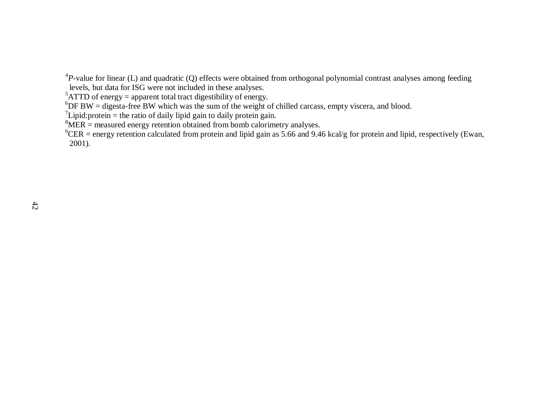${}^{4}P$ -value for linear (L) and quadratic (Q) effects were obtained from orthogonal polynomial contrast analyses among feeding

levels, but data for ISG were not included in these analyses.

 ${}^{5}$ ATTD of energy = apparent total tract digestibility of energy.

 $6$ DF BW = digesta-free BW which was the sum of the weight of chilled carcass, empty viscera, and blood.

<sup>7</sup>Lipid: protein = the ratio of daily lipid gain to daily protein gain.

 $8$ MER = measured energy retention obtained from bomb calorimetry analyses.

 $^9$ CER = energy retention calculated from protein and lipid gain as 5.66 and 9.46 kcal/g for protein and lipid, respectively (Ewan, 2001).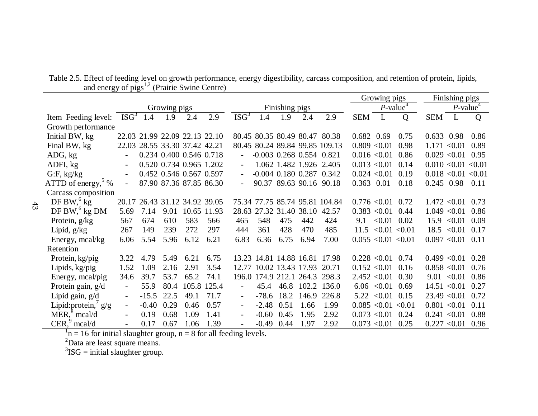|                                 |                          |         |                         |      |                               |                          |         |      |                            |                                  |                         | Growing pigs                |                          |                         | Finishing pigs   |      |
|---------------------------------|--------------------------|---------|-------------------------|------|-------------------------------|--------------------------|---------|------|----------------------------|----------------------------------|-------------------------|-----------------------------|--------------------------|-------------------------|------------------|------|
|                                 | Growing pigs             |         |                         |      |                               | Finishing pigs           |         |      |                            |                                  | $P$ -value <sup>4</sup> |                             |                          | $P$ -value <sup>4</sup> |                  |      |
| Item Feeding level:             | ISG <sup>3</sup>         | 1.4     | 1.9                     | 2.4  | 2.9                           | ISG <sup>3</sup>         | 1.4     | 1.9  | 2.4                        | 2.9                              | <b>SEM</b>              | L                           | $\Omega$                 | <b>SEM</b>              | L                | Q    |
| Growth performance              |                          |         |                         |      |                               |                          |         |      |                            |                                  |                         |                             |                          |                         |                  |      |
| Initial BW, kg                  |                          |         |                         |      | 22.03 21.99 22.09 22.13 22.10 |                          |         |      |                            | 80.45 80.35 80.49 80.47 80.38    | $0.682$ 0.69            |                             | 0.75                     | $0.633$ 0.98            |                  | 0.86 |
| Final BW, kg                    | 22.03                    |         | 28.55 33.30 37.42 42.21 |      |                               |                          |         |      |                            | 80.45 80.24 89.84 99.85 109.13   |                         | 0.809 < 0.01                | 0.98                     | 1.171 < 0.01            |                  | 0.89 |
| ADG, kg                         | $\overline{\phantom{0}}$ |         | 0.234 0.400 0.546 0.718 |      |                               |                          |         |      | $-0.003$ 0.268 0.554 0.821 |                                  |                         | $0.016 \le 0.01$ 0.86       |                          | 0.029 < 0.01            |                  | 0.95 |
| ADFI, kg                        |                          |         | 0.520 0.734 0.965 1.202 |      |                               |                          |         |      |                            | 1.062 1.482 1.926 2.405          |                         | $0.013$ < $0.01$ 0.14       |                          | 0.010 < 0.01 < 0.01     |                  |      |
| $G$ :F, kg/kg                   |                          |         | 0.452 0.546 0.567 0.597 |      |                               |                          |         |      |                            | $-0.004$ $0.180$ $0.287$ $0.342$ |                         | $0.024 \le 0.01 \quad 0.19$ |                          | 0.018 < 0.01 < 0.01     |                  |      |
| ATTD of energy, $\frac{5}{9}$ % |                          |         | 87.90 87.36 87.85 86.30 |      |                               |                          |         |      |                            | 90.37 89.63 90.16 90.18          | 0.363 0.01              |                             | 0.18                     | 0.245 0.98              |                  | 0.11 |
| Carcass composition             |                          |         |                         |      |                               |                          |         |      |                            |                                  |                         |                             |                          |                         |                  |      |
| DF BW, $6$ kg                   | 20.17                    |         | 26.43 31.12 34.92 39.05 |      |                               |                          |         |      |                            | 75.34 77.75 85.74 95.81 104.84   |                         | $0.776$ < 0.01 0.72         |                          |                         | $1.472 \le 0.01$ | 0.73 |
| DF BW, $^{6}$ kg DM             | 5.69                     | 7.14    | 9.01                    |      | 10.65 11.93                   |                          |         |      | 28.63 27.32 31.40 38.10    | 42.57                            |                         | $0.383$ < $0.01$ 0.44       |                          |                         | 1.049 < 0.01     | 0.86 |
| Protein, g/kg                   | 567                      | 674     | 610                     | 583  | 566                           | 465                      | 548     | 475  | 442                        | 424                              | 9.1                     | $< 0.01$ 0.02               |                          |                         | $15.9 \le 0.01$  | 0.09 |
| Lipid, $g/kg$                   | 267                      | 149     | 239                     | 272  | 297                           | 444                      | 361     | 428  | 470                        | 485                              |                         |                             | $11.5 \le 0.01 \le 0.01$ |                         | $18.5 \le 0.01$  | 0.17 |
| Energy, mcal/kg                 | 6.06                     | 5.54    | 5.96                    | 6.12 | 6.21                          | 6.83                     | 6.36    | 6.75 | 6.94                       | 7.00                             | $0.055$ < 0.01 < 0.01   |                             |                          | 0.097 < 0.01            |                  | 0.11 |
| Retention                       |                          |         |                         |      |                               |                          |         |      |                            |                                  |                         |                             |                          |                         |                  |      |
| Protein, kg/pig                 | 3.22                     | 4.79    | 5.49                    | 6.21 | 6.75                          |                          |         |      |                            | 13.23 14.81 14.88 16.81 17.98    |                         | $0.228 < 0.01$ 0.74         |                          | 0.499 < 0.01            |                  | 0.28 |
| Lipids, kg/pig                  | 1.52                     | 1.09    | 2.16                    | 2.91 | 3.54                          |                          |         |      | 12.77 10.02 13.43 17.93    | 20.71                            |                         | $0.152 \le 0.01 \quad 0.16$ |                          |                         | 0.858 < 0.01     | 0.76 |
| Energy, mcal/pig                | 34.6                     | 39.7    | 53.7                    | 65.2 | 74.1                          |                          |         |      | 196.0 174.9 212.1 264.3    | 298.3                            |                         | $2.452 \le 0.01$ 0.30       |                          |                         | $9.01 \le 0.01$  | 0.86 |
| Protein gain, g/d               | $\overline{\phantom{a}}$ | 55.9    | 80.4                    |      | 105.8 125.4                   | $\overline{\phantom{a}}$ | 45.4    | 46.8 | 102.2                      | 136.0                            |                         | $6.06 \le 0.01 \ 0.69$      |                          |                         | $14.51 \le 0.01$ | 0.27 |
| Lipid gain, g/d                 | $\overline{\phantom{a}}$ | $-15.5$ | 22.5                    | 49.1 | 71.7                          |                          | $-78.6$ | 18.2 | 146.9                      | 226.8                            |                         | $5.22 \le 0.01 \ 0.15$      |                          |                         | 23.49 < 0.01     | 0.72 |
| Lipid: protein, $g/g$           | $\overline{\phantom{a}}$ | $-0.40$ | 0.29                    | 0.46 | 0.57                          |                          | $-2.48$ | 0.51 | 1.66                       | 1.99                             |                         | $0.085 \le 0.01 \le 0.01$   |                          | 0.801 < 0.01            |                  | 0.11 |
| $MER18$ mcal/d                  | $\overline{\phantom{a}}$ | 0.19    | 0.68                    | 1.09 | 1.41                          |                          | $-0.60$ | 0.45 | 1.95                       | 2.92                             | $0.073$ < $0.01$ 0.24   |                             |                          | 0.241 < 0.01            |                  | 0.88 |
| $CER29$ mcal/d                  |                          | 0.17    | 0.67                    | 1.06 | 1.39                          |                          | $-0.49$ | 0.44 | 1.97                       | 2.92                             |                         | $0.073$ < $0.01$ 0.25       |                          |                         | 0.227 < 0.01     | 0.96 |

Table 2.5. Effect of feeding level on growth performance, energy digestibility, carcass composition, and retention of protein, lipids, and energy of pigs<sup>1,2</sup> (Prairie Swine Centre)

 $n = 16$  for initial slaughter group,  $n = 8$  for all feeding levels.

 ${}^{2}$ Data are least square means.<br> ${}^{3}$ ISG = initial slaughter group.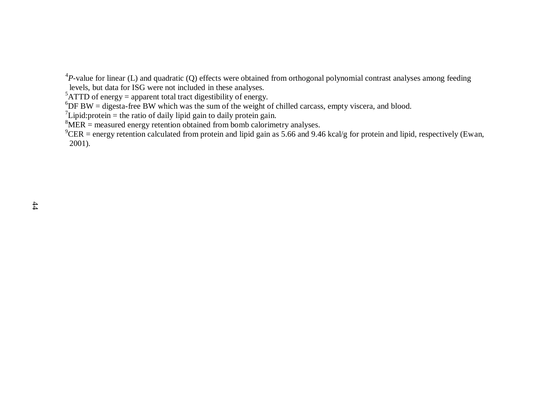${}^{4}P$ -value for linear (L) and quadratic (Q) effects were obtained from orthogonal polynomial contrast analyses among feeding

levels, but data for ISG were not included in these analyses.

 ${}^{5}$ ATTD of energy = apparent total tract digestibility of energy.

 $6$ DF BW = digesta-free BW which was the sum of the weight of chilled carcass, empty viscera, and blood.

 $\mu$ <sup>7</sup>Lipid: protein = the ratio of daily lipid gain to daily protein gain.

 $8$ MER = measured energy retention obtained from bomb calorimetry analyses.

 $^9$ CER = energy retention calculated from protein and lipid gain as 5.66 and 9.46 kcal/g for protein and lipid, respectively (Ewan, 2001).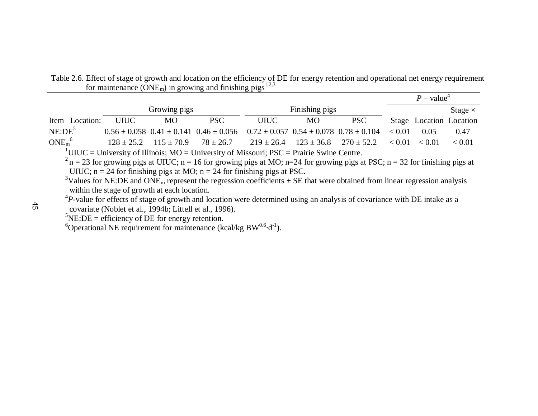|                               |                |                |                                                                                                       | $P$ – value <sup>4</sup> |                |                |        |                         |        |
|-------------------------------|----------------|----------------|-------------------------------------------------------------------------------------------------------|--------------------------|----------------|----------------|--------|-------------------------|--------|
|                               |                | Growing pigs   |                                                                                                       |                          | Finishing pigs |                |        | Stage $\times$          |        |
| Item Location:                | <b>UIUC</b>    | <b>MO</b>      | <b>PSC</b>                                                                                            | <b>UIUC</b>              | МO             | <b>PSC</b>     |        | Stage Location Location |        |
| NE:DE <sup>5</sup>            |                |                | $0.56 \pm 0.058$ $0.41 \pm 0.141$ $0.46 \pm 0.056$ $0.72 \pm 0.057$ $0.54 \pm 0.078$ $0.78 \pm 0.104$ |                          |                |                | < 0.01 | 0.05                    | 0.47   |
| ONE <sub>m</sub> <sup>6</sup> | $128 \pm 25.2$ | $115 \pm 70.9$ | $78 \pm 26.7$                                                                                         | $219 \pm 26.4$           | $123 \pm 36.8$ | $270 \pm 52.2$ | < 0.01 | < 0.01                  | < 0.01 |

Table 2.6. Effect of stage of growth and location on the efficiency of DE for energy retention and operational net energy requirement for maintenance ( $\text{ONE}_{\text{m}}$ ) in growing and finishing pigs<sup>1,2,3</sup>

 $1$ UIUC = University of Illinois; MO = University of Missouri; PSC = Prairie Swine Centre.

 $2 n = 23$  for growing pigs at UIUC; n = 16 for growing pigs at MO; n=24 for growing pigs at PSC; n = 32 for finishing pigs at UIUC;  $n = 24$  for finishing pigs at MO;  $n = 24$  for finishing pigs at PSC.

<sup>3</sup>Values for NE:DE and ONE<sub>m</sub> represent the regression coefficients  $\pm$  SE that were obtained from linear regression analysis within the stage of growth at each location.

 ${}^{4}P$ -value for effects of stage of growth and location were determined using an analysis of covariance with DE intake as a covariate (Noblet et al., 1994b; Littell et al., 1996).

 ${}^{5}$ NE:DE = efficiency of DE for energy retention.

<sup>6</sup>Operational NE requirement for maintenance (kcal/kg  $BW^{0.6}\cdot d^{-1}$ ).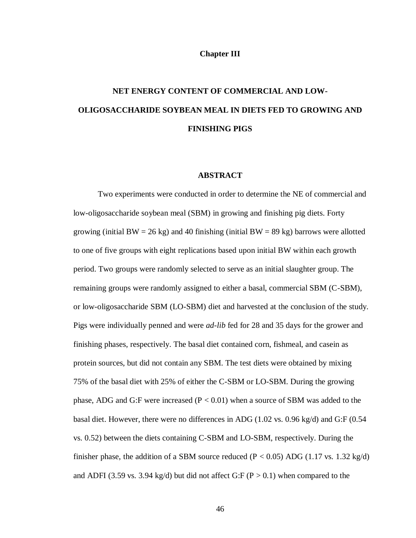## **Chapter III**

# **NET ENERGY CONTENT OF COMMERCIAL AND LOW-OLIGOSACCHARIDE SOYBEAN MEAL IN DIETS FED TO GROWING AND FINISHING PIGS**

## **ABSTRACT**

Two experiments were conducted in order to determine the NE of commercial and low-oligosaccharide soybean meal (SBM) in growing and finishing pig diets. Forty growing (initial BW = 26 kg) and 40 finishing (initial BW = 89 kg) barrows were allotted to one of five groups with eight replications based upon initial BW within each growth period. Two groups were randomly selected to serve as an initial slaughter group. The remaining groups were randomly assigned to either a basal, commercial SBM (C-SBM), or low-oligosaccharide SBM (LO-SBM) diet and harvested at the conclusion of the study. Pigs were individually penned and were *ad-lib* fed for 28 and 35 days for the grower and finishing phases, respectively. The basal diet contained corn, fishmeal, and casein as protein sources, but did not contain any SBM. The test diets were obtained by mixing 75% of the basal diet with 25% of either the C-SBM or LO-SBM. During the growing phase, ADG and G:F were increased  $(P < 0.01)$  when a source of SBM was added to the basal diet. However, there were no differences in ADG  $(1.02 \text{ vs. } 0.96 \text{ kg/d})$  and G:F  $(0.54$ vs. 0.52) between the diets containing C-SBM and LO-SBM, respectively. During the finisher phase, the addition of a SBM source reduced ( $P < 0.05$ ) ADG (1.17 vs. 1.32 kg/d) and ADFI (3.59 vs. 3.94 kg/d) but did not affect G:F ( $P > 0.1$ ) when compared to the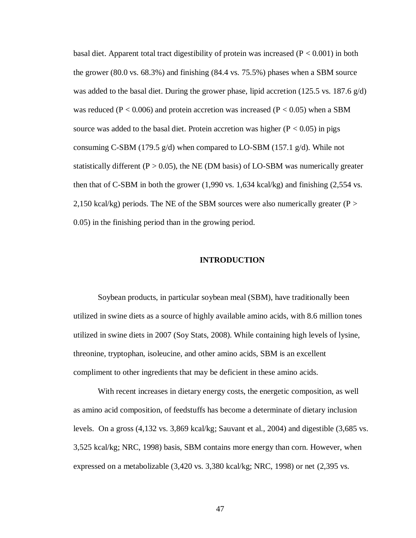basal diet. Apparent total tract digestibility of protein was increased  $(P < 0.001)$  in both the grower (80.0 vs. 68.3%) and finishing (84.4 vs. 75.5%) phases when a SBM source was added to the basal diet. During the grower phase, lipid accretion (125.5 vs. 187.6  $g/d$ ) was reduced ( $P < 0.006$ ) and protein accretion was increased ( $P < 0.05$ ) when a SBM source was added to the basal diet. Protein accretion was higher  $(P < 0.05)$  in pigs consuming C-SBM (179.5 g/d) when compared to LO-SBM (157.1 g/d). While not statistically different ( $P > 0.05$ ), the NE (DM basis) of LO-SBM was numerically greater then that of C-SBM in both the grower (1,990 vs. 1,634 kcal/kg) and finishing (2,554 vs. 2,150 kcal/kg) periods. The NE of the SBM sources were also numerically greater ( $P >$ 0.05) in the finishing period than in the growing period.

## **INTRODUCTION**

Soybean products, in particular soybean meal (SBM), have traditionally been utilized in swine diets as a source of highly available amino acids, with 8.6 million tones utilized in swine diets in 2007 (Soy Stats, 2008). While containing high levels of lysine, threonine, tryptophan, isoleucine, and other amino acids, SBM is an excellent compliment to other ingredients that may be deficient in these amino acids.

With recent increases in dietary energy costs, the energetic composition, as well as amino acid composition, of feedstuffs has become a determinate of dietary inclusion levels. On a gross (4,132 vs. 3,869 kcal/kg; Sauvant et al., 2004) and digestible (3,685 vs. 3,525 kcal/kg; NRC, 1998) basis, SBM contains more energy than corn. However, when expressed on a metabolizable (3,420 vs. 3,380 kcal/kg; NRC, 1998) or net (2,395 vs.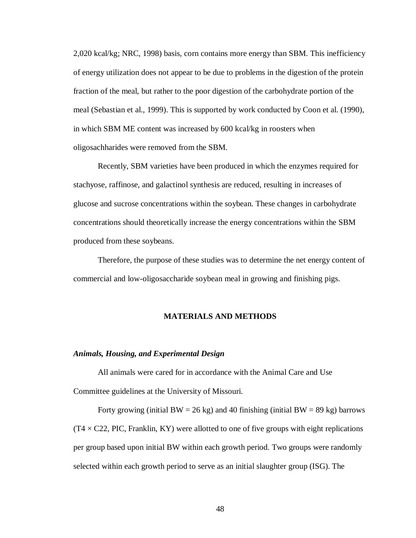2,020 kcal/kg; NRC, 1998) basis, corn contains more energy than SBM. This inefficiency of energy utilization does not appear to be due to problems in the digestion of the protein fraction of the meal, but rather to the poor digestion of the carbohydrate portion of the meal (Sebastian et al., 1999). This is supported by work conducted by Coon et al. (1990), in which SBM ME content was increased by 600 kcal/kg in roosters when oligosachharides were removed from the SBM.

Recently, SBM varieties have been produced in which the enzymes required for stachyose, raffinose, and galactinol synthesis are reduced, resulting in increases of glucose and sucrose concentrations within the soybean. These changes in carbohydrate concentrations should theoretically increase the energy concentrations within the SBM produced from these soybeans.

Therefore, the purpose of these studies was to determine the net energy content of commercial and low-oligosaccharide soybean meal in growing and finishing pigs.

## **MATERIALS AND METHODS**

## *Animals, Housing, and Experimental Design*

All animals were cared for in accordance with the Animal Care and Use Committee guidelines at the University of Missouri.

Forty growing (initial BW = 26 kg) and 40 finishing (initial BW = 89 kg) barrows  $(T4 \times C22, PIC, Franklin, KY)$  were allotted to one of five groups with eight replications per group based upon initial BW within each growth period. Two groups were randomly selected within each growth period to serve as an initial slaughter group (ISG). The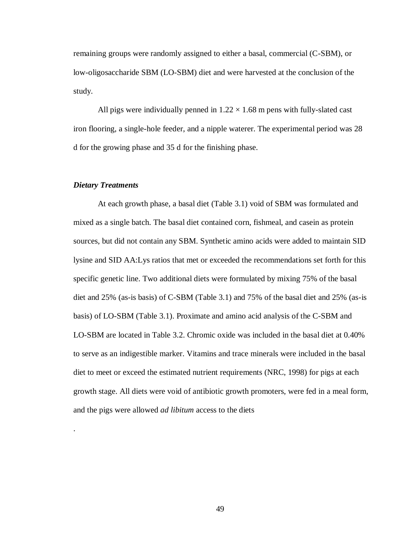remaining groups were randomly assigned to either a basal, commercial (C-SBM), or low-oligosaccharide SBM (LO-SBM) diet and were harvested at the conclusion of the study.

All pigs were individually penned in  $1.22 \times 1.68$  m pens with fully-slated cast iron flooring, a single-hole feeder, and a nipple waterer. The experimental period was 28 d for the growing phase and 35 d for the finishing phase.

# *Dietary Treatments*

.

At each growth phase, a basal diet (Table 3.1) void of SBM was formulated and mixed as a single batch. The basal diet contained corn, fishmeal, and casein as protein sources, but did not contain any SBM. Synthetic amino acids were added to maintain SID lysine and SID AA:Lys ratios that met or exceeded the recommendations set forth for this specific genetic line. Two additional diets were formulated by mixing 75% of the basal diet and 25% (as-is basis) of C-SBM (Table 3.1) and 75% of the basal diet and 25% (as-is basis) of LO-SBM (Table 3.1). Proximate and amino acid analysis of the C-SBM and LO-SBM are located in Table 3.2. Chromic oxide was included in the basal diet at 0.40% to serve as an indigestible marker. Vitamins and trace minerals were included in the basal diet to meet or exceed the estimated nutrient requirements (NRC, 1998) for pigs at each growth stage. All diets were void of antibiotic growth promoters, were fed in a meal form, and the pigs were allowed *ad libitum* access to the diets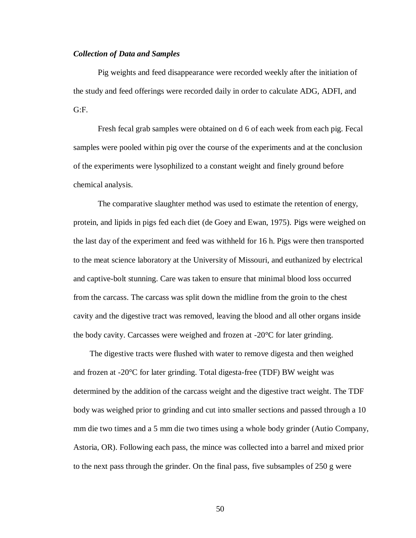## *Collection of Data and Samples*

Pig weights and feed disappearance were recorded weekly after the initiation of the study and feed offerings were recorded daily in order to calculate ADG, ADFI, and  $G: F.$ 

Fresh fecal grab samples were obtained on d 6 of each week from each pig. Fecal samples were pooled within pig over the course of the experiments and at the conclusion of the experiments were lysophilized to a constant weight and finely ground before chemical analysis.

The comparative slaughter method was used to estimate the retention of energy, protein, and lipids in pigs fed each diet (de Goey and Ewan, 1975). Pigs were weighed on the last day of the experiment and feed was withheld for 16 h. Pigs were then transported to the meat science laboratory at the University of Missouri, and euthanized by electrical and captive-bolt stunning. Care was taken to ensure that minimal blood loss occurred from the carcass. The carcass was split down the midline from the groin to the chest cavity and the digestive tract was removed, leaving the blood and all other organs inside the body cavity. Carcasses were weighed and frozen at -20°C for later grinding.

The digestive tracts were flushed with water to remove digesta and then weighed and frozen at -20°C for later grinding. Total digesta-free (TDF) BW weight was determined by the addition of the carcass weight and the digestive tract weight. The TDF body was weighed prior to grinding and cut into smaller sections and passed through a 10 mm die two times and a 5 mm die two times using a whole body grinder (Autio Company, Astoria, OR). Following each pass, the mince was collected into a barrel and mixed prior to the next pass through the grinder. On the final pass, five subsamples of 250 g were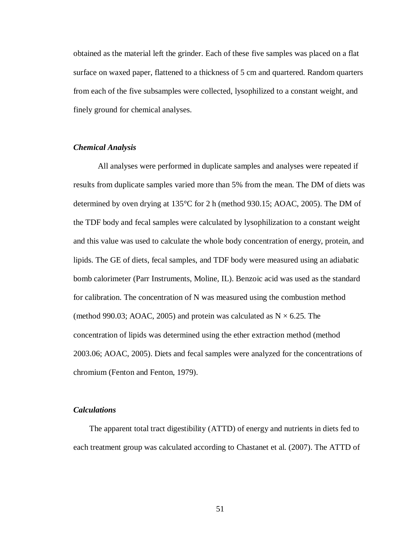obtained as the material left the grinder. Each of these five samples was placed on a flat surface on waxed paper, flattened to a thickness of 5 cm and quartered. Random quarters from each of the five subsamples were collected, lysophilized to a constant weight, and finely ground for chemical analyses.

# *Chemical Analysis*

All analyses were performed in duplicate samples and analyses were repeated if results from duplicate samples varied more than 5% from the mean. The DM of diets was determined by oven drying at 135°C for 2 h (method 930.15; AOAC, 2005). The DM of the TDF body and fecal samples were calculated by lysophilization to a constant weight and this value was used to calculate the whole body concentration of energy, protein, and lipids. The GE of diets, fecal samples, and TDF body were measured using an adiabatic bomb calorimeter (Parr Instruments, Moline, IL). Benzoic acid was used as the standard for calibration. The concentration of N was measured using the combustion method (method 990.03; AOAC, 2005) and protein was calculated as  $N \times 6.25$ . The concentration of lipids was determined using the ether extraction method (method 2003.06; AOAC, 2005). Diets and fecal samples were analyzed for the concentrations of chromium (Fenton and Fenton, 1979).

## *Calculations*

The apparent total tract digestibility (ATTD) of energy and nutrients in diets fed to each treatment group was calculated according to Chastanet et al. (2007). The ATTD of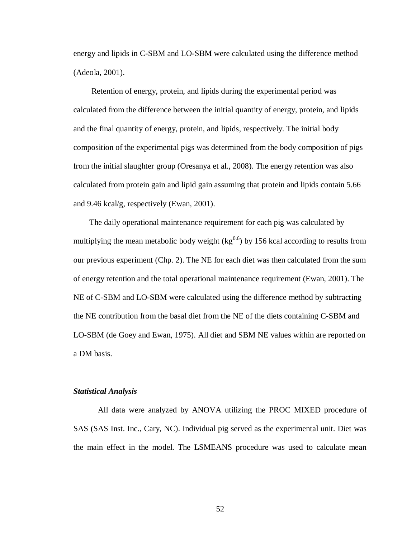energy and lipids in C-SBM and LO-SBM were calculated using the difference method (Adeola, 2001).

Retention of energy, protein, and lipids during the experimental period was calculated from the difference between the initial quantity of energy, protein, and lipids and the final quantity of energy, protein, and lipids, respectively. The initial body composition of the experimental pigs was determined from the body composition of pigs from the initial slaughter group (Oresanya et al., 2008). The energy retention was also calculated from protein gain and lipid gain assuming that protein and lipids contain 5.66 and 9.46 kcal/g, respectively (Ewan, 2001).

The daily operational maintenance requirement for each pig was calculated by multiplying the mean metabolic body weight  $\text{kg}^{0.6}$ ) by 156 kcal according to results from our previous experiment (Chp. 2). The NE for each diet was then calculated from the sum of energy retention and the total operational maintenance requirement (Ewan, 2001). The NE of C-SBM and LO-SBM were calculated using the difference method by subtracting the NE contribution from the basal diet from the NE of the diets containing C-SBM and LO-SBM (de Goey and Ewan, 1975). All diet and SBM NE values within are reported on a DM basis.

### *Statistical Analysis*

All data were analyzed by ANOVA utilizing the PROC MIXED procedure of SAS (SAS Inst. Inc., Cary, NC). Individual pig served as the experimental unit. Diet was the main effect in the model. The LSMEANS procedure was used to calculate mean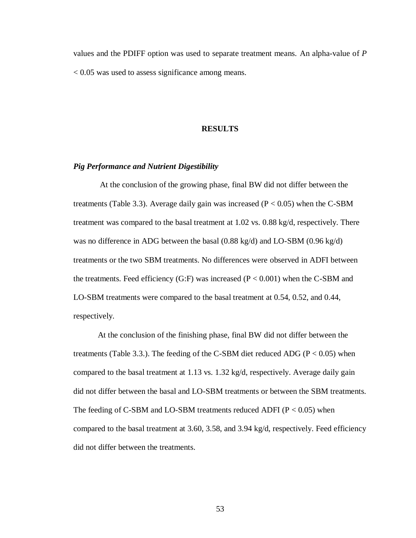values and the PDIFF option was used to separate treatment means. An alpha-value of *P* < 0.05 was used to assess significance among means.

## **RESULTS**

## *Pig Performance and Nutrient Digestibility*

At the conclusion of the growing phase, final BW did not differ between the treatments (Table 3.3). Average daily gain was increased ( $P < 0.05$ ) when the C-SBM treatment was compared to the basal treatment at 1.02 vs. 0.88 kg/d, respectively. There was no difference in ADG between the basal (0.88 kg/d) and LO-SBM (0.96 kg/d) treatments or the two SBM treatments. No differences were observed in ADFI between the treatments. Feed efficiency (G:F) was increased ( $P < 0.001$ ) when the C-SBM and LO-SBM treatments were compared to the basal treatment at 0.54, 0.52, and 0.44, respectively.

At the conclusion of the finishing phase, final BW did not differ between the treatments (Table 3.3.). The feeding of the C-SBM diet reduced ADG ( $P < 0.05$ ) when compared to the basal treatment at 1.13 vs. 1.32 kg/d, respectively. Average daily gain did not differ between the basal and LO-SBM treatments or between the SBM treatments. The feeding of C-SBM and LO-SBM treatments reduced ADFI ( $P < 0.05$ ) when compared to the basal treatment at 3.60, 3.58, and 3.94 kg/d, respectively. Feed efficiency did not differ between the treatments.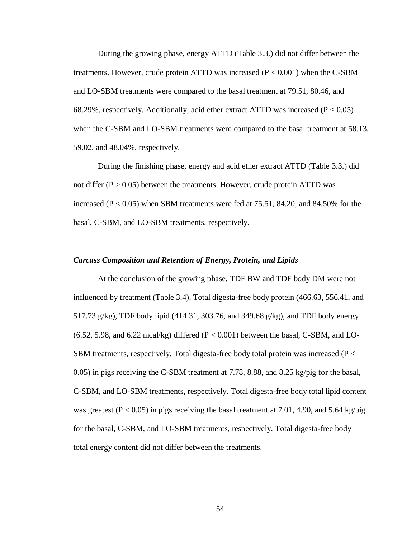During the growing phase, energy ATTD (Table 3.3.) did not differ between the treatments. However, crude protein ATTD was increased  $(P < 0.001)$  when the C-SBM and LO-SBM treatments were compared to the basal treatment at 79.51, 80.46, and 68.29%, respectively. Additionally, acid ether extract ATTD was increased ( $P < 0.05$ ) when the C-SBM and LO-SBM treatments were compared to the basal treatment at 58.13, 59.02, and 48.04%, respectively.

During the finishing phase, energy and acid ether extract ATTD (Table 3.3.) did not differ ( $P > 0.05$ ) between the treatments. However, crude protein ATTD was increased  $(P < 0.05)$  when SBM treatments were fed at 75.51, 84.20, and 84.50% for the basal, C-SBM, and LO-SBM treatments, respectively.

## *Carcass Composition and Retention of Energy, Protein, and Lipids*

At the conclusion of the growing phase, TDF BW and TDF body DM were not influenced by treatment (Table 3.4). Total digesta-free body protein (466.63, 556.41, and 517.73 g/kg), TDF body lipid (414.31, 303.76, and 349.68 g/kg), and TDF body energy  $(6.52, 5.98, \text{ and } 6.22 \text{ } \text{mcal/kg})$  differed  $(P < 0.001)$  between the basal, C-SBM, and LO-SBM treatments, respectively. Total digesta-free body total protein was increased ( $P <$ 0.05) in pigs receiving the C-SBM treatment at 7.78, 8.88, and 8.25 kg/pig for the basal, C-SBM, and LO-SBM treatments, respectively. Total digesta-free body total lipid content was greatest ( $P < 0.05$ ) in pigs receiving the basal treatment at 7.01, 4.90, and 5.64 kg/pig for the basal, C-SBM, and LO-SBM treatments, respectively. Total digesta-free body total energy content did not differ between the treatments.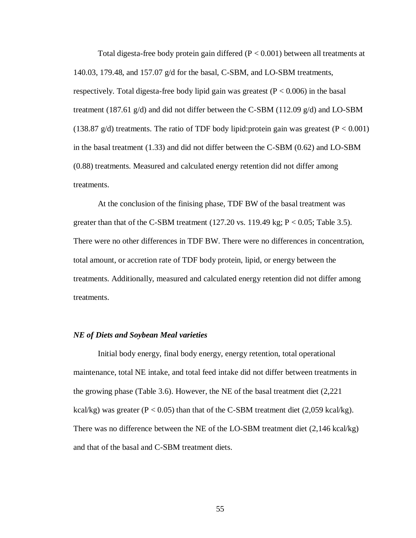Total digesta-free body protein gain differed  $(P < 0.001)$  between all treatments at 140.03, 179.48, and 157.07 g/d for the basal, C-SBM, and LO-SBM treatments, respectively. Total digesta-free body lipid gain was greatest ( $P < 0.006$ ) in the basal treatment (187.61  $g/d$ ) and did not differ between the C-SBM (112.09  $g/d$ ) and LO-SBM (138.87 g/d) treatments. The ratio of TDF body lipid: protein gain was greatest ( $P < 0.001$ ) in the basal treatment (1.33) and did not differ between the C-SBM (0.62) and LO-SBM (0.88) treatments. Measured and calculated energy retention did not differ among treatments.

At the conclusion of the finising phase, TDF BW of the basal treatment was greater than that of the C-SBM treatment  $(127.20 \text{ vs. } 119.49 \text{ kg}; P < 0.05;$  Table 3.5). There were no other differences in TDF BW. There were no differences in concentration, total amount, or accretion rate of TDF body protein, lipid, or energy between the treatments. Additionally, measured and calculated energy retention did not differ among treatments.

## *NE of Diets and Soybean Meal varieties*

Initial body energy, final body energy, energy retention, total operational maintenance, total NE intake, and total feed intake did not differ between treatments in the growing phase (Table 3.6). However, the NE of the basal treatment diet (2,221 kcal/kg) was greater ( $P < 0.05$ ) than that of the C-SBM treatment diet (2,059 kcal/kg). There was no difference between the NE of the LO-SBM treatment diet (2,146 kcal/kg) and that of the basal and C-SBM treatment diets.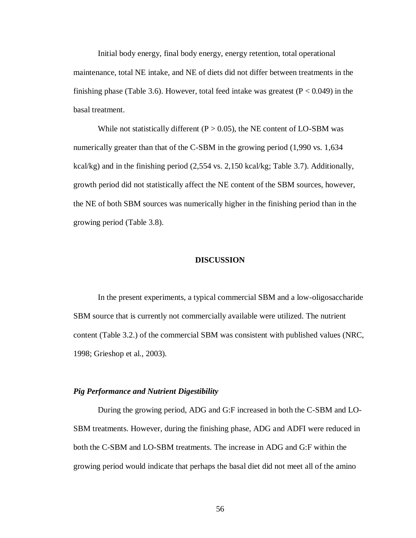Initial body energy, final body energy, energy retention, total operational maintenance, total NE intake, and NE of diets did not differ between treatments in the finishing phase (Table 3.6). However, total feed intake was greatest ( $P < 0.049$ ) in the basal treatment.

While not statistically different ( $P > 0.05$ ), the NE content of LO-SBM was numerically greater than that of the C-SBM in the growing period (1,990 vs. 1,634 kcal/kg) and in the finishing period (2,554 vs. 2,150 kcal/kg; Table 3.7). Additionally, growth period did not statistically affect the NE content of the SBM sources, however, the NE of both SBM sources was numerically higher in the finishing period than in the growing period (Table 3.8).

## **DISCUSSION**

In the present experiments, a typical commercial SBM and a low-oligosaccharide SBM source that is currently not commercially available were utilized. The nutrient content (Table 3.2.) of the commercial SBM was consistent with published values (NRC, 1998; Grieshop et al., 2003).

#### *Pig Performance and Nutrient Digestibility*

During the growing period, ADG and G:F increased in both the C-SBM and LO-SBM treatments. However, during the finishing phase, ADG and ADFI were reduced in both the C-SBM and LO-SBM treatments. The increase in ADG and G:F within the growing period would indicate that perhaps the basal diet did not meet all of the amino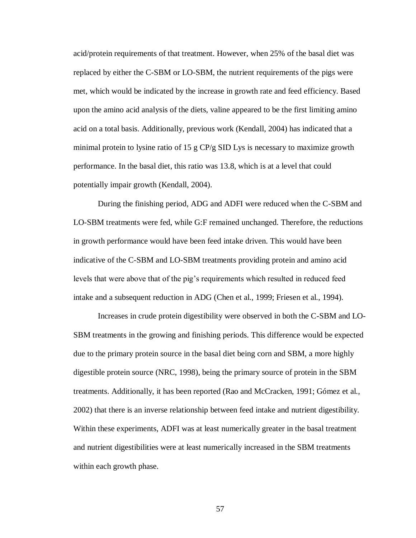acid/protein requirements of that treatment. However, when 25% of the basal diet was replaced by either the C-SBM or LO-SBM, the nutrient requirements of the pigs were met, which would be indicated by the increase in growth rate and feed efficiency. Based upon the amino acid analysis of the diets, valine appeared to be the first limiting amino acid on a total basis. Additionally, previous work (Kendall, 2004) has indicated that a minimal protein to lysine ratio of 15 g CP/g SID Lys is necessary to maximize growth performance. In the basal diet, this ratio was 13.8, which is at a level that could potentially impair growth (Kendall, 2004).

During the finishing period, ADG and ADFI were reduced when the C-SBM and LO-SBM treatments were fed, while G:F remained unchanged. Therefore, the reductions in growth performance would have been feed intake driven. This would have been indicative of the C-SBM and LO-SBM treatments providing protein and amino acid levels that were above that of the pig's requirements which resulted in reduced feed intake and a subsequent reduction in ADG (Chen et al., 1999; Friesen et al., 1994).

Increases in crude protein digestibility were observed in both the C-SBM and LO-SBM treatments in the growing and finishing periods. This difference would be expected due to the primary protein source in the basal diet being corn and SBM, a more highly digestible protein source (NRC, 1998), being the primary source of protein in the SBM treatments. Additionally, it has been reported (Rao and McCracken, 1991; Gómez et al., 2002) that there is an inverse relationship between feed intake and nutrient digestibility. Within these experiments, ADFI was at least numerically greater in the basal treatment and nutrient digestibilities were at least numerically increased in the SBM treatments within each growth phase.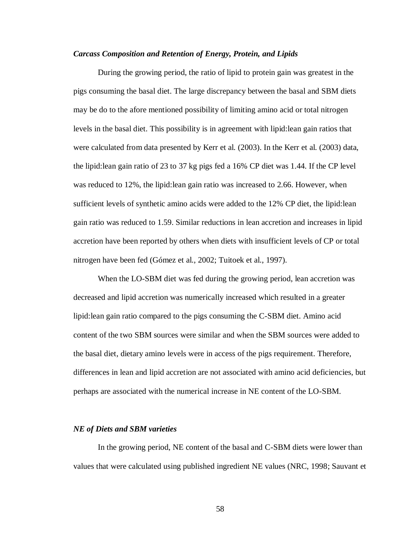## *Carcass Composition and Retention of Energy, Protein, and Lipids*

During the growing period, the ratio of lipid to protein gain was greatest in the pigs consuming the basal diet. The large discrepancy between the basal and SBM diets may be do to the afore mentioned possibility of limiting amino acid or total nitrogen levels in the basal diet. This possibility is in agreement with lipid:lean gain ratios that were calculated from data presented by Kerr et al. (2003). In the Kerr et al. (2003) data, the lipid:lean gain ratio of 23 to 37 kg pigs fed a 16% CP diet was 1.44. If the CP level was reduced to 12%, the lipid:lean gain ratio was increased to 2.66. However, when sufficient levels of synthetic amino acids were added to the 12% CP diet, the lipid:lean gain ratio was reduced to 1.59. Similar reductions in lean accretion and increases in lipid accretion have been reported by others when diets with insufficient levels of CP or total nitrogen have been fed (Gómez et al., 2002; Tuitoek et al., 1997).

When the LO-SBM diet was fed during the growing period, lean accretion was decreased and lipid accretion was numerically increased which resulted in a greater lipid:lean gain ratio compared to the pigs consuming the C-SBM diet. Amino acid content of the two SBM sources were similar and when the SBM sources were added to the basal diet, dietary amino levels were in access of the pigs requirement. Therefore, differences in lean and lipid accretion are not associated with amino acid deficiencies, but perhaps are associated with the numerical increase in NE content of the LO-SBM.

## *NE of Diets and SBM varieties*

In the growing period, NE content of the basal and C-SBM diets were lower than values that were calculated using published ingredient NE values (NRC, 1998; Sauvant et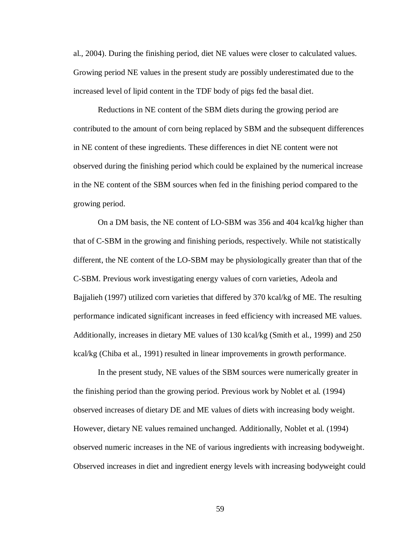al., 2004). During the finishing period, diet NE values were closer to calculated values. Growing period NE values in the present study are possibly underestimated due to the increased level of lipid content in the TDF body of pigs fed the basal diet.

Reductions in NE content of the SBM diets during the growing period are contributed to the amount of corn being replaced by SBM and the subsequent differences in NE content of these ingredients. These differences in diet NE content were not observed during the finishing period which could be explained by the numerical increase in the NE content of the SBM sources when fed in the finishing period compared to the growing period.

On a DM basis, the NE content of LO-SBM was 356 and 404 kcal/kg higher than that of C-SBM in the growing and finishing periods, respectively. While not statistically different, the NE content of the LO-SBM may be physiologically greater than that of the C-SBM. Previous work investigating energy values of corn varieties, Adeola and Bajjalieh (1997) utilized corn varieties that differed by 370 kcal/kg of ME. The resulting performance indicated significant increases in feed efficiency with increased ME values. Additionally, increases in dietary ME values of 130 kcal/kg (Smith et al., 1999) and 250 kcal/kg (Chiba et al., 1991) resulted in linear improvements in growth performance.

In the present study, NE values of the SBM sources were numerically greater in the finishing period than the growing period. Previous work by Noblet et al. (1994) observed increases of dietary DE and ME values of diets with increasing body weight. However, dietary NE values remained unchanged. Additionally, Noblet et al. (1994) observed numeric increases in the NE of various ingredients with increasing bodyweight. Observed increases in diet and ingredient energy levels with increasing bodyweight could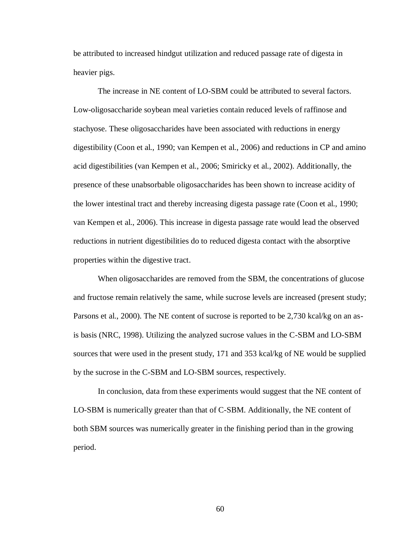be attributed to increased hindgut utilization and reduced passage rate of digesta in heavier pigs.

The increase in NE content of LO-SBM could be attributed to several factors. Low-oligosaccharide soybean meal varieties contain reduced levels of raffinose and stachyose. These oligosaccharides have been associated with reductions in energy digestibility (Coon et al., 1990; van Kempen et al., 2006) and reductions in CP and amino acid digestibilities (van Kempen et al., 2006; Smiricky et al., 2002). Additionally, the presence of these unabsorbable oligosaccharides has been shown to increase acidity of the lower intestinal tract and thereby increasing digesta passage rate (Coon et al., 1990; van Kempen et al., 2006). This increase in digesta passage rate would lead the observed reductions in nutrient digestibilities do to reduced digesta contact with the absorptive properties within the digestive tract.

When oligosaccharides are removed from the SBM, the concentrations of glucose and fructose remain relatively the same, while sucrose levels are increased (present study; Parsons et al., 2000). The NE content of sucrose is reported to be 2,730 kcal/kg on an asis basis (NRC, 1998). Utilizing the analyzed sucrose values in the C-SBM and LO-SBM sources that were used in the present study, 171 and 353 kcal/kg of NE would be supplied by the sucrose in the C-SBM and LO-SBM sources, respectively.

In conclusion, data from these experiments would suggest that the NE content of LO-SBM is numerically greater than that of C-SBM. Additionally, the NE content of both SBM sources was numerically greater in the finishing period than in the growing period.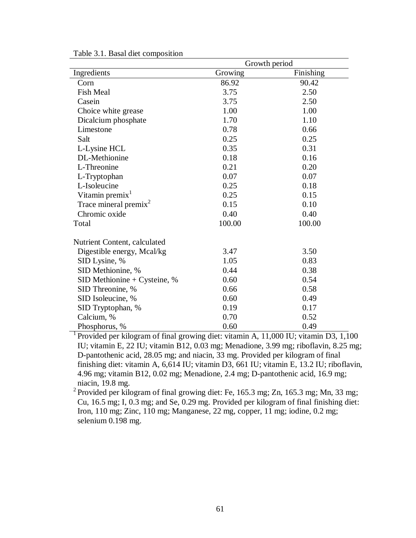|                                                                                      | Growth period |           |  |  |  |
|--------------------------------------------------------------------------------------|---------------|-----------|--|--|--|
| Ingredients                                                                          | Growing       | Finishing |  |  |  |
| Corn                                                                                 | 86.92         | 90.42     |  |  |  |
| <b>Fish Meal</b>                                                                     | 3.75          | 2.50      |  |  |  |
| Casein                                                                               | 3.75          | 2.50      |  |  |  |
| Choice white grease                                                                  | 1.00          | 1.00      |  |  |  |
| Dicalcium phosphate                                                                  | 1.70          | 1.10      |  |  |  |
| Limestone                                                                            | 0.78          | 0.66      |  |  |  |
| Salt                                                                                 | 0.25          | 0.25      |  |  |  |
| L-Lysine HCL                                                                         | 0.35          | 0.31      |  |  |  |
| DL-Methionine                                                                        | 0.18          | 0.16      |  |  |  |
| L-Threonine                                                                          | 0.21          | 0.20      |  |  |  |
| L-Tryptophan                                                                         | 0.07          | 0.07      |  |  |  |
| L-Isoleucine                                                                         | 0.25          | 0.18      |  |  |  |
| Vitamin premix <sup>1</sup>                                                          | 0.25          | 0.15      |  |  |  |
| Trace mineral premix <sup>2</sup>                                                    | 0.15          | 0.10      |  |  |  |
| Chromic oxide                                                                        | 0.40          | 0.40      |  |  |  |
| Total                                                                                | 100.00        | 100.00    |  |  |  |
| Nutrient Content, calculated                                                         |               |           |  |  |  |
| Digestible energy, Mcal/kg                                                           | 3.47          | 3.50      |  |  |  |
| SID Lysine, %                                                                        | 1.05          | 0.83      |  |  |  |
| SID Methionine, %                                                                    | 0.44          | 0.38      |  |  |  |
| $SID$ Methionine + Cysteine, %                                                       | 0.60          | 0.54      |  |  |  |
| SID Threonine, %                                                                     | 0.66          | 0.58      |  |  |  |
| SID Isoleucine, %                                                                    | 0.60          | 0.49      |  |  |  |
| SID Tryptophan, %                                                                    | 0.19          | 0.17      |  |  |  |
| Calcium, %                                                                           | 0.70          | 0.52      |  |  |  |
| Phosphorus, %                                                                        | 0.60          | 0.49      |  |  |  |
| Provided per kilogram of final growing diet: vitamin A, 11,000 IU; vitamin D3, 1,100 |               |           |  |  |  |

Table 3.1. Basal diet composition

IU; vitamin E, 22 IU; vitamin B12, 0.03 mg; Menadione, 3.99 mg; riboflavin, 8.25 mg; D-pantothenic acid, 28.05 mg; and niacin, 33 mg. Provided per kilogram of final finishing diet: vitamin A, 6,614 IU; vitamin D3, 661 IU; vitamin E, 13.2 IU; riboflavin, 4.96 mg; vitamin B12, 0.02 mg; Menadione, 2.4 mg; D-pantothenic acid, 16.9 mg; niacin, 19.8 mg.

<sup>2</sup> Provided per kilogram of final growing diet: Fe, 165.3 mg; Zn, 165.3 mg; Mn, 33 mg; Cu, 16.5 mg; I, 0.3 mg; and Se, 0.29 mg. Provided per kilogram of final finishing diet: Iron, 110 mg; Zinc, 110 mg; Manganese, 22 mg, copper, 11 mg; iodine, 0.2 mg; selenium 0.198 mg.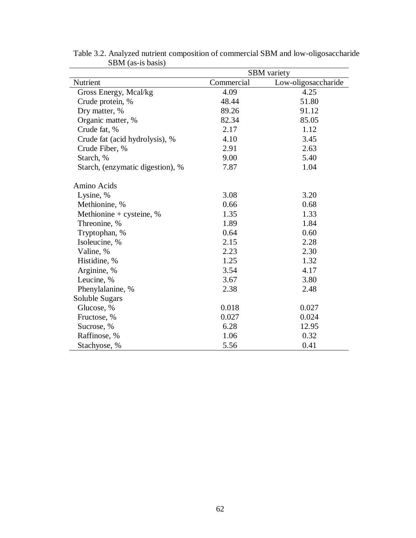|                                  | <b>SBM</b> variety |                     |  |  |
|----------------------------------|--------------------|---------------------|--|--|
| Nutrient                         | Commercial         | Low-oligosaccharide |  |  |
| Gross Energy, Mcal/kg            | 4.09               | 4.25                |  |  |
| Crude protein, %                 | 48.44              | 51.80               |  |  |
| Dry matter, %                    | 89.26              | 91.12               |  |  |
| Organic matter, %                | 82.34              | 85.05               |  |  |
| Crude fat, %                     | 2.17               | 1.12                |  |  |
| Crude fat (acid hydrolysis), %   | 4.10               | 3.45                |  |  |
| Crude Fiber, %                   | 2.91               | 2.63                |  |  |
| Starch, %                        | 9.00               | 5.40                |  |  |
| Starch, (enzymatic digestion), % | 7.87               | 1.04                |  |  |
| Amino Acids                      |                    |                     |  |  |
| Lysine, %                        | 3.08               | 3.20                |  |  |
| Methionine, %                    | 0.66               | 0.68                |  |  |
| Methionine + cysteine, $%$       | 1.35               | 1.33                |  |  |
| Threonine, %                     | 1.89               | 1.84                |  |  |
| Tryptophan, %                    | 0.64               | 0.60                |  |  |
| Isoleucine, %                    | 2.15               | 2.28                |  |  |
| Valine, %                        | 2.23               | 2.30                |  |  |
| Histidine, %                     | 1.25               | 1.32                |  |  |
| Arginine, %                      | 3.54               | 4.17                |  |  |
| Leucine, %                       | 3.67               | 3.80                |  |  |
| Phenylalanine, %                 | 2.38               | 2.48                |  |  |
| Soluble Sugars                   |                    |                     |  |  |
| Glucose, %                       | 0.018              | 0.027               |  |  |
| Fructose, %                      | 0.027              | 0.024               |  |  |
| Sucrose, %                       | 6.28               | 12.95               |  |  |
| Raffinose, %                     | 1.06               | 0.32                |  |  |
| Stachyose, %                     | 5.56               | 0.41                |  |  |

Table 3.2. Analyzed nutrient composition of commercial SBM and low-oligosaccharide SBM (as-is basis)  $\frac{1}{\sqrt{2}}$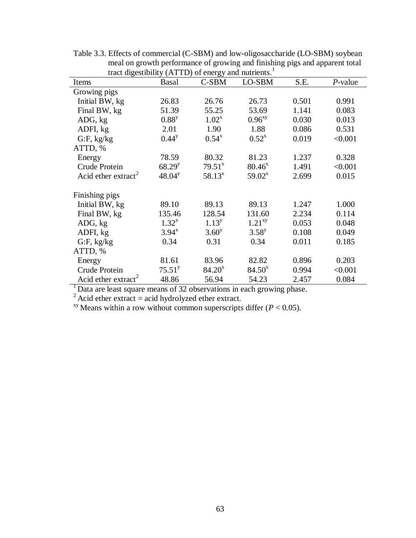|                                 | $\alpha$ and $\alpha$ are denoted $\alpha$ and $\alpha$ and $\alpha$ and $\alpha$ and $\alpha$ and $\alpha$ and $\alpha$ and $\alpha$ and $\alpha$ and $\alpha$ and $\alpha$ and $\alpha$ and $\alpha$ and $\alpha$ and $\alpha$ and $\alpha$ and $\alpha$ and $\alpha$ and $\alpha$ and $\alpha$ and $\alpha$ and $\alpha$ a |                    |                    |       |            |  |  |
|---------------------------------|-------------------------------------------------------------------------------------------------------------------------------------------------------------------------------------------------------------------------------------------------------------------------------------------------------------------------------|--------------------|--------------------|-------|------------|--|--|
| Items                           | Basal                                                                                                                                                                                                                                                                                                                         | C-SBM              | LO-SBM             | S.E.  | $P$ -value |  |  |
| Growing pigs                    |                                                                                                                                                                                                                                                                                                                               |                    |                    |       |            |  |  |
| Initial BW, kg                  | 26.83                                                                                                                                                                                                                                                                                                                         | 26.76              | 26.73              | 0.501 | 0.991      |  |  |
| Final BW, kg                    | 51.39                                                                                                                                                                                                                                                                                                                         | 55.25              | 53.69              | 1.141 | 0.083      |  |  |
| ADG, kg                         | $0.88^{y}$                                                                                                                                                                                                                                                                                                                    | $1.02^{x}$         | 0.96 <sup>xy</sup> | 0.030 | 0.013      |  |  |
| ADFI, kg                        | 2.01                                                                                                                                                                                                                                                                                                                          | 1.90               | 1.88               | 0.086 | 0.531      |  |  |
| $G$ :F, kg/kg                   | $0.44^{\rm y}$                                                                                                                                                                                                                                                                                                                | $0.54^{x}$         | $0.52^{x}$         | 0.019 | < 0.001    |  |  |
| ATTD, %                         |                                                                                                                                                                                                                                                                                                                               |                    |                    |       |            |  |  |
| Energy                          | 78.59                                                                                                                                                                                                                                                                                                                         | 80.32              | 81.23              | 1.237 | 0.328      |  |  |
| Crude Protein                   | $68.29^{y}$                                                                                                                                                                                                                                                                                                                   | $79.51^x$          | $80.46^x$          | 1.491 | < 0.001    |  |  |
| Acid ether extract <sup>2</sup> | $48.04^y$                                                                                                                                                                                                                                                                                                                     | $58.13^{x}$        | $59.02^x$          | 2.699 | 0.015      |  |  |
| Finishing pigs                  |                                                                                                                                                                                                                                                                                                                               |                    |                    |       |            |  |  |
| Initial BW, kg                  | 89.10                                                                                                                                                                                                                                                                                                                         | 89.13              | 89.13              | 1.247 | 1.000      |  |  |
| Final BW, kg                    | 135.46                                                                                                                                                                                                                                                                                                                        | 128.54             | 131.60             | 2.234 | 0.114      |  |  |
| ADG, kg                         | $1.32^{x}$                                                                                                                                                                                                                                                                                                                    | $1.13^{y}$         | $1.21^{xy}$        | 0.053 | 0.048      |  |  |
| ADFI, kg                        | $3.94^{x}$                                                                                                                                                                                                                                                                                                                    | $3.60^y$           | $3.58^{y}$         | 0.108 | 0.049      |  |  |
| $G$ :F, kg/kg                   | 0.34                                                                                                                                                                                                                                                                                                                          | 0.31               | 0.34               | 0.011 | 0.185      |  |  |
| ATTD, %                         |                                                                                                                                                                                                                                                                                                                               |                    |                    |       |            |  |  |
| Energy                          | 81.61                                                                                                                                                                                                                                                                                                                         | 83.96              | 82.82              | 0.896 | 0.203      |  |  |
| Crude Protein                   | 75.51 <sup>y</sup>                                                                                                                                                                                                                                                                                                            | 84.20 <sup>x</sup> | 84.50 <sup>x</sup> | 0.994 | < 0.001    |  |  |
| Acid ether extract <sup>2</sup> | 48.86                                                                                                                                                                                                                                                                                                                         | 56.94              | 54.23              | 2.457 | 0.084      |  |  |

Table 3.3. Effects of commercial (C-SBM) and low-oligosaccharide (LO-SBM) soybean meal on growth performance of growing and finishing pigs and apparent total tract digestibility ( $\Lambda$ TTD) of energy and nutrients.<sup>1</sup>

 $<sup>1</sup>$  Data are least square means of 32 observations in each growing phase.</sup>

 $^{2}$  Acid ether extract = acid hydrolyzed ether extract.

<sup>xy</sup> Means within a row without common superscripts differ ( $P < 0.05$ ).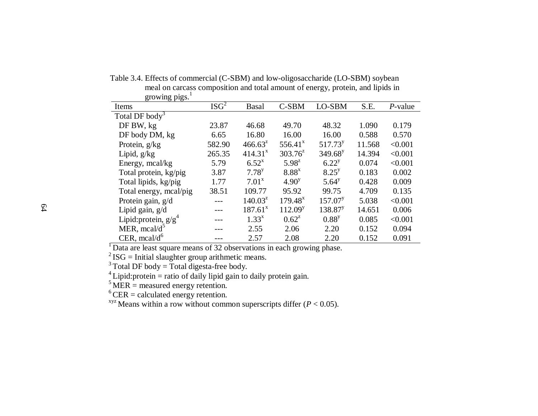| growing pigs.              |                  |                     |                     |                     |        |            |
|----------------------------|------------------|---------------------|---------------------|---------------------|--------|------------|
| Items                      | ISG <sup>2</sup> | <b>Basal</b>        | C-SBM               | LO-SBM              | S.E.   | $P$ -value |
| Total DF body <sup>3</sup> |                  |                     |                     |                     |        |            |
| DF BW, kg                  | 23.87            | 46.68               | 49.70               | 48.32               | 1.090  | 0.179      |
| DF body DM, kg             | 6.65             | 16.80               | 16.00               | 16.00               | 0.588  | 0.570      |
| Protein, g/kg              | 582.90           | $466.63^z$          | $556.41^x$          | 517.73 <sup>y</sup> | 11.568 | < 0.001    |
| Lipid, $g/kg$              | 265.35           | 414.31 <sup>x</sup> | $303.76^z$          | $349.68^y$          | 14.394 | < 0.001    |
| Energy, mcal/kg            | 5.79             | $6.52^{x}$          | $5.98^{2}$          | $6.22^{y}$          | 0.074  | < 0.001    |
| Total protein, kg/pig      | 3.87             | $7.78^{y}$          | $8.88^{x}$          | $8.25^{y}$          | 0.183  | 0.002      |
| Total lipids, kg/pig       | 1.77             | $7.01^x$            | 4.90 <sup>y</sup>   | $5.64^y$            | 0.428  | 0.009      |
| Total energy, mcal/pig     | 38.51            | 109.77              | 95.92               | 99.75               | 4.709  | 0.135      |
| Protein gain, g/d          |                  | $140.03^z$          | $179.48^x$          | 157.07 <sup>y</sup> | 5.038  | < 0.001    |
| Lipid gain, g/d            |                  | $187.61^x$          | 112.09 <sup>y</sup> | 138.87 <sup>y</sup> | 14.651 | 0.006      |
| Lipid: protein, $g/g^4$    |                  | $1.33^{x}$          | $0.62^z$            | $0.88^{y}$          | 0.085  | < 0.001    |
| MER, mcal/ $d^5$           |                  | 2.55                | 2.06                | 2.20                | 0.152  | 0.094      |
| CER, $mcal/d^{\circ}$      |                  | 2.57                | 2.08                | 2.20                | 0.152  | 0.091      |

 Table 3.4. Effects of commercial (C-SBM) and low-oligosaccharide (LO-SBM) soybean meal on carcass composition and total amount of energy, protein, and lipids in growing  $pigs.$ <sup>1</sup>

 $1$ Data are least square means of 32 observations in each growing phase.

 $^{2}$  ISG = Initial slaughter group arithmetic means.

 $3\text{Total DF}$  body = Total digesta-free body.

 $4$  Lipid: protein = ratio of daily lipid gain to daily protein gain.

 $\frac{5}{1}$ MER = measured energy retention.

 $6$  CER = calculated energy retention.

<sup>xyz</sup> Means within a row without common superscripts differ ( $P < 0.05$ ).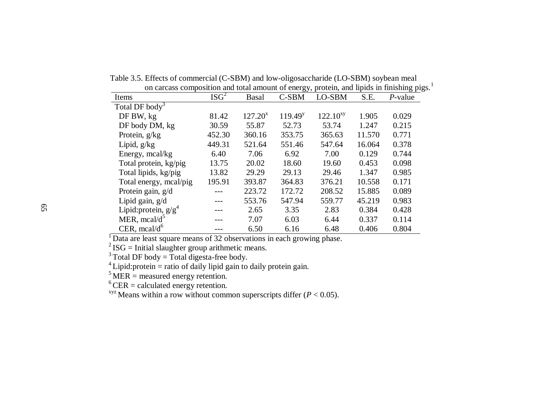| on carcass composition and total amount of energy, protein, and lipids in finishing pig |                  |              |              |               |        |            |
|-----------------------------------------------------------------------------------------|------------------|--------------|--------------|---------------|--------|------------|
| Items                                                                                   | ISG <sup>2</sup> | <b>Basal</b> | C-SBM        | LO-SBM        | S.E.   | $P$ -value |
| Total DF body <sup>3</sup>                                                              |                  |              |              |               |        |            |
| DF BW, kg                                                                               | 81.42            | $127.20^x$   | $119.49^{y}$ | $122.10^{xy}$ | 1.905  | 0.029      |
| DF body DM, kg                                                                          | 30.59            | 55.87        | 52.73        | 53.74         | 1.247  | 0.215      |
| Protein, g/kg                                                                           | 452.30           | 360.16       | 353.75       | 365.63        | 11.570 | 0.771      |
| Lipid, $g/kg$                                                                           | 449.31           | 521.64       | 551.46       | 547.64        | 16.064 | 0.378      |
| Energy, mcal/kg                                                                         | 6.40             | 7.06         | 6.92         | 7.00          | 0.129  | 0.744      |
| Total protein, kg/pig                                                                   | 13.75            | 20.02        | 18.60        | 19.60         | 0.453  | 0.098      |
| Total lipids, kg/pig                                                                    | 13.82            | 29.29        | 29.13        | 29.46         | 1.347  | 0.985      |
| Total energy, mcal/pig                                                                  | 195.91           | 393.87       | 364.83       | 376.21        | 10.558 | 0.171      |
| Protein gain, g/d                                                                       |                  | 223.72       | 172.72       | 208.52        | 15.885 | 0.089      |
| Lipid gain, $g/d$                                                                       |                  | 553.76       | 547.94       | 559.77        | 45.219 | 0.983      |
| Lipid: protein, $g/g^4$                                                                 |                  | 2.65         | 3.35         | 2.83          | 0.384  | 0.428      |
| MER, mcal/ $d^5$                                                                        |                  | 7.07         | 6.03         | 6.44          | 0.337  | 0.114      |
| CER, $meal/d^6$                                                                         |                  | 6.50         | 6.16         | 6.48          | 0.406  | 0.804      |

 Table 3.5. Effects of commercial (C-SBM) and low-oligosaccharide (LO-SBM) soybean meal on carcass composition and total amount of energy, protein, and lipids in finishing pigs.<sup>1</sup>

<sup>1</sup>Data are least square means of 32 observations in each growing phase.

 $2$  ISG = Initial slaughter group arithmetic means.

 $3$  Total DF body = Total digesta-free body.

 $4$  Lipid: protein = ratio of daily lipid gain to daily protein gain.

 $<sup>5</sup>$  MER = measured energy retention.</sup>

 $6$  CER = calculated energy retention.

<sup>xyz</sup> Means within a row without common superscripts differ ( $P < 0.05$ ).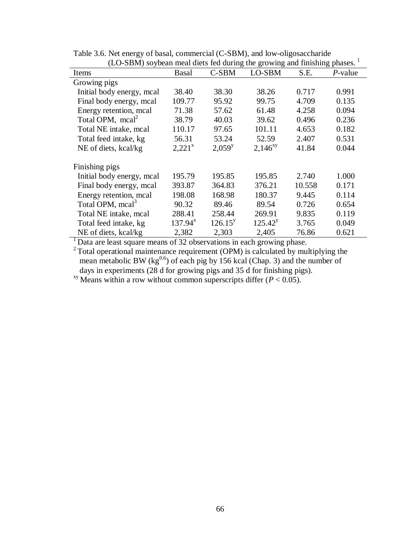| (LO-SDN) soybean meal diets fed during the growing and minshing phases. |                    |            |              |        |            |  |  |  |
|-------------------------------------------------------------------------|--------------------|------------|--------------|--------|------------|--|--|--|
| Items                                                                   | <b>Basal</b>       | C-SBM      | LO-SBM       | S.E.   | $P$ -value |  |  |  |
| Growing pigs                                                            |                    |            |              |        |            |  |  |  |
| Initial body energy, mcal                                               | 38.40              | 38.30      | 38.26        | 0.717  | 0.991      |  |  |  |
| Final body energy, mcal                                                 | 109.77             | 95.92      | 99.75        | 4.709  | 0.135      |  |  |  |
| Energy retention, mcal                                                  | 71.38              | 57.62      | 61.48        | 4.258  | 0.094      |  |  |  |
| Total OPM, $mca2$                                                       | 38.79              | 40.03      | 39.62        | 0.496  | 0.236      |  |  |  |
| Total NE intake, mcal                                                   | 110.17             | 97.65      | 101.11       | 4.653  | 0.182      |  |  |  |
| Total feed intake, kg                                                   | 56.31              | 53.24      | 52.59        | 2.407  | 0.531      |  |  |  |
| NE of diets, kcal/kg                                                    | 2,221 <sup>x</sup> | $2,059^y$  | $2,146^{xy}$ | 41.84  | 0.044      |  |  |  |
| Finishing pigs                                                          |                    |            |              |        |            |  |  |  |
| Initial body energy, mcal                                               | 195.79             | 195.85     | 195.85       | 2.740  | 1.000      |  |  |  |
| Final body energy, mcal                                                 | 393.87             | 364.83     | 376.21       | 10.558 | 0.171      |  |  |  |
| Energy retention, mcal                                                  | 198.08             | 168.98     | 180.37       | 9.445  | 0.114      |  |  |  |
| Total OPM, mcal <sup>3</sup>                                            | 90.32              | 89.46      | 89.54        | 0.726  | 0.654      |  |  |  |
| Total NE intake, mcal                                                   | 288.41             | 258.44     | 269.91       | 9.835  | 0.119      |  |  |  |
| Total feed intake, kg                                                   | $137.94^{x}$       | $126.15^y$ | $125.42^y$   | 3.765  | 0.049      |  |  |  |
| NE of diets, kcal/kg                                                    | 2,382              | 2,303      | 2,405        | 76.86  | 0.621      |  |  |  |

Table 3.6. Net energy of basal, commercial (C-SBM), and low-oligosaccharide (LO-SBM) soybean meal diets fed during the growing and finishing phases.<sup>1</sup>

 $<sup>1</sup>$  Data are least square means of 32 observations in each growing phase.</sup>

 $2$  Total operational maintenance requirement (OPM) is calculated by multiplying the mean metabolic BW ( $kg^{0.6}$ ) of each pig by 156 kcal (Chap. 3) and the number of days in experiments (28 d for growing pigs and 35 d for finishing pigs).

<sup>xy</sup> Means within a row without common superscripts differ  $(P < 0.05)$ .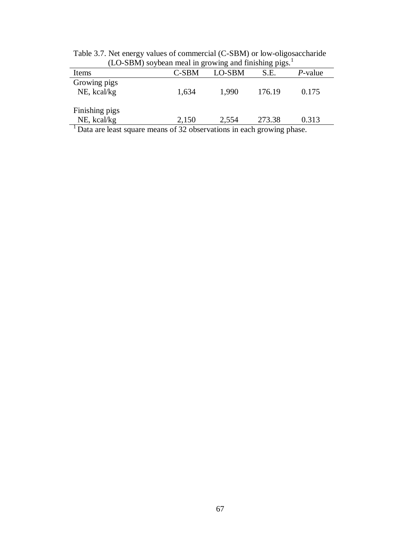| $100$ DDM) so your mear in growing and missing $p_{\rm ISS}$ .                     |       |        |        |            |  |  |  |
|------------------------------------------------------------------------------------|-------|--------|--------|------------|--|--|--|
| Items                                                                              | C-SBM | LO-SBM | S.E.   | $P$ -value |  |  |  |
| Growing pigs                                                                       |       |        |        |            |  |  |  |
| NE, kcal/kg                                                                        | 1,634 | 1,990  | 176.19 | 0.175      |  |  |  |
|                                                                                    |       |        |        |            |  |  |  |
| Finishing pigs                                                                     |       |        |        |            |  |  |  |
| NE, kcal/kg                                                                        | 2,150 | 2,554  | 273.38 | 0.313      |  |  |  |
| <sup>1</sup> Data are least square means of 32 observations in each growing phase. |       |        |        |            |  |  |  |

Table 3.7. Net energy values of commercial (C-SBM) or low-oligosaccharide  $(LO-SBM)$  soybean meal in growing and finishing pigs.<sup>1</sup>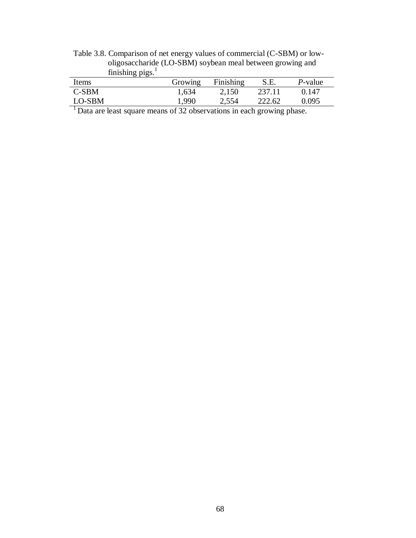| finishing $pigs.$ <sup>1</sup> |                 |           |        |         |
|--------------------------------|-----------------|-----------|--------|---------|
| Items                          | Growing         | Finishing | S.E.   | P-value |
| $C-SBM$                        | 1,634           | 2,150     | 237.11 | 0.147   |
| LO-SBM                         | $^{\circ}$ ,990 | 2,554     | 222.62 | 0.095   |

Table 3.8. Comparison of net energy values of commercial (C-SBM) or low oligosaccharide (LO-SBM) soybean meal between growing and

 $<sup>1</sup>$  Data are least square means of 32 observations in each growing phase.</sup>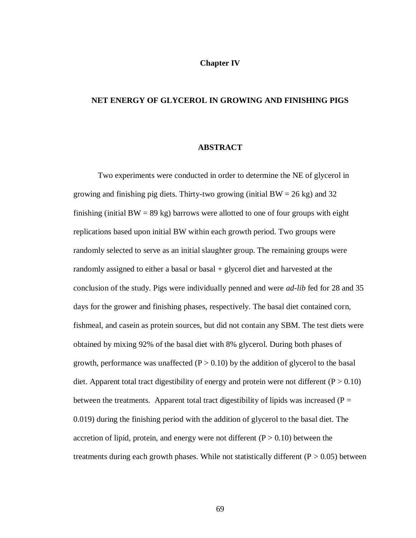# **Chapter IV**

# **NET ENERGY OF GLYCEROL IN GROWING AND FINISHING PIGS**

# **ABSTRACT**

Two experiments were conducted in order to determine the NE of glycerol in growing and finishing pig diets. Thirty-two growing (initial  $BW = 26$  kg) and 32 finishing (initial  $BW = 89$  kg) barrows were allotted to one of four groups with eight replications based upon initial BW within each growth period. Two groups were randomly selected to serve as an initial slaughter group. The remaining groups were randomly assigned to either a basal or basal + glycerol diet and harvested at the conclusion of the study. Pigs were individually penned and were *ad-lib* fed for 28 and 35 days for the grower and finishing phases, respectively. The basal diet contained corn, fishmeal, and casein as protein sources, but did not contain any SBM. The test diets were obtained by mixing 92% of the basal diet with 8% glycerol. During both phases of growth, performance was unaffected  $(P > 0.10)$  by the addition of glycerol to the basal diet. Apparent total tract digestibility of energy and protein were not different ( $P > 0.10$ ) between the treatments. Apparent total tract digestibility of lipids was increased ( $P =$ 0.019) during the finishing period with the addition of glycerol to the basal diet. The accretion of lipid, protein, and energy were not different  $(P > 0.10)$  between the treatments during each growth phases. While not statistically different  $(P > 0.05)$  between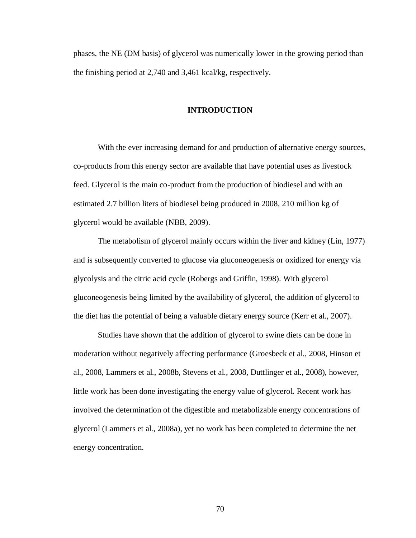phases, the NE (DM basis) of glycerol was numerically lower in the growing period than the finishing period at 2,740 and 3,461 kcal/kg, respectively.

# **INTRODUCTION**

With the ever increasing demand for and production of alternative energy sources, co-products from this energy sector are available that have potential uses as livestock feed. Glycerol is the main co-product from the production of biodiesel and with an estimated 2.7 billion liters of biodiesel being produced in 2008, 210 million kg of glycerol would be available (NBB, 2009).

The metabolism of glycerol mainly occurs within the liver and kidney (Lin, 1977) and is subsequently converted to glucose via gluconeogenesis or oxidized for energy via glycolysis and the citric acid cycle (Robergs and Griffin, 1998). With glycerol gluconeogenesis being limited by the availability of glycerol, the addition of glycerol to the diet has the potential of being a valuable dietary energy source (Kerr et al., 2007).

Studies have shown that the addition of glycerol to swine diets can be done in moderation without negatively affecting performance (Groesbeck et al., 2008, Hinson et al., 2008, Lammers et al., 2008b, Stevens et al., 2008, Duttlinger et al., 2008), however, little work has been done investigating the energy value of glycerol. Recent work has involved the determination of the digestible and metabolizable energy concentrations of glycerol (Lammers et al., 2008a), yet no work has been completed to determine the net energy concentration.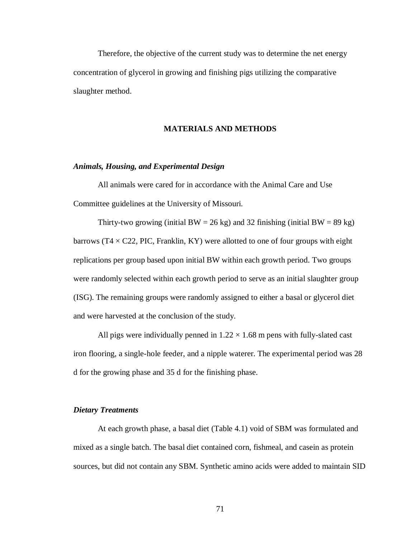Therefore, the objective of the current study was to determine the net energy concentration of glycerol in growing and finishing pigs utilizing the comparative slaughter method.

# **MATERIALS AND METHODS**

# *Animals, Housing, and Experimental Design*

All animals were cared for in accordance with the Animal Care and Use Committee guidelines at the University of Missouri.

Thirty-two growing (initial BW = 26 kg) and 32 finishing (initial BW = 89 kg) barrows ( $T4 \times C22$ , PIC, Franklin, KY) were allotted to one of four groups with eight replications per group based upon initial BW within each growth period. Two groups were randomly selected within each growth period to serve as an initial slaughter group (ISG). The remaining groups were randomly assigned to either a basal or glycerol diet and were harvested at the conclusion of the study.

All pigs were individually penned in  $1.22 \times 1.68$  m pens with fully-slated cast iron flooring, a single-hole feeder, and a nipple waterer. The experimental period was 28 d for the growing phase and 35 d for the finishing phase.

# *Dietary Treatments*

At each growth phase, a basal diet (Table 4.1) void of SBM was formulated and mixed as a single batch. The basal diet contained corn, fishmeal, and casein as protein sources, but did not contain any SBM. Synthetic amino acids were added to maintain SID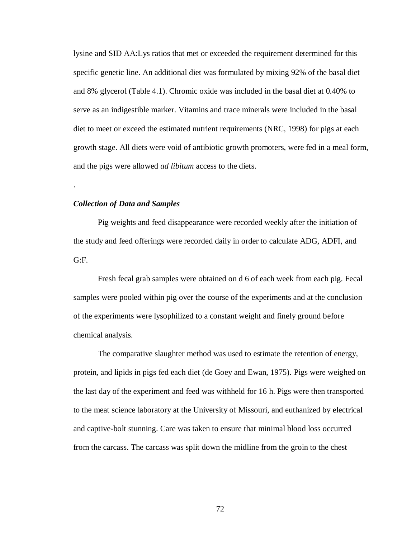lysine and SID AA:Lys ratios that met or exceeded the requirement determined for this specific genetic line. An additional diet was formulated by mixing 92% of the basal diet and 8% glycerol (Table 4.1). Chromic oxide was included in the basal diet at 0.40% to serve as an indigestible marker. Vitamins and trace minerals were included in the basal diet to meet or exceed the estimated nutrient requirements (NRC, 1998) for pigs at each growth stage. All diets were void of antibiotic growth promoters, were fed in a meal form, and the pigs were allowed *ad libitum* access to the diets.

# *Collection of Data and Samples*

.

Pig weights and feed disappearance were recorded weekly after the initiation of the study and feed offerings were recorded daily in order to calculate ADG, ADFI, and G:F.

Fresh fecal grab samples were obtained on d 6 of each week from each pig. Fecal samples were pooled within pig over the course of the experiments and at the conclusion of the experiments were lysophilized to a constant weight and finely ground before chemical analysis.

The comparative slaughter method was used to estimate the retention of energy, protein, and lipids in pigs fed each diet (de Goey and Ewan, 1975). Pigs were weighed on the last day of the experiment and feed was withheld for 16 h. Pigs were then transported to the meat science laboratory at the University of Missouri, and euthanized by electrical and captive-bolt stunning. Care was taken to ensure that minimal blood loss occurred from the carcass. The carcass was split down the midline from the groin to the chest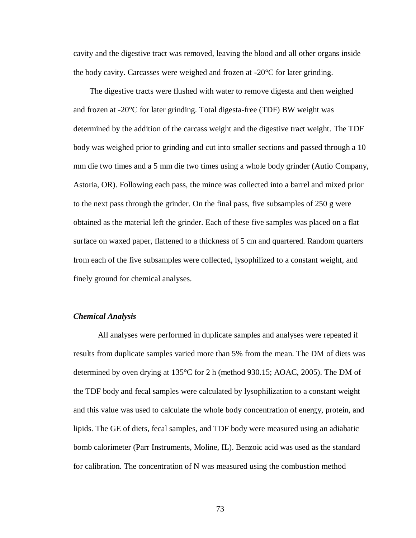cavity and the digestive tract was removed, leaving the blood and all other organs inside the body cavity. Carcasses were weighed and frozen at -20°C for later grinding.

The digestive tracts were flushed with water to remove digesta and then weighed and frozen at -20°C for later grinding. Total digesta-free (TDF) BW weight was determined by the addition of the carcass weight and the digestive tract weight. The TDF body was weighed prior to grinding and cut into smaller sections and passed through a 10 mm die two times and a 5 mm die two times using a whole body grinder (Autio Company, Astoria, OR). Following each pass, the mince was collected into a barrel and mixed prior to the next pass through the grinder. On the final pass, five subsamples of 250 g were obtained as the material left the grinder. Each of these five samples was placed on a flat surface on waxed paper, flattened to a thickness of 5 cm and quartered. Random quarters from each of the five subsamples were collected, lysophilized to a constant weight, and finely ground for chemical analyses.

# *Chemical Analysis*

All analyses were performed in duplicate samples and analyses were repeated if results from duplicate samples varied more than 5% from the mean. The DM of diets was determined by oven drying at 135°C for 2 h (method 930.15; AOAC, 2005). The DM of the TDF body and fecal samples were calculated by lysophilization to a constant weight and this value was used to calculate the whole body concentration of energy, protein, and lipids. The GE of diets, fecal samples, and TDF body were measured using an adiabatic bomb calorimeter (Parr Instruments, Moline, IL). Benzoic acid was used as the standard for calibration. The concentration of N was measured using the combustion method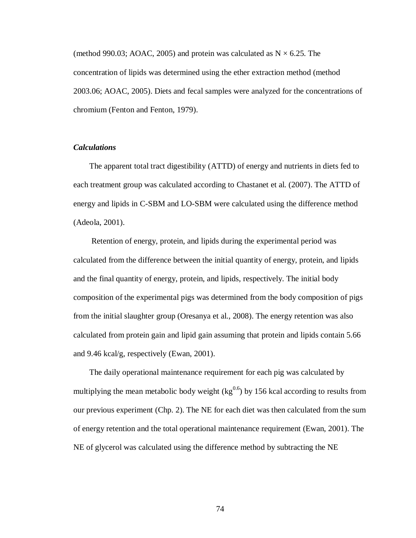(method 990.03; AOAC, 2005) and protein was calculated as  $N \times 6.25$ . The concentration of lipids was determined using the ether extraction method (method 2003.06; AOAC, 2005). Diets and fecal samples were analyzed for the concentrations of chromium (Fenton and Fenton, 1979).

# *Calculations*

The apparent total tract digestibility (ATTD) of energy and nutrients in diets fed to each treatment group was calculated according to Chastanet et al. (2007). The ATTD of energy and lipids in C-SBM and LO-SBM were calculated using the difference method (Adeola, 2001).

Retention of energy, protein, and lipids during the experimental period was calculated from the difference between the initial quantity of energy, protein, and lipids and the final quantity of energy, protein, and lipids, respectively. The initial body composition of the experimental pigs was determined from the body composition of pigs from the initial slaughter group (Oresanya et al., 2008). The energy retention was also calculated from protein gain and lipid gain assuming that protein and lipids contain 5.66 and 9.46 kcal/g, respectively (Ewan, 2001).

The daily operational maintenance requirement for each pig was calculated by multiplying the mean metabolic body weight  $\text{(kg}^{0.6})$  by 156 kcal according to results from our previous experiment (Chp. 2). The NE for each diet was then calculated from the sum of energy retention and the total operational maintenance requirement (Ewan, 2001). The NE of glycerol was calculated using the difference method by subtracting the NE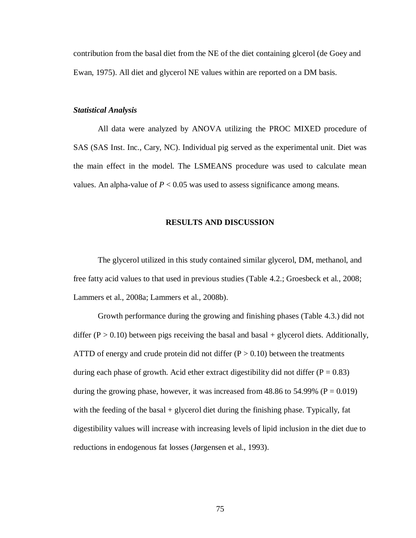contribution from the basal diet from the NE of the diet containing glcerol (de Goey and Ewan, 1975). All diet and glycerol NE values within are reported on a DM basis.

# *Statistical Analysis*

All data were analyzed by ANOVA utilizing the PROC MIXED procedure of SAS (SAS Inst. Inc., Cary, NC). Individual pig served as the experimental unit. Diet was the main effect in the model. The LSMEANS procedure was used to calculate mean values. An alpha-value of  $P < 0.05$  was used to assess significance among means.

# **RESULTS AND DISCUSSION**

The glycerol utilized in this study contained similar glycerol, DM, methanol, and free fatty acid values to that used in previous studies (Table 4.2.; Groesbeck et al., 2008; Lammers et al., 2008a; Lammers et al., 2008b).

Growth performance during the growing and finishing phases (Table 4.3.) did not differ ( $P > 0.10$ ) between pigs receiving the basal and basal + glycerol diets. Additionally, ATTD of energy and crude protein did not differ  $(P > 0.10)$  between the treatments during each phase of growth. Acid ether extract digestibility did not differ ( $P = 0.83$ ) during the growing phase, however, it was increased from 48.86 to 54.99% ( $P = 0.019$ ) with the feeding of the basal + glycerol diet during the finishing phase. Typically, fat digestibility values will increase with increasing levels of lipid inclusion in the diet due to reductions in endogenous fat losses (Jørgensen et al., 1993).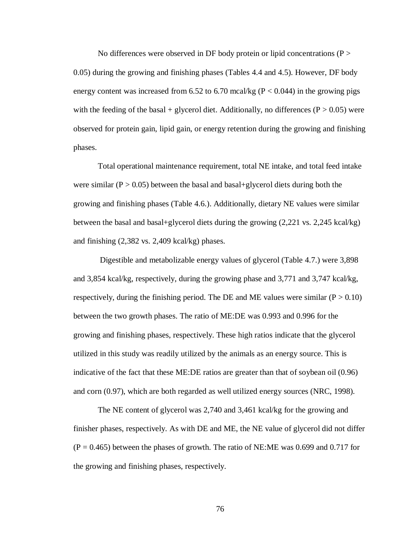No differences were observed in DF body protein or lipid concentrations  $(P >$ 0.05) during the growing and finishing phases (Tables 4.4 and 4.5). However, DF body energy content was increased from 6.52 to 6.70 mcal/kg ( $P < 0.044$ ) in the growing pigs with the feeding of the basal + glycerol diet. Additionally, no differences ( $P > 0.05$ ) were observed for protein gain, lipid gain, or energy retention during the growing and finishing phases.

Total operational maintenance requirement, total NE intake, and total feed intake were similar ( $P > 0.05$ ) between the basal and basal+glycerol diets during both the growing and finishing phases (Table 4.6.). Additionally, dietary NE values were similar between the basal and basal+glycerol diets during the growing (2,221 vs. 2,245 kcal/kg) and finishing (2,382 vs. 2,409 kcal/kg) phases.

Digestible and metabolizable energy values of glycerol (Table 4.7.) were 3,898 and 3,854 kcal/kg, respectively, during the growing phase and 3,771 and 3,747 kcal/kg, respectively, during the finishing period. The DE and ME values were similar  $(P > 0.10)$ between the two growth phases. The ratio of ME:DE was 0.993 and 0.996 for the growing and finishing phases, respectively. These high ratios indicate that the glycerol utilized in this study was readily utilized by the animals as an energy source. This is indicative of the fact that these ME:DE ratios are greater than that of soybean oil (0.96) and corn (0.97), which are both regarded as well utilized energy sources (NRC, 1998).

The NE content of glycerol was 2,740 and 3,461 kcal/kg for the growing and finisher phases, respectively. As with DE and ME, the NE value of glycerol did not differ  $(P = 0.465)$  between the phases of growth. The ratio of NE:ME was 0.699 and 0.717 for the growing and finishing phases, respectively.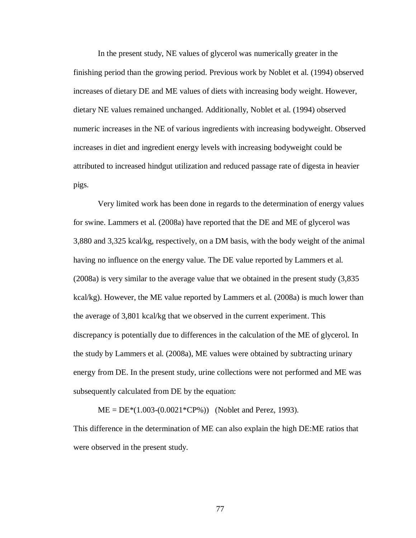In the present study, NE values of glycerol was numerically greater in the finishing period than the growing period. Previous work by Noblet et al. (1994) observed increases of dietary DE and ME values of diets with increasing body weight. However, dietary NE values remained unchanged. Additionally, Noblet et al. (1994) observed numeric increases in the NE of various ingredients with increasing bodyweight. Observed increases in diet and ingredient energy levels with increasing bodyweight could be attributed to increased hindgut utilization and reduced passage rate of digesta in heavier pigs.

Very limited work has been done in regards to the determination of energy values for swine. Lammers et al. (2008a) have reported that the DE and ME of glycerol was 3,880 and 3,325 kcal/kg, respectively, on a DM basis, with the body weight of the animal having no influence on the energy value. The DE value reported by Lammers et al. (2008a) is very similar to the average value that we obtained in the present study (3,835 kcal/kg). However, the ME value reported by Lammers et al. (2008a) is much lower than the average of 3,801 kcal/kg that we observed in the current experiment. This discrepancy is potentially due to differences in the calculation of the ME of glycerol. In the study by Lammers et al. (2008a), ME values were obtained by subtracting urinary energy from DE. In the present study, urine collections were not performed and ME was subsequently calculated from DE by the equation:

 $ME = DE*(1.003-(0.0021*CP\%)$  (Noblet and Perez, 1993).

This difference in the determination of ME can also explain the high DE:ME ratios that were observed in the present study.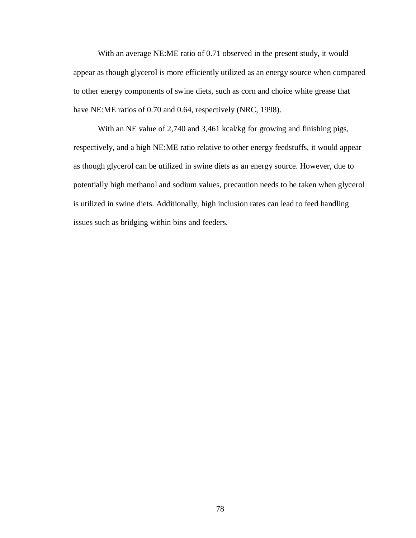With an average NE:ME ratio of 0.71 observed in the present study, it would appear as though glycerol is more efficiently utilized as an energy source when compared to other energy components of swine diets, such as corn and choice white grease that have NE:ME ratios of 0.70 and 0.64, respectively (NRC, 1998).

With an NE value of 2,740 and 3,461 kcal/kg for growing and finishing pigs, respectively, and a high NE:ME ratio relative to other energy feedstuffs, it would appear as though glycerol can be utilized in swine diets as an energy source. However, due to potentially high methanol and sodium values, precaution needs to be taken when glycerol is utilized in swine diets. Additionally, high inclusion rates can lead to feed handling issues such as bridging within bins and feeders.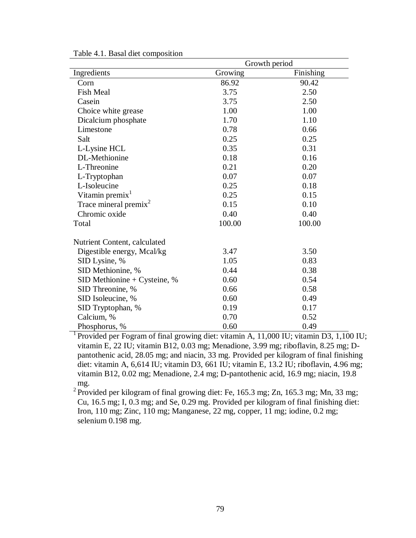|                                | Growth period |           |  |  |
|--------------------------------|---------------|-----------|--|--|
| Ingredients                    | Growing       | Finishing |  |  |
| Corn                           | 86.92         | 90.42     |  |  |
| <b>Fish Meal</b>               | 3.75          | 2.50      |  |  |
| Casein                         | 3.75          | 2.50      |  |  |
| Choice white grease            | 1.00          | 1.00      |  |  |
| Dicalcium phosphate            | 1.70          | 1.10      |  |  |
| Limestone                      | 0.78          | 0.66      |  |  |
| Salt                           | 0.25          | 0.25      |  |  |
| L-Lysine HCL                   | 0.35          | 0.31      |  |  |
| DL-Methionine                  | 0.18          | 0.16      |  |  |
| L-Threonine                    | 0.21          | 0.20      |  |  |
| L-Tryptophan                   | 0.07          | 0.07      |  |  |
| L-Isoleucine                   | 0.25          | 0.18      |  |  |
| Vitamin premix <sup>1</sup>    | 0.25          | 0.15      |  |  |
| Trace mineral premix $2$       | 0.15          | 0.10      |  |  |
| Chromic oxide                  | 0.40          | 0.40      |  |  |
| Total                          | 100.00        | 100.00    |  |  |
| Nutrient Content, calculated   |               |           |  |  |
| Digestible energy, Mcal/kg     | 3.47          | 3.50      |  |  |
| SID Lysine, %                  | 1.05          | 0.83      |  |  |
| SID Methionine, %              | 0.44          | 0.38      |  |  |
| SID Methionine + Cysteine, $%$ | 0.60          | 0.54      |  |  |
| SID Threonine, %               | 0.66          | 0.58      |  |  |
| SID Isoleucine, %              | 0.60          | 0.49      |  |  |
| SID Tryptophan, %              | 0.19          | 0.17      |  |  |
| Calcium, %                     | 0.70          | 0.52      |  |  |
| Phosphorus, %                  | 0.60          | 0.49      |  |  |

Table 4.1. Basal diet composition

<sup>1</sup> Provided per Fogram of final growing diet: vitamin A, 11,000 IU; vitamin D3, 1,100 IU; vitamin E, 22 IU; vitamin B12, 0.03 mg; Menadione, 3.99 mg; riboflavin, 8.25 mg; Dpantothenic acid, 28.05 mg; and niacin, 33 mg. Provided per kilogram of final finishing diet: vitamin A, 6,614 IU; vitamin D3, 661 IU; vitamin E, 13.2 IU; riboflavin, 4.96 mg; vitamin B12, 0.02 mg; Menadione, 2.4 mg; D-pantothenic acid, 16.9 mg; niacin, 19.8 mg.

<sup>2</sup> Provided per kilogram of final growing diet: Fe, 165.3 mg; Zn, 165.3 mg; Mn, 33 mg; Cu, 16.5 mg; I, 0.3 mg; and Se, 0.29 mg. Provided per kilogram of final finishing diet: Iron, 110 mg; Zinc, 110 mg; Manganese, 22 mg, copper, 11 mg; iodine, 0.2 mg; selenium 0.198 mg.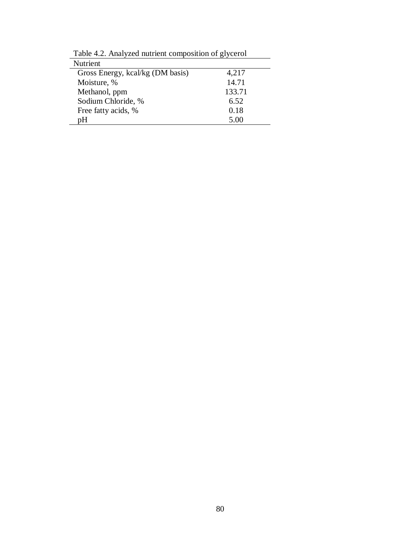| Nutrient                         |        |
|----------------------------------|--------|
| Gross Energy, kcal/kg (DM basis) | 4,217  |
| Moisture, %                      | 14.71  |
| Methanol, ppm                    | 133.71 |
| Sodium Chloride, %               | 6.52   |
| Free fatty acids, %              | 0.18   |
| pН                               | 5.00   |

Table 4.2. Analyzed nutrient composition of glycerol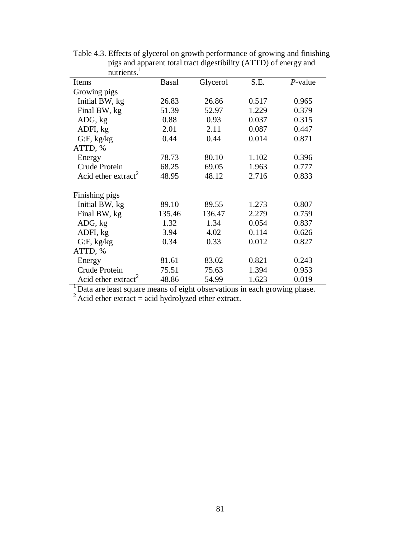| Items                           | <b>Basal</b> | Glycerol | S.E.  | $P$ -value |
|---------------------------------|--------------|----------|-------|------------|
| Growing pigs                    |              |          |       |            |
| Initial BW, kg                  | 26.83        | 26.86    | 0.517 | 0.965      |
| Final BW, kg                    | 51.39        | 52.97    | 1.229 | 0.379      |
| ADG, kg                         | 0.88         | 0.93     | 0.037 | 0.315      |
| ADFI, kg                        | 2.01         | 2.11     | 0.087 | 0.447      |
| $G$ :F, kg/kg                   | 0.44         | 0.44     | 0.014 | 0.871      |
| ATTD, %                         |              |          |       |            |
| Energy                          | 78.73        | 80.10    | 1.102 | 0.396      |
| Crude Protein                   | 68.25        | 69.05    | 1.963 | 0.777      |
| Acid ether extract <sup>2</sup> | 48.95        | 48.12    | 2.716 | 0.833      |
|                                 |              |          |       |            |
| Finishing pigs                  |              |          |       |            |
| Initial BW, kg                  | 89.10        | 89.55    | 1.273 | 0.807      |
| Final BW, kg                    | 135.46       | 136.47   | 2.279 | 0.759      |
| ADG, kg                         | 1.32         | 1.34     | 0.054 | 0.837      |
| ADFI, kg                        | 3.94         | 4.02     | 0.114 | 0.626      |
| $G$ :F, kg/kg                   | 0.34         | 0.33     | 0.012 | 0.827      |
| ATTD, %                         |              |          |       |            |
| Energy                          | 81.61        | 83.02    | 0.821 | 0.243      |
| Crude Protein                   | 75.51        | 75.63    | 1.394 | 0.953      |
| Acid ether extract <sup>2</sup> | 48.86        | 54.99    | 1.623 | 0.019      |

Table 4.3. Effects of glycerol on growth performance of growing and finishing pigs and apparent total tract digestibility (ATTD) of energy and nutrients.<sup>1</sup>

<sup>1</sup> Data are least square means of eight observations in each growing phase.

 $^{2}$  Acid ether extract = acid hydrolyzed ether extract.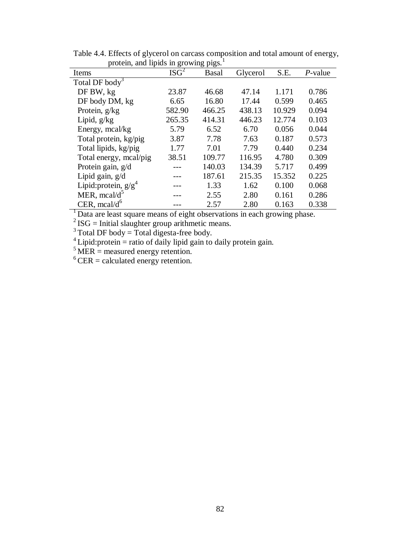| $\mu$ otem, and h $\mu$ ius in growing $\mu$ gs. |                  |        |          |        |            |
|--------------------------------------------------|------------------|--------|----------|--------|------------|
| Items                                            | ISG <sup>2</sup> | Basal  | Glycerol | S.E.   | $P$ -value |
| Total DF body <sup>3</sup>                       |                  |        |          |        |            |
| DF BW, kg                                        | 23.87            | 46.68  | 47.14    | 1.171  | 0.786      |
| DF body DM, kg                                   | 6.65             | 16.80  | 17.44    | 0.599  | 0.465      |
| Protein, $g/kg$                                  | 582.90           | 466.25 | 438.13   | 10.929 | 0.094      |
| Lipid, $g/kg$                                    | 265.35           | 414.31 | 446.23   | 12.774 | 0.103      |
| Energy, mcal/kg                                  | 5.79             | 6.52   | 6.70     | 0.056  | 0.044      |
| Total protein, kg/pig                            | 3.87             | 7.78   | 7.63     | 0.187  | 0.573      |
| Total lipids, kg/pig                             | 1.77             | 7.01   | 7.79     | 0.440  | 0.234      |
| Total energy, meal/pig                           | 38.51            | 109.77 | 116.95   | 4.780  | 0.309      |
| Protein gain, g/d                                |                  | 140.03 | 134.39   | 5.717  | 0.499      |
| Lipid gain, g/d                                  |                  | 187.61 | 215.35   | 15.352 | 0.225      |
| Lipid: protein, $g/g^4$                          |                  | 1.33   | 1.62     | 0.100  | 0.068      |
| MER, $mcal/d^5$                                  |                  | 2.55   | 2.80     | 0.161  | 0.286      |
| CER, $meal/d^6$                                  |                  | 2.57   | 2.80     | 0.163  | 0.338      |

Table 4.4. Effects of glycerol on carcass composition and total amount of energy, protein, and lipids in growing pigs.<sup>1</sup>

<sup>1</sup> Data are least square means of eight observations in each growing phase.

 $2^{2}$  ISG = Initial slaughter group arithmetic means.

 $3$  Total DF body = Total digesta-free body.

 $4^4$  Lipid: protein = ratio of daily lipid gain to daily protein gain.

 $5$  MER = measured energy retention.

 $6$  CER = calculated energy retention.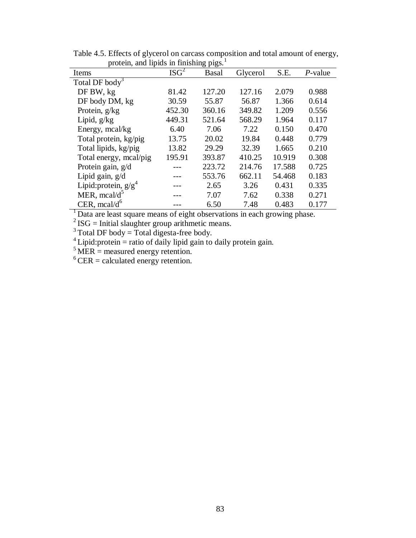| $\mu$ otem, and upids in imismig pigs. |                  |        |          |        |            |
|----------------------------------------|------------------|--------|----------|--------|------------|
| Items                                  | ISG <sup>2</sup> | Basal  | Glycerol | S.E.   | $P$ -value |
| Total DF body <sup>3</sup>             |                  |        |          |        |            |
| DF BW, kg                              | 81.42            | 127.20 | 127.16   | 2.079  | 0.988      |
| DF body DM, kg                         | 30.59            | 55.87  | 56.87    | 1.366  | 0.614      |
| Protein, $g/kg$                        | 452.30           | 360.16 | 349.82   | 1.209  | 0.556      |
| Lipid, $g/kg$                          | 449.31           | 521.64 | 568.29   | 1.964  | 0.117      |
| Energy, mcal/kg                        | 6.40             | 7.06   | 7.22     | 0.150  | 0.470      |
| Total protein, kg/pig                  | 13.75            | 20.02  | 19.84    | 0.448  | 0.779      |
| Total lipids, kg/pig                   | 13.82            | 29.29  | 32.39    | 1.665  | 0.210      |
| Total energy, meal/pig                 | 195.91           | 393.87 | 410.25   | 10.919 | 0.308      |
| Protein gain, g/d                      |                  | 223.72 | 214.76   | 17.588 | 0.725      |
| Lipid gain, $g/d$                      |                  | 553.76 | 662.11   | 54.468 | 0.183      |
| Lipid: protein, $g/g^4$                |                  | 2.65   | 3.26     | 0.431  | 0.335      |
| MER, $mcal/d^5$                        |                  | 7.07   | 7.62     | 0.338  | 0.271      |
| CER, $meal/d^6$                        |                  | 6.50   | 7.48     | 0.483  | 0.177      |

Table 4.5. Effects of glycerol on carcass composition and total amount of energy, protein, and lipids in finishing pigs.<sup>1</sup>

 $1$  Data are least square means of eight observations in each growing phase.

 $2^{2}$  ISG = Initial slaughter group arithmetic means.

 $3$  Total DF body = Total digesta-free body.

 $4^4$  Lipid: protein = ratio of daily lipid gain to daily protein gain.

 $5$  MER = measured energy retention.

 $6$  CER = calculated energy retention.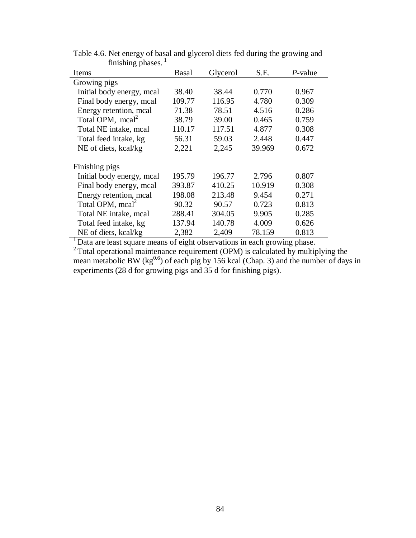| mmoning phuses.              |              |          |        |         |
|------------------------------|--------------|----------|--------|---------|
| Items                        | <b>Basal</b> | Glycerol | S.E.   | P-value |
| Growing pigs                 |              |          |        |         |
| Initial body energy, mcal    | 38.40        | 38.44    | 0.770  | 0.967   |
| Final body energy, mcal      | 109.77       | 116.95   | 4.780  | 0.309   |
| Energy retention, mcal       | 71.38        | 78.51    | 4.516  | 0.286   |
| Total OPM, $mca2$            | 38.79        | 39.00    | 0.465  | 0.759   |
| Total NE intake, mcal        | 110.17       | 117.51   | 4.877  | 0.308   |
| Total feed intake, kg        | 56.31        | 59.03    | 2.448  | 0.447   |
| NE of diets, kcal/kg         | 2,221        | 2,245    | 39.969 | 0.672   |
| Finishing pigs               |              |          |        |         |
| Initial body energy, mcal    | 195.79       | 196.77   | 2.796  | 0.807   |
| Final body energy, mcal      | 393.87       | 410.25   | 10.919 | 0.308   |
| Energy retention, mcal       | 198.08       | 213.48   | 9.454  | 0.271   |
| Total OPM, mcal <sup>2</sup> | 90.32        | 90.57    | 0.723  | 0.813   |
| Total NE intake, mcal        | 288.41       | 304.05   | 9.905  | 0.285   |
| Total feed intake, kg        | 137.94       | 140.78   | 4.009  | 0.626   |
| NE of diets, kcal/kg         | 2,382        | 2,409    | 78.159 | 0.813   |

Table 4.6. Net energy of basal and glycerol diets fed during the growing and finishing phases.  $1$ 

<sup>1</sup> Data are least square means of eight observations in each growing phase.

 $2$  Total operational maintenance requirement (OPM) is calculated by multiplying the mean metabolic BW ( $kg^{0.6}$ ) of each pig by 156 kcal (Chap. 3) and the number of days in experiments (28 d for growing pigs and 35 d for finishing pigs).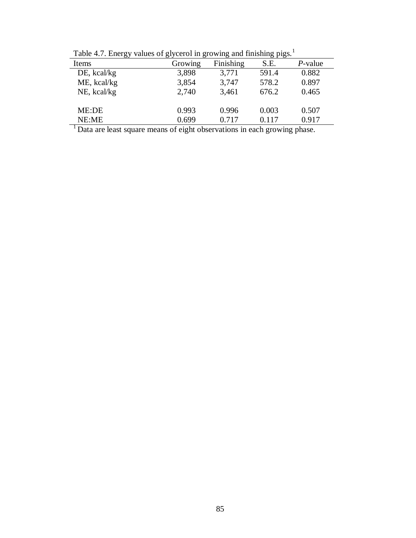| $14010 \ldots \ldots \ldots \ldots$<br>values of glycerol in growing and imisming $\mu$ gs. |         |           |       |            |  |  |
|---------------------------------------------------------------------------------------------|---------|-----------|-------|------------|--|--|
| Items                                                                                       | Growing | Finishing | S.E.  | $P$ -value |  |  |
| $DE$ , kcal/kg                                                                              | 3,898   | 3,771     | 591.4 | 0.882      |  |  |
| ME, kcal/kg                                                                                 | 3,854   | 3,747     | 578.2 | 0.897      |  |  |
| NE, kcal/kg                                                                                 | 2,740   | 3,461     | 676.2 | 0.465      |  |  |
|                                                                                             |         |           |       |            |  |  |
| ME:DE                                                                                       | 0.993   | 0.996     | 0.003 | 0.507      |  |  |
| NE:ME                                                                                       | 0.699   | 0.717     | 0.117 | 0.917      |  |  |
|                                                                                             | .       |           |       |            |  |  |

Table 4.7. Energy values of glycerol in growing and finishing pigs.<sup>1</sup>

<sup>1</sup> Data are least square means of eight observations in each growing phase.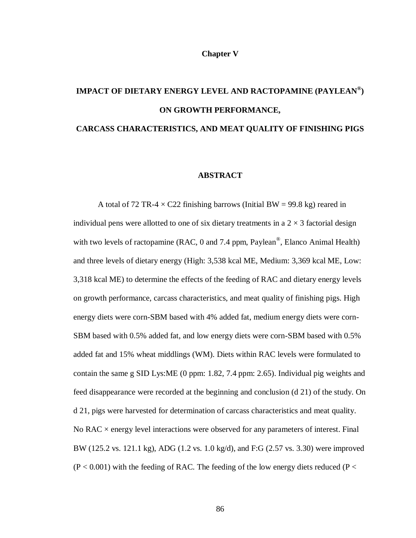## **Chapter V**

# **IMPACT OF DIETARY ENERGY LEVEL AND RACTOPAMINE (PAYLEAN® ) ON GROWTH PERFORMANCE,**

# **CARCASS CHARACTERISTICS, AND MEAT QUALITY OF FINISHING PIGS**

# **ABSTRACT**

A total of 72 TR-4  $\times$  C22 finishing barrows (Initial BW = 99.8 kg) reared in individual pens were allotted to one of six dietary treatments in a  $2 \times 3$  factorial design with two levels of ractopamine (RAC, 0 and 7.4 ppm, Paylean<sup>®</sup>, Elanco Animal Health) and three levels of dietary energy (High: 3,538 kcal ME, Medium: 3,369 kcal ME, Low: 3,318 kcal ME) to determine the effects of the feeding of RAC and dietary energy levels on growth performance, carcass characteristics, and meat quality of finishing pigs. High energy diets were corn-SBM based with 4% added fat, medium energy diets were corn-SBM based with 0.5% added fat, and low energy diets were corn-SBM based with 0.5% added fat and 15% wheat middlings (WM). Diets within RAC levels were formulated to contain the same g SID Lys:ME (0 ppm: 1.82, 7.4 ppm: 2.65). Individual pig weights and feed disappearance were recorded at the beginning and conclusion (d 21) of the study. On d 21, pigs were harvested for determination of carcass characteristics and meat quality. No RAC  $\times$  energy level interactions were observed for any parameters of interest. Final BW (125.2 vs. 121.1 kg), ADG (1.2 vs. 1.0 kg/d), and F:G (2.57 vs. 3.30) were improved  $(P < 0.001)$  with the feeding of RAC. The feeding of the low energy diets reduced (P  $<$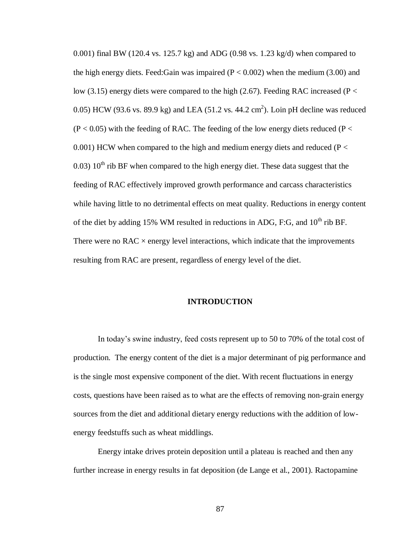0.001) final BW (120.4 vs. 125.7 kg) and ADG (0.98 vs. 1.23 kg/d) when compared to the high energy diets. Feed:Gain was impaired ( $P < 0.002$ ) when the medium (3.00) and low (3.15) energy diets were compared to the high (2.67). Feeding RAC increased (P  $\lt$ 0.05) HCW (93.6 vs. 89.9 kg) and LEA (51.2 vs. 44.2 cm<sup>2</sup>). Loin pH decline was reduced  $(P < 0.05)$  with the feeding of RAC. The feeding of the low energy diets reduced (P  $<$ 0.001) HCW when compared to the high and medium energy diets and reduced ( $P <$ 0.03)  $10^{th}$  rib BF when compared to the high energy diet. These data suggest that the feeding of RAC effectively improved growth performance and carcass characteristics while having little to no detrimental effects on meat quality. Reductions in energy content of the diet by adding 15% WM resulted in reductions in ADG, F:G, and  $10^{th}$  rib BF. There were no  $RAC \times$  energy level interactions, which indicate that the improvements resulting from RAC are present, regardless of energy level of the diet.

## **INTRODUCTION**

In today's swine industry, feed costs represent up to 50 to 70% of the total cost of production. The energy content of the diet is a major determinant of pig performance and is the single most expensive component of the diet. With recent fluctuations in energy costs, questions have been raised as to what are the effects of removing non-grain energy sources from the diet and additional dietary energy reductions with the addition of lowenergy feedstuffs such as wheat middlings.

Energy intake drives protein deposition until a plateau is reached and then any further increase in energy results in fat deposition (de Lange et al., 2001). Ractopamine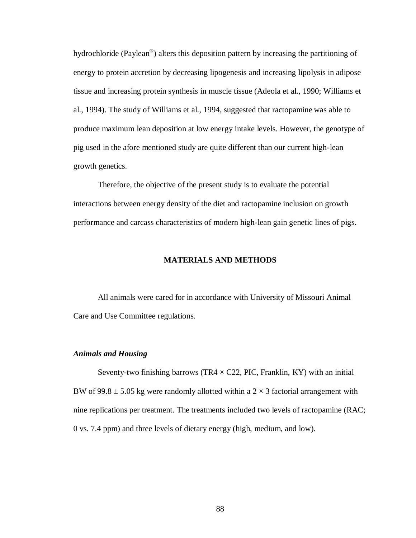hydrochloride (Paylean®) alters this deposition pattern by increasing the partitioning of energy to protein accretion by decreasing lipogenesis and increasing lipolysis in adipose tissue and increasing protein synthesis in muscle tissue (Adeola et al., 1990; Williams et al., 1994). The study of Williams et al., 1994, suggested that ractopamine was able to produce maximum lean deposition at low energy intake levels. However, the genotype of pig used in the afore mentioned study are quite different than our current high-lean growth genetics.

Therefore, the objective of the present study is to evaluate the potential interactions between energy density of the diet and ractopamine inclusion on growth performance and carcass characteristics of modern high-lean gain genetic lines of pigs.

# **MATERIALS AND METHODS**

All animals were cared for in accordance with University of Missouri Animal Care and Use Committee regulations.

## *Animals and Housing*

Seventy-two finishing barrows (TR4  $\times$  C22, PIC, Franklin, KY) with an initial BW of 99.8  $\pm$  5.05 kg were randomly allotted within a 2  $\times$  3 factorial arrangement with nine replications per treatment. The treatments included two levels of ractopamine (RAC; 0 vs. 7.4 ppm) and three levels of dietary energy (high, medium, and low).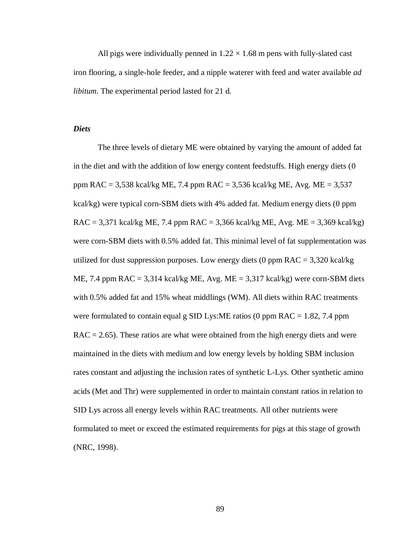All pigs were individually penned in  $1.22 \times 1.68$  m pens with fully-slated cast iron flooring, a single-hole feeder, and a nipple waterer with feed and water available *ad libitum*. The experimental period lasted for 21 d.

# *Diets*

The three levels of dietary ME were obtained by varying the amount of added fat in the diet and with the addition of low energy content feedstuffs. High energy diets (0 ppm RAC = 3,538 kcal/kg ME, 7.4 ppm RAC = 3,536 kcal/kg ME, Avg. ME = 3,537 kcal/kg) were typical corn-SBM diets with 4% added fat. Medium energy diets (0 ppm RAC = 3,371 kcal/kg ME, 7.4 ppm RAC = 3,366 kcal/kg ME, Avg. ME = 3,369 kcal/kg) were corn-SBM diets with 0.5% added fat. This minimal level of fat supplementation was utilized for dust suppression purposes. Low energy diets  $(0 \text{ ppm RAC} = 3,320 \text{ kcal/kg})$ ME, 7.4 ppm  $RAC = 3,314$  kcal/kg ME, Avg. ME = 3,317 kcal/kg) were corn-SBM diets with 0.5% added fat and 15% wheat middlings (WM). All diets within RAC treatments were formulated to contain equal g SID Lys: ME ratios (0 ppm  $RAC = 1.82$ , 7.4 ppm  $RAC = 2.65$ ). These ratios are what were obtained from the high energy diets and were maintained in the diets with medium and low energy levels by holding SBM inclusion rates constant and adjusting the inclusion rates of synthetic L-Lys. Other synthetic amino acids (Met and Thr) were supplemented in order to maintain constant ratios in relation to SID Lys across all energy levels within RAC treatments. All other nutrients were formulated to meet or exceed the estimated requirements for pigs at this stage of growth (NRC, 1998).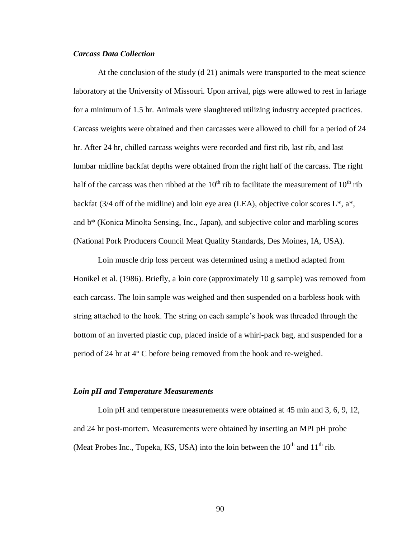# *Carcass Data Collection*

At the conclusion of the study (d 21) animals were transported to the meat science laboratory at the University of Missouri. Upon arrival, pigs were allowed to rest in lariage for a minimum of 1.5 hr. Animals were slaughtered utilizing industry accepted practices. Carcass weights were obtained and then carcasses were allowed to chill for a period of 24 hr. After 24 hr, chilled carcass weights were recorded and first rib, last rib, and last lumbar midline backfat depths were obtained from the right half of the carcass. The right half of the carcass was then ribbed at the  $10^{th}$  rib to facilitate the measurement of  $10^{th}$  rib backfat (3/4 off of the midline) and loin eye area (LEA), objective color scores  $L^*$ ,  $a^*$ , and b\* (Konica Minolta Sensing, Inc., Japan), and subjective color and marbling scores (National Pork Producers Council Meat Quality Standards, Des Moines, IA, USA).

Loin muscle drip loss percent was determined using a method adapted from Honikel et al. (1986). Briefly, a loin core (approximately 10 g sample) was removed from each carcass. The loin sample was weighed and then suspended on a barbless hook with string attached to the hook. The string on each sample's hook was threaded through the bottom of an inverted plastic cup, placed inside of a whirl-pack bag, and suspended for a period of 24 hr at 4° C before being removed from the hook and re-weighed.

### *Loin pH and Temperature Measurements*

Loin pH and temperature measurements were obtained at 45 min and 3, 6, 9, 12, and 24 hr post-mortem. Measurements were obtained by inserting an MPI pH probe (Meat Probes Inc., Topeka, KS, USA) into the loin between the  $10^{th}$  and  $11^{th}$  rib.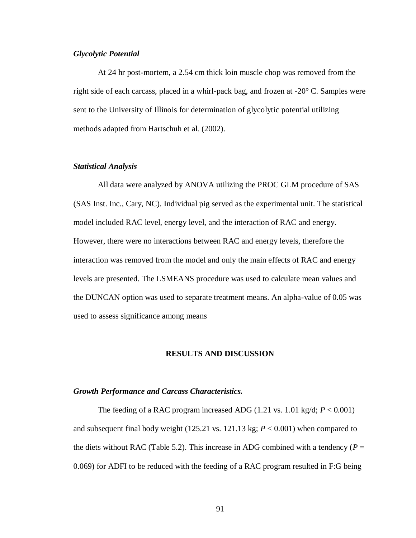# *Glycolytic Potential*

At 24 hr post-mortem, a 2.54 cm thick loin muscle chop was removed from the right side of each carcass, placed in a whirl-pack bag, and frozen at -20° C. Samples were sent to the University of Illinois for determination of glycolytic potential utilizing methods adapted from Hartschuh et al. (2002).

# *Statistical Analysis*

All data were analyzed by ANOVA utilizing the PROC GLM procedure of SAS (SAS Inst. Inc., Cary, NC). Individual pig served as the experimental unit. The statistical model included RAC level, energy level, and the interaction of RAC and energy. However, there were no interactions between RAC and energy levels, therefore the interaction was removed from the model and only the main effects of RAC and energy levels are presented. The LSMEANS procedure was used to calculate mean values and the DUNCAN option was used to separate treatment means. An alpha-value of 0.05 was used to assess significance among means

## **RESULTS AND DISCUSSION**

#### *Growth Performance and Carcass Characteristics.*

The feeding of a RAC program increased ADG  $(1.21 \text{ vs. } 1.01 \text{ kg/d}; P < 0.001)$ and subsequent final body weight (125.21 vs. 121.13 kg; *P* < 0.001) when compared to the diets without RAC (Table 5.2). This increase in ADG combined with a tendency ( $P =$ 0.069) for ADFI to be reduced with the feeding of a RAC program resulted in F:G being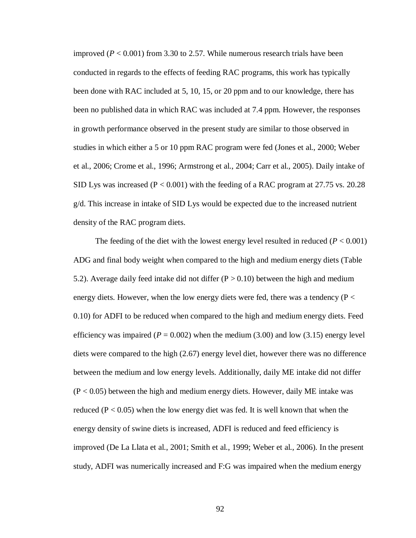improved ( $P < 0.001$ ) from 3.30 to 2.57. While numerous research trials have been conducted in regards to the effects of feeding RAC programs, this work has typically been done with RAC included at 5, 10, 15, or 20 ppm and to our knowledge, there has been no published data in which RAC was included at 7.4 ppm. However, the responses in growth performance observed in the present study are similar to those observed in studies in which either a 5 or 10 ppm RAC program were fed (Jones et al., 2000; Weber et al., 2006; Crome et al., 1996; Armstrong et al., 2004; Carr et al., 2005). Daily intake of SID Lys was increased  $(P < 0.001)$  with the feeding of a RAC program at 27.75 vs. 20.28 g/d. This increase in intake of SID Lys would be expected due to the increased nutrient density of the RAC program diets.

The feeding of the diet with the lowest energy level resulted in reduced  $(P < 0.001)$ ADG and final body weight when compared to the high and medium energy diets (Table 5.2). Average daily feed intake did not differ ( $P > 0.10$ ) between the high and medium energy diets. However, when the low energy diets were fed, there was a tendency ( $P <$ 0.10) for ADFI to be reduced when compared to the high and medium energy diets. Feed efficiency was impaired ( $P = 0.002$ ) when the medium (3.00) and low (3.15) energy level diets were compared to the high (2.67) energy level diet, however there was no difference between the medium and low energy levels. Additionally, daily ME intake did not differ  $(P < 0.05)$  between the high and medium energy diets. However, daily ME intake was reduced ( $P < 0.05$ ) when the low energy diet was fed. It is well known that when the energy density of swine diets is increased, ADFI is reduced and feed efficiency is improved (De La Llata et al., 2001; Smith et al., 1999; Weber et al., 2006). In the present study, ADFI was numerically increased and F:G was impaired when the medium energy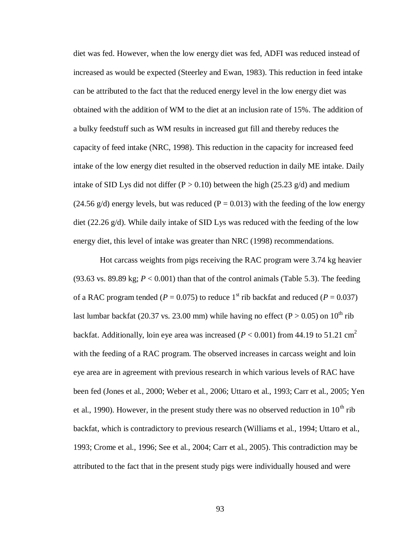diet was fed. However, when the low energy diet was fed, ADFI was reduced instead of increased as would be expected (Steerley and Ewan, 1983). This reduction in feed intake can be attributed to the fact that the reduced energy level in the low energy diet was obtained with the addition of WM to the diet at an inclusion rate of 15%. The addition of a bulky feedstuff such as WM results in increased gut fill and thereby reduces the capacity of feed intake (NRC, 1998). This reduction in the capacity for increased feed intake of the low energy diet resulted in the observed reduction in daily ME intake. Daily intake of SID Lys did not differ ( $P > 0.10$ ) between the high (25.23 g/d) and medium  $(24.56 \text{ g/d})$  energy levels, but was reduced  $(P = 0.013)$  with the feeding of the low energy diet (22.26 g/d). While daily intake of SID Lys was reduced with the feeding of the low energy diet, this level of intake was greater than NRC (1998) recommendations.

Hot carcass weights from pigs receiving the RAC program were 3.74 kg heavier (93.63 vs. 89.89 kg;  $P < 0.001$ ) than that of the control animals (Table 5.3). The feeding of a RAC program tended ( $P = 0.075$ ) to reduce 1<sup>st</sup> rib backfat and reduced ( $P = 0.037$ ) last lumbar backfat (20.37 vs. 23.00 mm) while having no effect (P > 0.05) on 10<sup>th</sup> rib backfat. Additionally, loin eye area was increased ( $P < 0.001$ ) from 44.19 to 51.21 cm<sup>2</sup> with the feeding of a RAC program. The observed increases in carcass weight and loin eye area are in agreement with previous research in which various levels of RAC have been fed (Jones et al., 2000; Weber et al., 2006; Uttaro et al., 1993; Carr et al., 2005; Yen et al., 1990). However, in the present study there was no observed reduction in  $10^{th}$  rib backfat, which is contradictory to previous research (Williams et al., 1994; Uttaro et al., 1993; Crome et al., 1996; See et al., 2004; Carr et al., 2005). This contradiction may be attributed to the fact that in the present study pigs were individually housed and were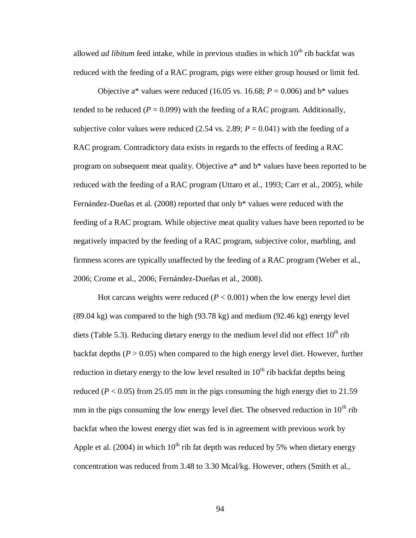allowed *ad libitum* feed intake, while in previous studies in which 10<sup>th</sup> rib backfat was reduced with the feeding of a RAC program, pigs were either group housed or limit fed.

Objective a\* values were reduced (16.05 vs. 16.68;  $P = 0.006$ ) and b\* values tended to be reduced  $(P = 0.099)$  with the feeding of a RAC program. Additionally, subjective color values were reduced (2.54 vs. 2.89;  $P = 0.041$ ) with the feeding of a RAC program. Contradictory data exists in regards to the effects of feeding a RAC program on subsequent meat quality. Objective a\* and b\* values have been reported to be reduced with the feeding of a RAC program (Uttaro et al., 1993; Carr et al., 2005), while Fernández-Dueñas et al. (2008) reported that only b\* values were reduced with the feeding of a RAC program. While objective meat quality values have been reported to be negatively impacted by the feeding of a RAC program, subjective color, marbling, and firmness scores are typically unaffected by the feeding of a RAC program (Weber et al., 2006; Crome et al., 2006; Fernández-Dueñas et al., 2008).

Hot carcass weights were reduced  $(P < 0.001)$  when the low energy level diet (89.04 kg) was compared to the high (93.78 kg) and medium (92.46 kg) energy level diets (Table 5.3). Reducing dietary energy to the medium level did not effect  $10<sup>th</sup>$  rib backfat depths  $(P > 0.05)$  when compared to the high energy level diet. However, further reduction in dietary energy to the low level resulted in  $10<sup>th</sup>$  rib backfat depths being reduced ( $P < 0.05$ ) from 25.05 mm in the pigs consuming the high energy diet to 21.59 mm in the pigs consuming the low energy level diet. The observed reduction in  $10^{th}$  rib backfat when the lowest energy diet was fed is in agreement with previous work by Apple et al. (2004) in which  $10^{th}$  rib fat depth was reduced by 5% when dietary energy concentration was reduced from 3.48 to 3.30 Mcal/kg. However, others (Smith et al.,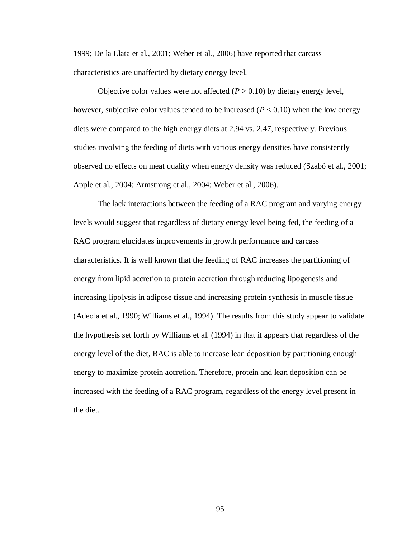1999; De la Llata et al., 2001; Weber et al., 2006) have reported that carcass characteristics are unaffected by dietary energy level.

Objective color values were not affected  $(P > 0.10)$  by dietary energy level, however, subjective color values tended to be increased  $(P < 0.10)$  when the low energy diets were compared to the high energy diets at 2.94 vs. 2.47, respectively. Previous studies involving the feeding of diets with various energy densities have consistently observed no effects on meat quality when energy density was reduced (Szabó et al., 2001; Apple et al., 2004; Armstrong et al., 2004; Weber et al., 2006).

The lack interactions between the feeding of a RAC program and varying energy levels would suggest that regardless of dietary energy level being fed, the feeding of a RAC program elucidates improvements in growth performance and carcass characteristics. It is well known that the feeding of RAC increases the partitioning of energy from lipid accretion to protein accretion through reducing lipogenesis and increasing lipolysis in adipose tissue and increasing protein synthesis in muscle tissue (Adeola et al., 1990; Williams et al., 1994). The results from this study appear to validate the hypothesis set forth by Williams et al. (1994) in that it appears that regardless of the energy level of the diet, RAC is able to increase lean deposition by partitioning enough energy to maximize protein accretion. Therefore, protein and lean deposition can be increased with the feeding of a RAC program, regardless of the energy level present in the diet.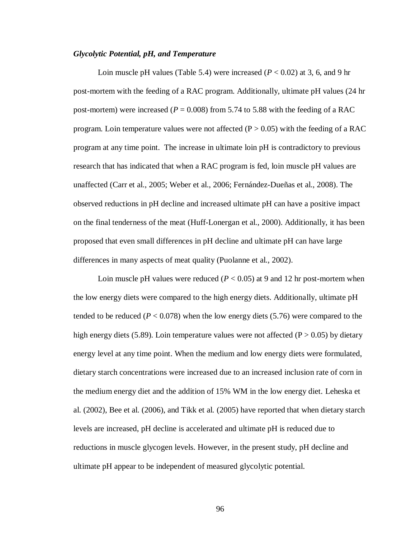# *Glycolytic Potential, pH, and Temperature*

Loin muscle pH values (Table 5.4) were increased  $(P < 0.02)$  at 3, 6, and 9 hr post-mortem with the feeding of a RAC program. Additionally, ultimate pH values (24 hr post-mortem) were increased ( $P = 0.008$ ) from 5.74 to 5.88 with the feeding of a RAC program. Loin temperature values were not affected  $(P > 0.05)$  with the feeding of a RAC program at any time point. The increase in ultimate loin pH is contradictory to previous research that has indicated that when a RAC program is fed, loin muscle pH values are unaffected (Carr et al., 2005; Weber et al., 2006; Fernández-Dueñas et al., 2008). The observed reductions in pH decline and increased ultimate pH can have a positive impact on the final tenderness of the meat (Huff-Lonergan et al., 2000). Additionally, it has been proposed that even small differences in pH decline and ultimate pH can have large differences in many aspects of meat quality (Puolanne et al., 2002).

Loin muscle pH values were reduced  $(P < 0.05)$  at 9 and 12 hr post-mortem when the low energy diets were compared to the high energy diets. Additionally, ultimate pH tended to be reduced ( $P < 0.078$ ) when the low energy diets (5.76) were compared to the high energy diets (5.89). Loin temperature values were not affected ( $P > 0.05$ ) by dietary energy level at any time point. When the medium and low energy diets were formulated, dietary starch concentrations were increased due to an increased inclusion rate of corn in the medium energy diet and the addition of 15% WM in the low energy diet. Leheska et al. (2002), Bee et al. (2006), and Tikk et al. (2005) have reported that when dietary starch levels are increased, pH decline is accelerated and ultimate pH is reduced due to reductions in muscle glycogen levels. However, in the present study, pH decline and ultimate pH appear to be independent of measured glycolytic potential.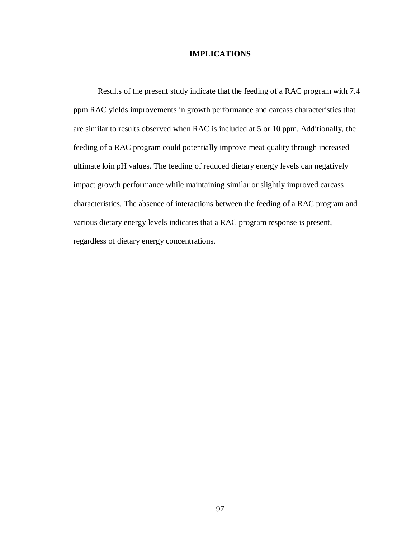## **IMPLICATIONS**

Results of the present study indicate that the feeding of a RAC program with 7.4 ppm RAC yields improvements in growth performance and carcass characteristics that are similar to results observed when RAC is included at 5 or 10 ppm. Additionally, the feeding of a RAC program could potentially improve meat quality through increased ultimate loin pH values. The feeding of reduced dietary energy levels can negatively impact growth performance while maintaining similar or slightly improved carcass characteristics. The absence of interactions between the feeding of a RAC program and various dietary energy levels indicates that a RAC program response is present, regardless of dietary energy concentrations.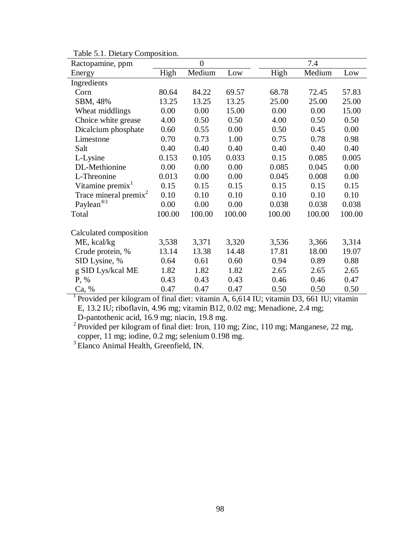| raone 9.1. Dictary Composition.<br>Ractopamine, ppm |        | $\overline{0}$ |        | 7.4    |        |        |  |
|-----------------------------------------------------|--------|----------------|--------|--------|--------|--------|--|
| Energy                                              | High   | Medium         | Low    | High   | Medium | Low    |  |
| Ingredients                                         |        |                |        |        |        |        |  |
| Corn                                                | 80.64  | 84.22          | 69.57  | 68.78  | 72.45  | 57.83  |  |
| SBM, 48%                                            | 13.25  | 13.25          | 13.25  | 25.00  | 25.00  | 25.00  |  |
| Wheat middlings                                     | 0.00   | 0.00           | 15.00  | 0.00   | 0.00   | 15.00  |  |
| Choice white grease                                 | 4.00   | 0.50           | 0.50   | 4.00   | 0.50   | 0.50   |  |
| Dicalcium phosphate                                 | 0.60   | 0.55           | 0.00   | 0.50   | 0.45   | 0.00   |  |
| Limestone                                           | 0.70   | 0.73           | 1.00   | 0.75   | 0.78   | 0.98   |  |
| Salt                                                | 0.40   | 0.40           | 0.40   | 0.40   | 0.40   | 0.40   |  |
| L-Lysine                                            | 0.153  | 0.105          | 0.033  | 0.15   | 0.085  | 0.005  |  |
| DL-Methionine                                       | 0.00   | 0.00           | 0.00   | 0.085  | 0.045  | 0.00   |  |
| L-Threonine                                         | 0.013  | 0.00           | 0.00   | 0.045  | 0.008  | 0.00   |  |
| Vitamine premix <sup>1</sup>                        | 0.15   | 0.15           | 0.15   | 0.15   | 0.15   | 0.15   |  |
| Trace mineral premix <sup>2</sup>                   | 0.10   | 0.10           | 0.10   | 0.10   | 0.10   | 0.10   |  |
| Paylean®3                                           | 0.00   | 0.00           | 0.00   | 0.038  | 0.038  | 0.038  |  |
| Total                                               | 100.00 | 100.00         | 100.00 | 100.00 | 100.00 | 100.00 |  |
| Calculated composition                              |        |                |        |        |        |        |  |
| ME, kcal/kg                                         | 3,538  | 3,371          | 3,320  | 3,536  | 3,366  | 3,314  |  |
| Crude protein, %                                    | 13.14  | 13.38          | 14.48  | 17.81  | 18.00  | 19.07  |  |
| SID Lysine, %                                       | 0.64   | 0.61           | 0.60   | 0.94   | 0.89   | 0.88   |  |
| g SID Lys/kcal ME                                   | 1.82   | 1.82           | 1.82   | 2.65   | 2.65   | 2.65   |  |
| P, %                                                | 0.43   | 0.43           | 0.43   | 0.46   | 0.46   | 0.47   |  |
| Ca, %                                               | 0.47   | 0.47           | 0.47   | 0.50   | 0.50   | 0.50   |  |

Table 5.1. Dietary Composition.

<sup>1</sup> Provided per kilogram of final diet: vitamin A, 6,614 IU; vitamin D3, 661 IU; vitamin E, 13.2 IU; riboflavin, 4.96 mg; vitamin B12, 0.02 mg; Menadione, 2.4 mg; D-pantothenic acid, 16.9 mg; niacin, 19.8 mg.

<sup>2</sup> Provided per kilogram of final diet: Iron, 110 mg; Zinc, 110 mg; Manganese, 22 mg, copper, 11 mg; iodine, 0.2 mg; selenium 0.198 mg.

<sup>3</sup> Elanco Animal Health, Greenfield, IN.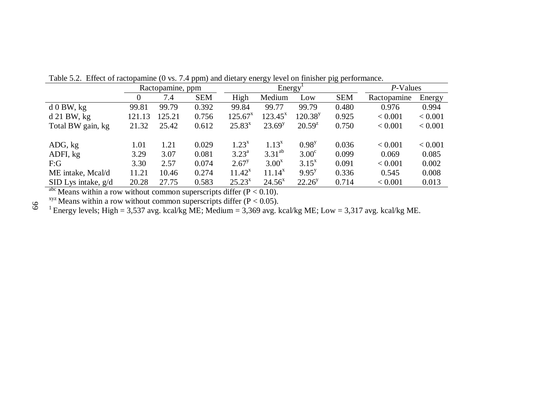|                       | Ractopamine, ppm |        |            |                | Energy <sup>T</sup> | P-Values            |            |             |         |
|-----------------------|------------------|--------|------------|----------------|---------------------|---------------------|------------|-------------|---------|
|                       | $\theta$         | 7.4    | <b>SEM</b> | High           | Medium              | Low                 | <b>SEM</b> | Ractopamine | Energy  |
| $d$ 0 BW, kg          | 99.81            | 99.79  | 0.392      | 99.84          | 99.77               | 99.79               | 0.480      | 0.976       | 0.994   |
| $d$ 21 BW, kg         | 121.13           | 125.21 | 0.756      | $125.67^x$     | $123.45^x$          | 120.38 <sup>y</sup> | 0.925      | < 0.001     | < 0.001 |
| Total BW gain, kg     | 21.32            | 25.42  | 0.612      | $25.83^{x}$    | $23.69^y$           | $20.59^{z}$         | 0.750      | < 0.001     | < 0.001 |
|                       |                  |        |            |                |                     |                     |            |             |         |
| ADG, kg               | 1.01             | 1.21   | 0.029      | $1.23^{x}$     | $1.13^{x}$          | $0.98^{y}$          | 0.036      | < 0.001     | < 0.001 |
| ADFI, kg              | 3.29             | 3.07   | 0.081      | $3.23^{\rm a}$ | $3.31^{ab}$         | $3.00^{\circ}$      | 0.099      | 0.069       | 0.085   |
| F:G                   | 3.30             | 2.57   | 0.074      | $2.67^y$       | $3.00^x$            | $3.15^{x}$          | 0.091      | < 0.001     | 0.002   |
| ME intake, Mcal/d     | 11.21            | 10.46  | 0.274      | $11.42^x$      | $11.14^{x}$         | $9.95^{y}$          | 0.336      | 0.545       | 0.008   |
| SID Lys intake, $g/d$ | 20.28            | 27.75  | 0.583      | $25.23^{x}$    | $24.56^x$           | $22.26^y$           | 0.714      | < 0.001     | 0.013   |

Table 5.2. Effect of ractopamine (0 vs. 7.4 ppm) and dietary energy level on finisher pig performance.

abc Means within a row without common superscripts differ  $(P < 0.10)$ .

 $xyz$  Means within a row without common superscripts differ (P < 0.05).

<sup>1</sup> Energy levels; High = 3,537 avg. kcal/kg ME; Medium = 3,369 avg. kcal/kg ME; Low = 3,317 avg. kcal/kg ME.

99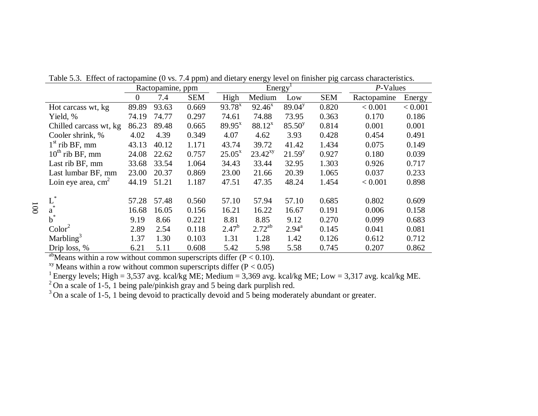|                        | Ractopamine, ppm |       |            |             | Energy <sup>T</sup> | P-Values           |            |             |         |
|------------------------|------------------|-------|------------|-------------|---------------------|--------------------|------------|-------------|---------|
|                        | $\Omega$         | 7.4   | <b>SEM</b> | High        | Medium              | Low                | <b>SEM</b> | Ractopamine | Energy  |
| Hot carcass wt, kg     | 89.89            | 93.63 | 0.669      | $93.78^{x}$ | $92.46^x$           | 89.04 <sup>y</sup> | 0.820      | < 0.001     | < 0.001 |
| Yield, %               | 74.19            | 74.77 | 0.297      | 74.61       | 74.88               | 73.95              | 0.363      | 0.170       | 0.186   |
| Chilled carcass wt, kg | 86.23            | 89.48 | 0.665      | $89.95^{x}$ | $88.12^{x}$         | 85.50 <sup>y</sup> | 0.814      | 0.001       | 0.001   |
| Cooler shrink, %       | 4.02             | 4.39  | 0.349      | 4.07        | 4.62                | 3.93               | 0.428      | 0.454       | 0.491   |
| $1st$ rib BF, mm       | 43.13            | 40.12 | 1.171      | 43.74       | 39.72               | 41.42              | 1.434      | 0.075       | 0.149   |
| $10^{th}$ rib BF, mm   | 24.08            | 22.62 | 0.757      | $25.05^x$   | $23.42^{xy}$        | $21.59^{y}$        | 0.927      | 0.180       | 0.039   |
| Last rib BF, mm        | 33.68            | 33.54 | 1.064      | 34.43       | 33.44               | 32.95              | 1.303      | 0.926       | 0.717   |
| Last lumbar BF, mm     | 23.00            | 20.37 | 0.869      | 23.00       | 21.66               | 20.39              | 1.065      | 0.037       | 0.233   |
| Loin eye area, $cm2$   | 44.19            | 51.21 | 1.187      | 47.51       | 47.35               | 48.24              | 1.454      | < 0.001     | 0.898   |
|                        |                  |       |            |             |                     |                    |            |             |         |
| $\operatorname{L}^*_*$ | 57.28            | 57.48 | 0.560      | 57.10       | 57.94               | 57.10              | 0.685      | 0.802       | 0.609   |
| a                      | 16.68            | 16.05 | 0.156      | 16.21       | 16.22               | 16.67              | 0.191      | 0.006       | 0.158   |
| $b^*$                  | 9.19             | 8.66  | 0.221      | 8.81        | 8.85                | 9.12               | 0.270      | 0.099       | 0.683   |
| Color <sup>2</sup>     | 2.89             | 2.54  | 0.118      | $2.47^{b}$  | $2.72^{ab}$         | $2.94^{\text{a}}$  | 0.145      | 0.041       | 0.081   |
| Marbling <sup>3</sup>  | 1.37             | 1.30  | 0.103      | 1.31        | 1.28                | 1.42               | 0.126      | 0.612       | 0.712   |
| Drip loss, %           | 6.21             | 5.11  | 0.608      | 5.42        | 5.98                | 5.58               | 0.745      | 0.207       | 0.862   |

Table 5.3. Effect of ractopamine (0 vs. 7.4 ppm) and dietary energy level on finisher pig carcass characteristics.

<sup>ab</sup>Means within a row without common superscripts differ ( $P < 0.10$ ).

<sup>xy</sup> Means within a row without common superscripts differ  $(P < 0.05)$ 

<sup>1</sup> Energy levels; High = 3,537 avg. kcal/kg ME; Medium = 3,369 avg. kcal/kg ME; Low = 3,317 avg. kcal/kg ME.

 $^{2}$  On a scale of 1-5, 1 being pale/pinkish gray and 5 being dark purplish red.

 $3$  On a scale of 1-5, 1 being devoid to practically devoid and 5 being moderately abundant or greater.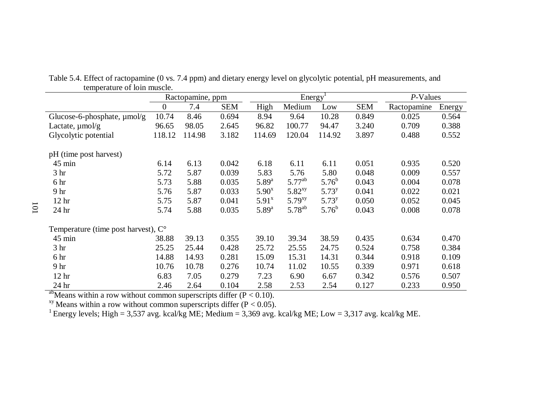|                                              | Ractopamine, ppm |        |            | Energy <sup>1</sup> |             |            |            | P-Values    |        |
|----------------------------------------------|------------------|--------|------------|---------------------|-------------|------------|------------|-------------|--------|
|                                              | 0                | 7.4    | <b>SEM</b> | High                | Medium      | Low        | <b>SEM</b> | Ractopamine | Energy |
| Glucose-6-phosphate, µmol/g                  | 10.74            | 8.46   | 0.694      | 8.94                | 9.64        | 10.28      | 0.849      | 0.025       | 0.564  |
| Lactate, $\mu$ mol/g                         | 96.65            | 98.05  | 2.645      | 96.82               | 100.77      | 94.47      | 3.240      | 0.709       | 0.388  |
| Glycolytic potential                         | 118.12           | 114.98 | 3.182      | 114.69              | 120.04      | 114.92     | 3.897      | 0.488       | 0.552  |
| pH (time post harvest)                       |                  |        |            |                     |             |            |            |             |        |
| $45 \text{ min}$                             | 6.14             | 6.13   | 0.042      | 6.18                | 6.11        | 6.11       | 0.051      | 0.935       | 0.520  |
| 3 <sub>hr</sub>                              | 5.72             | 5.87   | 0.039      | 5.83                | 5.76        | 5.80       | 0.048      | 0.009       | 0.557  |
| 6 hr                                         | 5.73             | 5.88   | 0.035      | $5.89^{a}$          | $5.77^{ab}$ | $5.76^{b}$ | 0.043      | 0.004       | 0.078  |
| 9 hr                                         | 5.76             | 5.87   | 0.033      | $5.90^x$            | $5.82^{xy}$ | $5.73^{y}$ | 0.041      | 0.022       | 0.021  |
| 12 <sup>hr</sup>                             | 5.75             | 5.87   | 0.041      | $5.91^x$            | $5.79^{xy}$ | $5.73^{y}$ | 0.050      | 0.052       | 0.045  |
| 24 hr                                        | 5.74             | 5.88   | 0.035      | $5.89^{a}$          | $5.78^{ab}$ | $5.76^{b}$ | 0.043      | 0.008       | 0.078  |
| Temperature (time post harvest), $C^{\circ}$ |                  |        |            |                     |             |            |            |             |        |
| $45 \text{ min}$                             | 38.88            | 39.13  | 0.355      | 39.10               | 39.34       | 38.59      | 0.435      | 0.634       | 0.470  |
| 3 <sub>hr</sub>                              | 25.25            | 25.44  | 0.428      | 25.72               | 25.55       | 24.75      | 0.524      | 0.758       | 0.384  |
| 6 hr                                         | 14.88            | 14.93  | 0.281      | 15.09               | 15.31       | 14.31      | 0.344      | 0.918       | 0.109  |
| 9 hr                                         | 10.76            | 10.78  | 0.276      | 10.74               | 11.02       | 10.55      | 0.339      | 0.971       | 0.618  |
| 12 <sub>hr</sub>                             | 6.83             | 7.05   | 0.279      | 7.23                | 6.90        | 6.67       | 0.342      | 0.576       | 0.507  |
| 24 hr                                        | 2.46             | 2.64   | 0.104      | 2.58                | 2.53        | 2.54       | 0.127      | 0.233       | 0.950  |

Table 5.4. Effect of ractopamine (0 vs. 7.4 ppm) and dietary energy level on glycolytic potential, pH measurements, and temperature of loin muscle.

<sup>ab</sup>Means within a row without common superscripts differ ( $P < 0.10$ ).

<sup>xy</sup> Means within a row without common superscripts differ ( $P < 0.05$ ).

<sup>1</sup> Energy levels; High = 3,537 avg. kcal/kg ME; Medium = 3,369 avg. kcal/kg ME; Low = 3,317 avg. kcal/kg ME.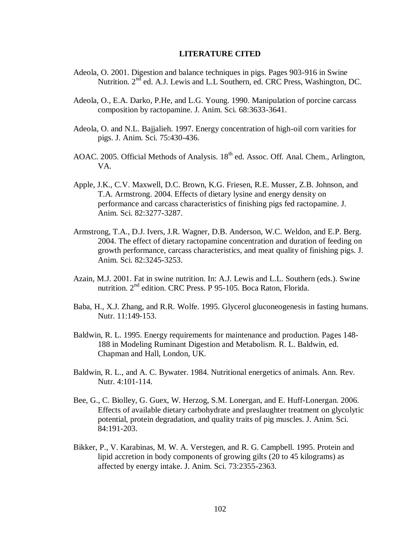## **LITERATURE CITED**

- Adeola, O. 2001. Digestion and balance techniques in pigs. Pages 903-916 in Swine Nutrition.  $2<sup>nd</sup>$  ed. A.J. Lewis and L.L Southern, ed. CRC Press, Washington, DC.
- Adeola, O., E.A. Darko, P.He, and L.G. Young. 1990. Manipulation of porcine carcass composition by ractopamine. J. Anim. Sci. 68:3633-3641.
- Adeola, O. and N.L. Bajjalieh. 1997. Energy concentration of high-oil corn varities for pigs. J. Anim. Sci. 75:430-436.
- AOAC. 2005. Official Methods of Analysis. 18<sup>th</sup> ed. Assoc. Off. Anal. Chem., Arlington, VA.
- Apple, J.K., C.V. Maxwell, D.C. Brown, K.G. Friesen, R.E. Musser, Z.B. Johnson, and T.A. Armstrong. 2004. Effects of dietary lysine and energy density on performance and carcass characteristics of finishing pigs fed ractopamine. J. Anim. Sci. 82:3277-3287.
- Armstrong, T.A., D.J. Ivers, J.R. Wagner, D.B. Anderson, W.C. Weldon, and E.P. Berg. 2004. The effect of dietary ractopamine concentration and duration of feeding on growth performance, carcass characteristics, and meat quality of finishing pigs. J. Anim. Sci. 82:3245-3253.
- Azain, M.J. 2001. Fat in swine nutrition. In: A.J. Lewis and L.L. Southern (eds.). Swine nutrition. 2nd edition. CRC Press. P 95-105. Boca Raton, Florida.
- Baba, H., X.J. Zhang, and R.R. Wolfe. 1995. Glycerol gluconeogenesis in fasting humans. Nutr. 11:149-153.
- Baldwin, R. L. 1995. Energy requirements for maintenance and production. Pages 148- 188 in Modeling Ruminant Digestion and Metabolism. R. L. Baldwin, ed. Chapman and Hall, London, UK.
- Baldwin, R. L., and A. C. Bywater. 1984. Nutritional energetics of animals. Ann. Rev. Nutr. 4:101-114.
- Bee, G., C. Biolley, G. Guex, W. Herzog, S.M. Lonergan, and E. Huff-Lonergan. 2006. Effects of available dietary carbohydrate and preslaughter treatment on glycolytic potential, protein degradation, and quality traits of pig muscles. J. Anim. Sci. 84:191-203.
- Bikker, P., V. Karabinas, M. W. A. Verstegen, and R. G. Campbell. 1995. Protein and lipid accretion in body components of growing gilts (20 to 45 kilograms) as affected by energy intake. J. Anim. Sci. 73:2355-2363.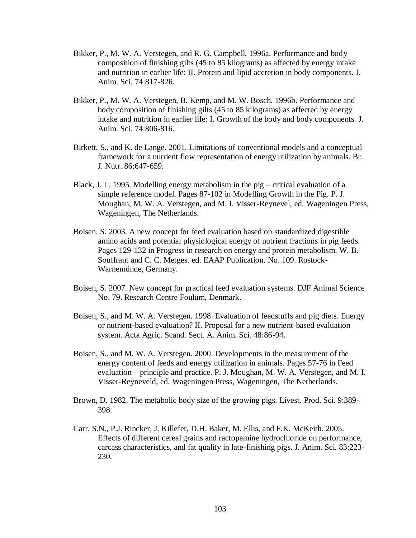- Bikker, P., M. W. A. Verstegen, and R. G. Campbell. 1996a. Performance and body composition of finishing gilts (45 to 85 kilograms) as affected by energy intake and nutrition in earlier life: II. Protein and lipid accretion in body components. J. Anim. Sci. 74:817-826.
- Bikker, P., M. W. A. Verstegen, B. Kemp, and M. W. Bosch. 1996b. Performance and body composition of finishing gilts (45 to 85 kilograms) as affected by energy intake and nutrition in earlier life: I. Growth of the body and body components. J. Anim. Sci. 74:806-816.
- Birkett, S., and K. de Lange. 2001. Limitations of conventional models and a conceptual framework for a nutrient flow representation of energy utilization by animals. Br. J. Nutr. 86:647-659.
- Black, J. L. 1995. Modelling energy metabolism in the pig critical evaluation of a simple reference model. Pages 87-102 in Modelling Growth in the Pig. P. J. Moughan, M. W. A. Verstegen, and M. I. Visser-Reynevel, ed. Wageningen Press, Wageningen, The Netherlands.
- Boisen, S. 2003. A new concept for feed evaluation based on standardized digestible amino acids and potential physiological energy of nutrient fractions in pig feeds. Pages 129-132 in Progress in research on energy and protein metabolism. W. B. Souffrant and C. C. Metges. ed. EAAP Publication. No. 109. Rostock-Warnemünde, Germany.
- Boisen, S. 2007. New concept for practical feed evaluation systems. DJF Animal Science No. 79. Research Centre Foulum, Denmark.
- Boisen, S., and M. W. A. Verstegen. 1998. Evaluation of feedstuffs and pig diets. Energy or nutrient-based evaluation? II. Proposal for a new nutrient-based evaluation system. Acta Agric. Scand. Sect. A. Anim. Sci. 48:86-94.
- Boisen, S., and M. W. A. Verstegen. 2000. Developments in the measurement of the energy content of feeds and energy utilization in animals. Pages 57-76 in Feed evaluation – principle and practice. P. J. Moughan, M. W. A. Verstegen, and M. I. Visser-Reyneveld, ed. Wageningen Press, Wageningen, The Netherlands.
- Brown, D. 1982. The metabolic body size of the growing pigs. Livest. Prod. Sci. 9:389- 398.
- Carr, S.N., P.J. Rincker, J. Killefer, D.H. Baker, M. Ellis, and F.K. McKeith. 2005. Effects of different cereal grains and ractopamine hydrochloride on performance, carcass characteristics, and fat quality in late-finishing pigs. J. Anim. Sci. 83:223- 230.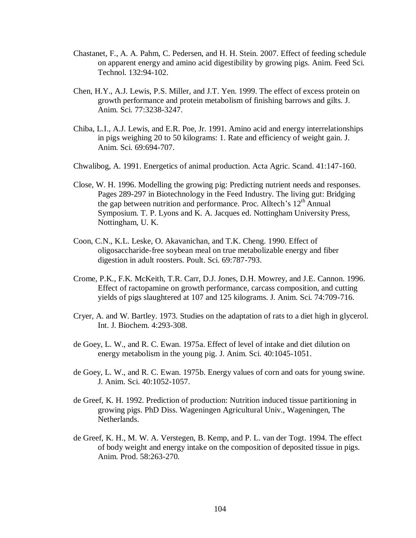- Chastanet, F., A. A. Pahm, C. Pedersen, and H. H. Stein. 2007. Effect of feeding schedule on apparent energy and amino acid digestibility by growing pigs. Anim. Feed Sci. Technol. 132:94-102.
- Chen, H.Y., A.J. Lewis, P.S. Miller, and J.T. Yen. 1999. The effect of excess protein on growth performance and protein metabolism of finishing barrows and gilts. J. Anim. Sci. 77:3238-3247.
- Chiba, L.I., A.J. Lewis, and E.R. Poe, Jr. 1991. Amino acid and energy interrelationships in pigs weighing 20 to 50 kilograms: 1. Rate and efficiency of weight gain. J. Anim. Sci. 69:694-707.
- Chwalibog, A. 1991. Energetics of animal production. Acta Agric. Scand. 41:147-160.
- Close, W. H. 1996. Modelling the growing pig: Predicting nutrient needs and responses. Pages 289-297 in Biotechnology in the Feed Industry. The living gut: Bridging the gap between nutrition and performance. Proc. Alltech's 12<sup>th</sup> Annual Symposium. T. P. Lyons and K. A. Jacques ed. Nottingham University Press, Nottingham, U. K.
- Coon, C.N., K.L. Leske, O. Akavanichan, and T.K. Cheng. 1990. Effect of oligosaccharide-free soybean meal on true metabolizable energy and fiber digestion in adult roosters. Poult. Sci. 69:787-793.
- Crome, P.K., F.K. McKeith, T.R. Carr, D.J. Jones, D.H. Mowrey, and J.E. Cannon. 1996. Effect of ractopamine on growth performance, carcass composition, and cutting yields of pigs slaughtered at 107 and 125 kilograms. J. Anim. Sci. 74:709-716.
- Cryer, A. and W. Bartley. 1973. Studies on the adaptation of rats to a diet high in glycerol. Int. J. Biochem. 4:293-308.
- de Goey, L. W., and R. C. Ewan. 1975a. Effect of level of intake and diet dilution on energy metabolism in the young pig. J. Anim. Sci. 40:1045-1051.
- de Goey, L. W., and R. C. Ewan. 1975b. Energy values of corn and oats for young swine. J. Anim. Sci. 40:1052-1057.
- de Greef, K. H. 1992. Prediction of production: Nutrition induced tissue partitioning in growing pigs. PhD Diss. Wageningen Agricultural Univ., Wageningen, The Netherlands.
- de Greef, K. H., M. W. A. Verstegen, B. Kemp, and P. L. van der Togt. 1994. The effect of body weight and energy intake on the composition of deposited tissue in pigs. Anim. Prod. 58:263-270.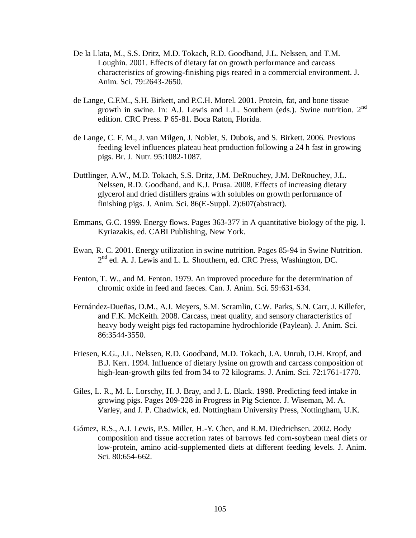- De la Llata, M., S.S. Dritz, M.D. Tokach, R.D. Goodband, J.L. Nelssen, and T.M. Loughin. 2001. Effects of dietary fat on growth performance and carcass characteristics of growing-finishing pigs reared in a commercial environment. J. Anim. Sci. 79:2643-2650.
- de Lange, C.F.M., S.H. Birkett, and P.C.H. Morel. 2001. Protein, fat, and bone tissue growth in swine. In: A.J. Lewis and L.L. Southern (eds.). Swine nutrition.  $2<sup>nd</sup>$ edition. CRC Press. P 65-81. Boca Raton, Florida.
- de Lange, C. F. M., J. van Milgen, J. Noblet, S. Dubois, and S. Birkett. 2006. Previous feeding level influences plateau heat production following a 24 h fast in growing pigs. Br. J. Nutr. 95:1082-1087.
- Duttlinger, A.W., M.D. Tokach, S.S. Dritz, J.M. DeRouchey, J.M. DeRouchey, J.L. Nelssen, R.D. Goodband, and K.J. Prusa. 2008. Effects of increasing dietary glycerol and dried distillers grains with solubles on growth performance of finishing pigs. J. Anim. Sci. 86(E-Suppl. 2):607(abstract).
- Emmans, G.C. 1999. Energy flows. Pages 363-377 in A quantitative biology of the pig. I. Kyriazakis, ed. CABI Publishing, New York.
- Ewan, R. C. 2001. Energy utilization in swine nutrition. Pages 85-94 in Swine Nutrition. 2<sup>nd</sup> ed. A. J. Lewis and L. L. Shouthern, ed. CRC Press, Washington, DC.
- Fenton, T. W., and M. Fenton. 1979. An improved procedure for the determination of chromic oxide in feed and faeces. Can. J. Anim. Sci. 59:631-634.
- Fernández-Dueñas, D.M., A.J. Meyers, S.M. Scramlin, C.W. Parks, S.N. Carr, J. Killefer, and F.K. McKeith. 2008. Carcass, meat quality, and sensory characteristics of heavy body weight pigs fed ractopamine hydrochloride (Paylean). J. Anim. Sci. 86:3544-3550.
- Friesen, K.G., J.L. Nelssen, R.D. Goodband, M.D. Tokach, J.A. Unruh, D.H. Kropf, and B.J. Kerr. 1994. Influence of dietary lysine on growth and carcass composition of high-lean-growth gilts fed from 34 to 72 kilograms. J. Anim. Sci. 72:1761-1770.
- Giles, L. R., M. L. Lorschy, H. J. Bray, and J. L. Black. 1998. Predicting feed intake in growing pigs. Pages 209-228 in Progress in Pig Science. J. Wiseman, M. A. Varley, and J. P. Chadwick, ed. Nottingham University Press, Nottingham, U.K.
- Gómez, R.S., A.J. Lewis, P.S. Miller, H.-Y. Chen, and R.M. Diedrichsen. 2002. Body composition and tissue accretion rates of barrows fed corn-soybean meal diets or low-protein, amino acid-supplemented diets at different feeding levels. J. Anim. Sci. 80:654-662.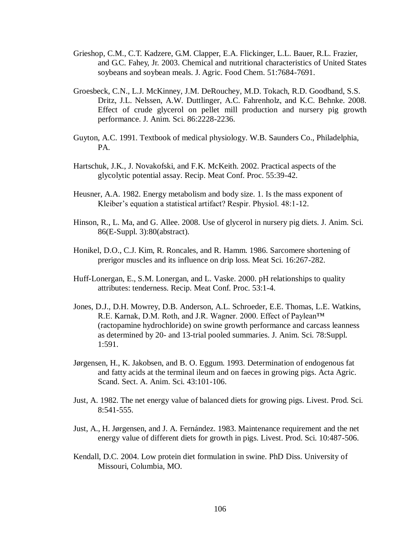- Grieshop, C.M., C.T. Kadzere, G.M. Clapper, E.A. Flickinger, L.L. Bauer, R.L. Frazier, and G.C. Fahey, Jr. 2003. Chemical and nutritional characteristics of United States soybeans and soybean meals. J. Agric. Food Chem. 51:7684-7691.
- Groesbeck, C.N., L.J. McKinney, J.M. DeRouchey, M.D. Tokach, R.D. Goodband, S.S. Dritz, J.L. Nelssen, A.W. Duttlinger, A.C. Fahrenholz, and K.C. Behnke. 2008. Effect of crude glycerol on pellet mill production and nursery pig growth performance. J. Anim. Sci. 86:2228-2236.
- Guyton, A.C. 1991. Textbook of medical physiology. W.B. Saunders Co., Philadelphia, PA.
- Hartschuk, J.K., J. Novakofski, and F.K. McKeith. 2002. Practical aspects of the glycolytic potential assay. Recip. Meat Conf. Proc. 55:39-42.
- Heusner, A.A. 1982. Energy metabolism and body size. 1. Is the mass exponent of Kleiber's equation a statistical artifact? Respir. Physiol. 48:1-12.
- Hinson, R., L. Ma, and G. Allee. 2008. Use of glycerol in nursery pig diets. J. Anim. Sci. 86(E-Suppl. 3):80(abstract).
- Honikel, D.O., C.J. Kim, R. Roncales, and R. Hamm. 1986. Sarcomere shortening of prerigor muscles and its influence on drip loss. Meat Sci. 16:267-282.
- Huff-Lonergan, E., S.M. Lonergan, and L. Vaske. 2000. pH relationships to quality attributes: tenderness. Recip. Meat Conf. Proc. 53:1-4.
- Jones, D.J., D.H. Mowrey, D.B. Anderson, A.L. Schroeder, E.E. Thomas, L.E. Watkins, R.E. Karnak, D.M. Roth, and J.R. Wagner. 2000. Effect of Paylean™ (ractopamine hydrochloride) on swine growth performance and carcass leanness as determined by 20- and 13-trial pooled summaries. J. Anim. Sci. 78:Suppl. 1:591.
- Jørgensen, H., K. Jakobsen, and B. O. Eggum. 1993. Determination of endogenous fat and fatty acids at the terminal ileum and on faeces in growing pigs. Acta Agric. Scand. Sect. A. Anim. Sci. 43:101-106.
- Just, A. 1982. The net energy value of balanced diets for growing pigs. Livest. Prod. Sci. 8:541-555.
- Just, A., H. Jørgensen, and J. A. Fernández. 1983. Maintenance requirement and the net energy value of different diets for growth in pigs. Livest. Prod. Sci. 10:487-506.
- Kendall, D.C. 2004. Low protein diet formulation in swine. PhD Diss. University of Missouri, Columbia, MO.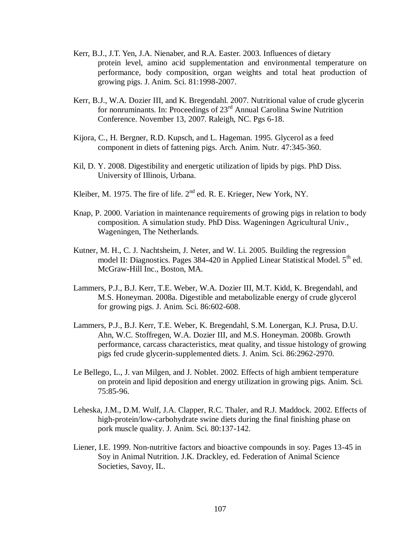- Kerr, B.J., J.T. Yen, J.A. Nienaber, and R.A. Easter. 2003. Influences of dietary protein level, amino acid supplementation and environmental temperature on performance, body composition, organ weights and total heat production of growing pigs. J. Anim. Sci. 81:1998-2007.
- Kerr, B.J., W.A. Dozier III, and K. Bregendahl. 2007. Nutritional value of crude glycerin for nonruminants. In: Proceedings of  $23<sup>rd</sup>$  Annual Carolina Swine Nutrition Conference. November 13, 2007. Raleigh, NC. Pgs 6-18.
- Kijora, C., H. Bergner, R.D. Kupsch, and L. Hageman. 1995. Glycerol as a feed component in diets of fattening pigs. Arch. Anim. Nutr. 47:345-360.
- Kil, D. Y. 2008. Digestibility and energetic utilization of lipids by pigs. PhD Diss. University of Illinois, Urbana.
- Kleiber, M. 1975. The fire of life.  $2<sup>nd</sup>$  ed. R. E. Krieger, New York, NY.
- Knap, P. 2000. Variation in maintenance requirements of growing pigs in relation to body composition. A simulation study. PhD Diss. Wageningen Agricultural Univ., Wageningen, The Netherlands.
- Kutner, M. H., C. J. Nachtsheim, J. Neter, and W. Li. 2005. Building the regression model II: Diagnostics. Pages  $384-420$  in Applied Linear Statistical Model.  $5<sup>th</sup>$  ed. McGraw-Hill Inc., Boston, MA.
- Lammers, P.J., B.J. Kerr, T.E. Weber, W.A. Dozier III, M.T. Kidd, K. Bregendahl, and M.S. Honeyman. 2008a. Digestible and metabolizable energy of crude glycerol for growing pigs. J. Anim. Sci. 86:602-608.
- Lammers, P.J., B.J. Kerr, T.E. Weber, K. Bregendahl, S.M. Lonergan, K.J. Prusa, D.U. Ahn, W.C. Stoffregen, W.A. Dozier III, and M.S. Honeyman. 2008b. Growth performance, carcass characteristics, meat quality, and tissue histology of growing pigs fed crude glycerin-supplemented diets. J. Anim. Sci. 86:2962-2970.
- Le Bellego, L., J. van Milgen, and J. Noblet. 2002. Effects of high ambient temperature on protein and lipid deposition and energy utilization in growing pigs. Anim. Sci. 75:85-96.
- Leheska, J.M., D.M. Wulf, J.A. Clapper, R.C. Thaler, and R.J. Maddock. 2002. Effects of high-protein/low-carbohydrate swine diets during the final finishing phase on pork muscle quality. J. Anim. Sci. 80:137-142.
- Liener, I.E. 1999. Non-nutritive factors and bioactive compounds in soy. Pages 13-45 in Soy in Animal Nutrition. J.K. Drackley, ed. Federation of Animal Science Societies, Savoy, IL.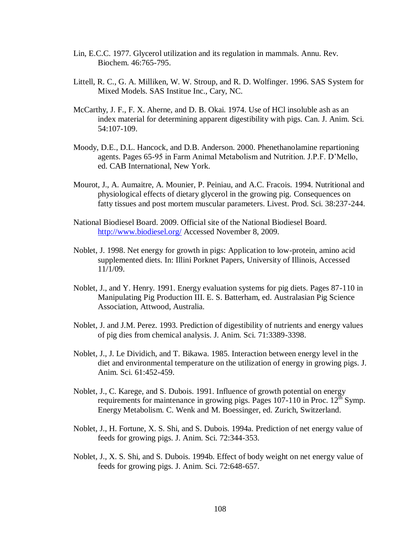- Lin, E.C.C. 1977. Glycerol utilization and its regulation in mammals. Annu. Rev. Biochem. 46:765-795.
- Littell, R. C., G. A. Milliken, W. W. Stroup, and R. D. Wolfinger. 1996. SAS System for Mixed Models. SAS Institue Inc., Cary, NC.
- McCarthy, J. F., F. X. Aherne, and D. B. Okai. 1974. Use of HCl insoluble ash as an index material for determining apparent digestibility with pigs. Can. J. Anim. Sci. 54:107-109.
- Moody, D.E., D.L. Hancock, and D.B. Anderson. 2000. Phenethanolamine repartioning agents. Pages 65-95 in Farm Animal Metabolism and Nutrition. J.P.F. D'Mello, ed. CAB International, New York.
- Mourot, J., A. Aumaitre, A. Mounier, P. Peiniau, and A.C. Fracois. 1994. Nutritional and physiological effects of dietary glycerol in the growing pig. Consequences on fatty tissues and post mortem muscular parameters. Livest. Prod. Sci. 38:237-244.
- National Biodiesel Board. 2009. Official site of the National Biodiesel Board. <http://www.biodiesel.org/> Accessed November 8, 2009.
- Noblet, J. 1998. Net energy for growth in pigs: Application to low-protein, amino acid supplemented diets. In: Illini Porknet Papers, University of Illinois, Accessed 11/1/09.
- Noblet, J., and Y. Henry. 1991. Energy evaluation systems for pig diets. Pages 87-110 in Manipulating Pig Production III. E. S. Batterham, ed. Australasian Pig Science Association, Attwood, Australia.
- Noblet, J. and J.M. Perez. 1993. Prediction of digestibility of nutrients and energy values of pig dies from chemical analysis. J. Anim. Sci. 71:3389-3398.
- Noblet, J., J. Le Dividich, and T. Bikawa. 1985. Interaction between energy level in the diet and environmental temperature on the utilization of energy in growing pigs. J. Anim. Sci. 61:452-459.
- Noblet, J., C. Karege, and S. Dubois. 1991. Influence of growth potential on energy requirements for maintenance in growing pigs. Pages  $107-110$  in Proc.  $12<sup>th</sup>$  Symp. Energy Metabolism. C. Wenk and M. Boessinger, ed. Zurich, Switzerland.
- Noblet, J., H. Fortune, X. S. Shi, and S. Dubois. 1994a. Prediction of net energy value of feeds for growing pigs. J. Anim. Sci. 72:344-353.
- Noblet, J., X. S. Shi, and S. Dubois. 1994b. Effect of body weight on net energy value of feeds for growing pigs. J. Anim. Sci. 72:648-657.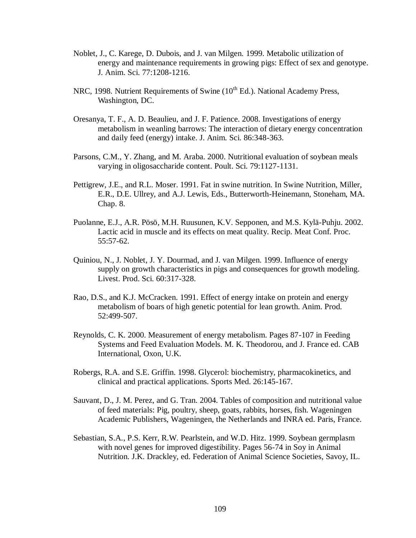- Noblet, J., C. Karege, D. Dubois, and J. van Milgen. 1999. Metabolic utilization of energy and maintenance requirements in growing pigs: Effect of sex and genotype. J. Anim. Sci. 77:1208-1216.
- NRC, 1998. Nutrient Requirements of Swine  $(10^{th}$  Ed.). National Academy Press, Washington, DC.
- Oresanya, T. F., A. D. Beaulieu, and J. F. Patience. 2008. Investigations of energy metabolism in weanling barrows: The interaction of dietary energy concentration and daily feed (energy) intake. J. Anim. Sci. 86:348-363.
- Parsons, C.M., Y. Zhang, and M. Araba. 2000. Nutritional evaluation of soybean meals varying in oligosaccharide content. Poult. Sci. 79:1127-1131.
- Pettigrew, J.E., and R.L. Moser. 1991. Fat in swine nutrition. In Swine Nutrition, Miller, E.R., D.E. Ullrey, and A.J. Lewis, Eds., Butterworth-Heinemann, Stoneham, MA. Chap. 8.
- Puolanne, E.J., A.R. Pösö, M.H. Ruusunen, K.V. Sepponen, and M.S. Kylä-Puhju. 2002. Lactic acid in muscle and its effects on meat quality. Recip. Meat Conf. Proc. 55:57-62.
- Quiniou, N., J. Noblet, J. Y. Dourmad, and J. van Milgen. 1999. Influence of energy supply on growth characteristics in pigs and consequences for growth modeling. Livest. Prod. Sci. 60:317-328.
- Rao, D.S., and K.J. McCracken. 1991. Effect of energy intake on protein and energy metabolism of boars of high genetic potential for lean growth. Anim. Prod. 52:499-507.
- Reynolds, C. K. 2000. Measurement of energy metabolism. Pages 87-107 in Feeding Systems and Feed Evaluation Models. M. K. Theodorou, and J. France ed. CAB International, Oxon, U.K.
- Robergs, R.A. and S.E. Griffin. 1998. Glycerol: biochemistry, pharmacokinetics, and clinical and practical applications. Sports Med. 26:145-167.
- Sauvant, D., J. M. Perez, and G. Tran. 2004. Tables of composition and nutritional value of feed materials: Pig, poultry, sheep, goats, rabbits, horses, fish. Wageningen Academic Publishers, Wageningen, the Netherlands and INRA ed. Paris, France.
- Sebastian, S.A., P.S. Kerr, R.W. Pearlstein, and W.D. Hitz. 1999. Soybean germplasm with novel genes for improved digestibility. Pages 56-74 in Soy in Animal Nutrition. J.K. Drackley, ed. Federation of Animal Science Societies, Savoy, IL.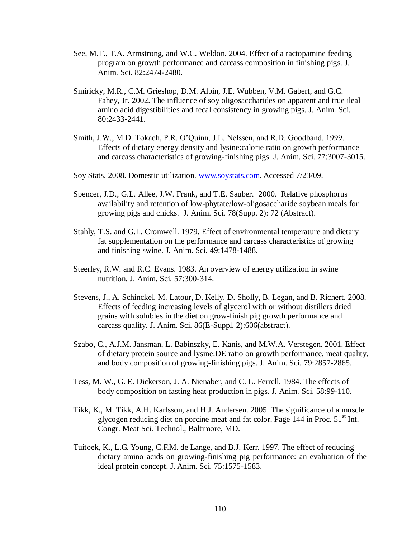- See, M.T., T.A. Armstrong, and W.C. Weldon. 2004. Effect of a ractopamine feeding program on growth performance and carcass composition in finishing pigs. J. Anim. Sci. 82:2474-2480.
- Smiricky, M.R., C.M. Grieshop, D.M. Albin, J.E. Wubben, V.M. Gabert, and G.C. Fahey, Jr. 2002. The influence of soy oligosaccharides on apparent and true ileal amino acid digestibilities and fecal consistency in growing pigs. J. Anim. Sci. 80:2433-2441.
- Smith, J.W., M.D. Tokach, P.R. O'Quinn, J.L. Nelssen, and R.D. Goodband. 1999. Effects of dietary energy density and lysine:calorie ratio on growth performance and carcass characteristics of growing-finishing pigs. J. Anim. Sci. 77:3007-3015.
- Soy Stats. 2008. Domestic utilization. [www.soystats.com.](http://www.soystats.com/) Accessed 7/23/09.
- Spencer, J.D., G.L. Allee, J.W. Frank, and T.E. Sauber. 2000. Relative phosphorus availability and retention of low-phytate/low-oligosaccharide soybean meals for growing pigs and chicks. J. Anim. Sci. 78(Supp. 2): 72 (Abstract).
- Stahly, T.S. and G.L. Cromwell. 1979. Effect of environmental temperature and dietary fat supplementation on the performance and carcass characteristics of growing and finishing swine. J. Anim. Sci. 49:1478-1488.
- Steerley, R.W. and R.C. Evans. 1983. An overview of energy utilization in swine nutrition. J. Anim. Sci. 57:300-314.
- Stevens, J., A. Schinckel, M. Latour, D. Kelly, D. Sholly, B. Legan, and B. Richert. 2008. Effects of feeding increasing levels of glycerol with or without distillers dried grains with solubles in the diet on grow-finish pig growth performance and carcass quality. J. Anim. Sci. 86(E-Suppl. 2):606(abstract).
- Szabo, C., A.J.M. Jansman, L. Babinszky, E. Kanis, and M.W.A. Verstegen. 2001. Effect of dietary protein source and lysine:DE ratio on growth performance, meat quality, and body composition of growing-finishing pigs. J. Anim. Sci. 79:2857-2865.
- Tess, M. W., G. E. Dickerson, J. A. Nienaber, and C. L. Ferrell. 1984. The effects of body composition on fasting heat production in pigs. J. Anim. Sci. 58:99-110.
- Tikk, K., M. Tikk, A.H. Karlsson, and H.J. Andersen. 2005. The significance of a muscle glycogen reducing diet on porcine meat and fat color. Page 144 in Proc.  $51<sup>st</sup>$  Int. Congr. Meat Sci. Technol., Baltimore, MD.
- Tuitoek, K., L.G. Young, C.F.M. de Lange, and B.J. Kerr. 1997. The effect of reducing dietary amino acids on growing-finishing pig performance: an evaluation of the ideal protein concept. J. Anim. Sci. 75:1575-1583.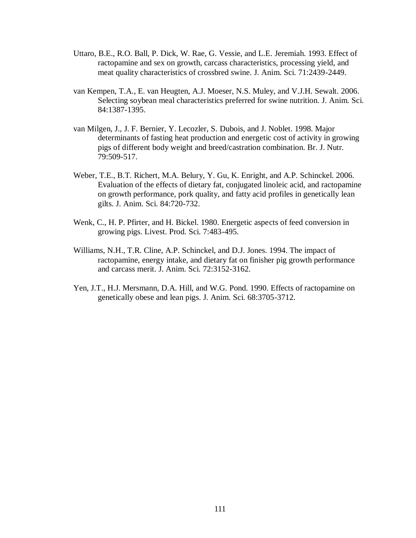- Uttaro, B.E., R.O. Ball, P. Dick, W. Rae, G. Vessie, and L.E. Jeremiah. 1993. Effect of ractopamine and sex on growth, carcass characteristics, processing yield, and meat quality characteristics of crossbred swine. J. Anim. Sci. 71:2439-2449.
- van Kempen, T.A., E. van Heugten, A.J. Moeser, N.S. Muley, and V.J.H. Sewalt. 2006. Selecting soybean meal characteristics preferred for swine nutrition. J. Anim. Sci. 84:1387-1395.
- van Milgen, J., J. F. Bernier, Y. Lecozler, S. Dubois, and J. Noblet. 1998. Major determinants of fasting heat production and energetic cost of activity in growing pigs of different body weight and breed/castration combination. Br. J. Nutr. 79:509-517.
- Weber, T.E., B.T. Richert, M.A. Belury, Y. Gu, K. Enright, and A.P. Schinckel. 2006. Evaluation of the effects of dietary fat, conjugated linoleic acid, and ractopamine on growth performance, pork quality, and fatty acid profiles in genetically lean gilts. J. Anim. Sci. 84:720-732.
- Wenk, C., H. P. Pfirter, and H. Bickel. 1980. Energetic aspects of feed conversion in growing pigs. Livest. Prod. Sci. 7:483-495.
- Williams, N.H., T.R. Cline, A.P. Schinckel, and D.J. Jones. 1994. The impact of ractopamine, energy intake, and dietary fat on finisher pig growth performance and carcass merit. J. Anim. Sci. 72:3152-3162.
- Yen, J.T., H.J. Mersmann, D.A. Hill, and W.G. Pond. 1990. Effects of ractopamine on genetically obese and lean pigs. J. Anim. Sci. 68:3705-3712.